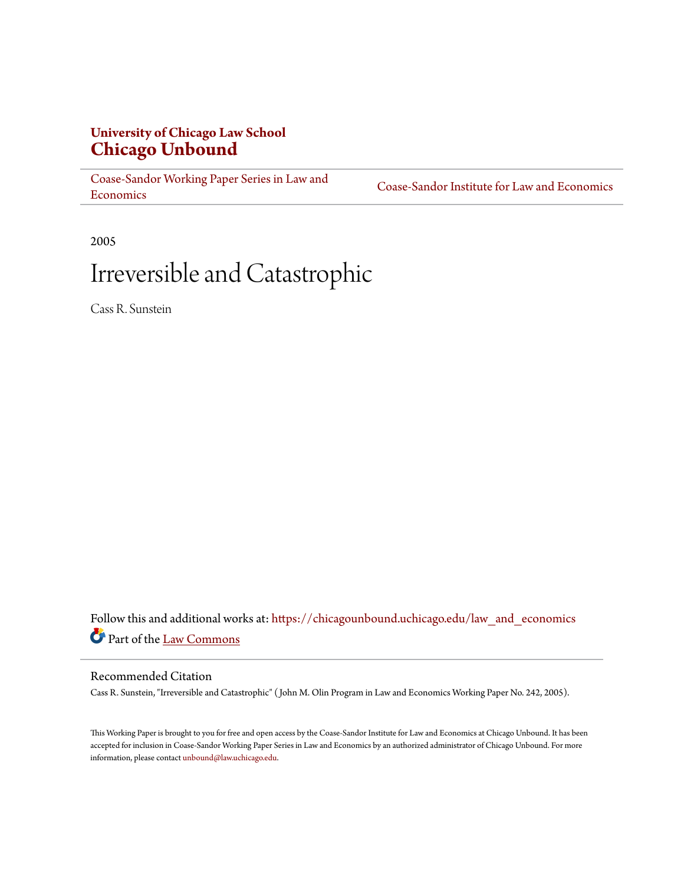# **University of Chicago Law School [Chicago Unbound](https://chicagounbound.uchicago.edu?utm_source=chicagounbound.uchicago.edu%2Flaw_and_economics%2F286&utm_medium=PDF&utm_campaign=PDFCoverPages)**

[Coase-Sandor Working Paper Series in Law and](https://chicagounbound.uchicago.edu/law_and_economics?utm_source=chicagounbound.uchicago.edu%2Flaw_and_economics%2F286&utm_medium=PDF&utm_campaign=PDFCoverPages) [Economics](https://chicagounbound.uchicago.edu/law_and_economics?utm_source=chicagounbound.uchicago.edu%2Flaw_and_economics%2F286&utm_medium=PDF&utm_campaign=PDFCoverPages)

[Coase-Sandor Institute for Law and Economics](https://chicagounbound.uchicago.edu/coase_sandor_institute?utm_source=chicagounbound.uchicago.edu%2Flaw_and_economics%2F286&utm_medium=PDF&utm_campaign=PDFCoverPages)

2005

# Irreversible and Catastrophic

Cass R. Sunstein

Follow this and additional works at: [https://chicagounbound.uchicago.edu/law\\_and\\_economics](https://chicagounbound.uchicago.edu/law_and_economics?utm_source=chicagounbound.uchicago.edu%2Flaw_and_economics%2F286&utm_medium=PDF&utm_campaign=PDFCoverPages) Part of the [Law Commons](http://network.bepress.com/hgg/discipline/578?utm_source=chicagounbound.uchicago.edu%2Flaw_and_economics%2F286&utm_medium=PDF&utm_campaign=PDFCoverPages)

#### Recommended Citation

Cass R. Sunstein, "Irreversible and Catastrophic" ( John M. Olin Program in Law and Economics Working Paper No. 242, 2005).

This Working Paper is brought to you for free and open access by the Coase-Sandor Institute for Law and Economics at Chicago Unbound. It has been accepted for inclusion in Coase-Sandor Working Paper Series in Law and Economics by an authorized administrator of Chicago Unbound. For more information, please contact [unbound@law.uchicago.edu.](mailto:unbound@law.uchicago.edu)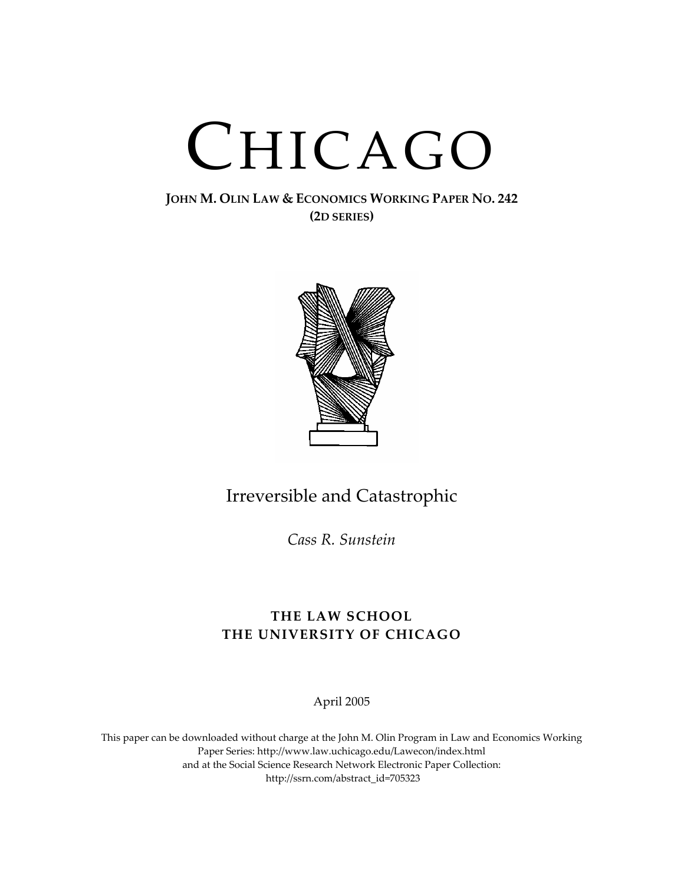# CHICAGO

### **JOHN M. OLIN LAW & ECONOMICS WORKING PAPER NO. 242 (2D SERIES)**



# Irreversible and Catastrophic

*Cass R. Sunstein*

## **THE LAW SCHOOL THE UNIVERSITY OF CHICAGO**

April 2005

This paper can be downloaded without charge at the John M. Olin Program in Law and Economics Working Paper Series: http://www.law.uchicago.edu/Lawecon/index.html and at the Social Science Research Network Electronic Paper Collection: http://ssrn.com/abstract\_id=705323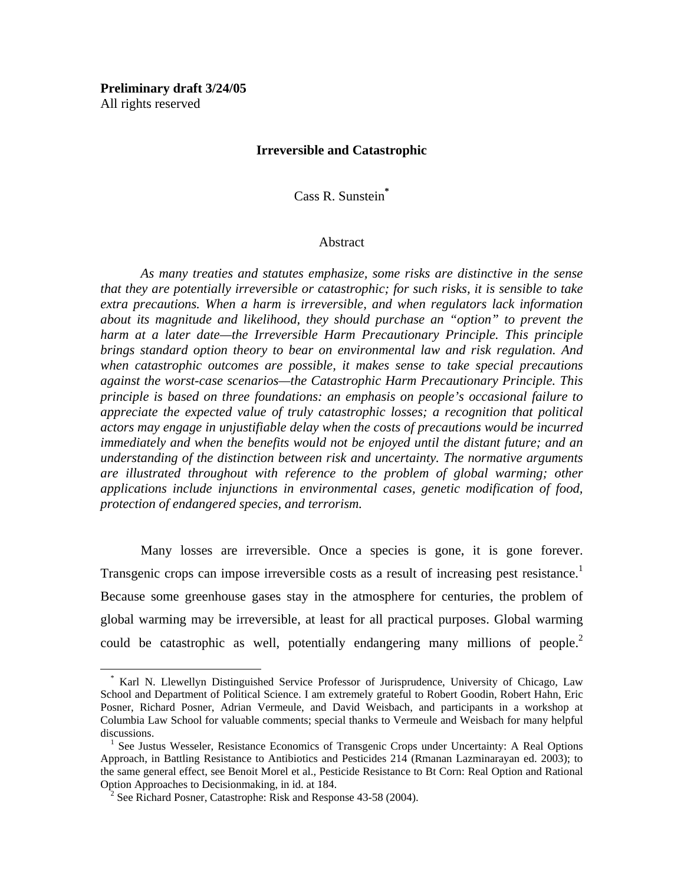#### **Irreversible and Catastrophic**

Cass R. Sunstein**\***

#### Abstract

*As many treaties and statutes emphasize, some risks are distinctive in the sense that they are potentially irreversible or catastrophic; for such risks, it is sensible to take extra precautions. When a harm is irreversible, and when regulators lack information about its magnitude and likelihood, they should purchase an "option" to prevent the harm at a later date—the Irreversible Harm Precautionary Principle. This principle brings standard option theory to bear on environmental law and risk regulation. And when catastrophic outcomes are possible, it makes sense to take special precautions against the worst-case scenarios—the Catastrophic Harm Precautionary Principle. This principle is based on three foundations: an emphasis on people's occasional failure to appreciate the expected value of truly catastrophic losses; a recognition that political actors may engage in unjustifiable delay when the costs of precautions would be incurred immediately and when the benefits would not be enjoyed until the distant future; and an understanding of the distinction between risk and uncertainty. The normative arguments are illustrated throughout with reference to the problem of global warming; other applications include injunctions in environmental cases, genetic modification of food, protection of endangered species, and terrorism.* 

Many losses are irreversible. Once a species is gone, it is gone forever. Transgenic crops can impose irreversible costs as a result of increasing pest resistance.<sup>1</sup> Because some greenhouse gases stay in the atmosphere for centuries, the problem of global warming may be irreversible, at least for all practical purposes. Global warming could be catastrophic as well, potentially endangering many millions of people.<sup>2</sup>

\* Karl N. Llewellyn Distinguished Service Professor of Jurisprudence, University of Chicago, Law School and Department of Political Science. I am extremely grateful to Robert Goodin, Robert Hahn, Eric Posner, Richard Posner, Adrian Vermeule, and David Weisbach, and participants in a workshop at Columbia Law School for valuable comments; special thanks to Vermeule and Weisbach for many helpful discussions.

<sup>&</sup>lt;sup>1</sup> See Justus Wesseler, Resistance Economics of Transgenic Crops under Uncertainty: A Real Options Approach, in Battling Resistance to Antibiotics and Pesticides 214 (Rmanan Lazminarayan ed. 2003); to the same general effect, see Benoit Morel et al., Pesticide Resistance to Bt Corn: Real Option and Rational Option Approaches to Decisionmaking, in id. at 184. 2

<sup>&</sup>lt;sup>2</sup> See Richard Posner, Catastrophe: Risk and Response 43-58 (2004).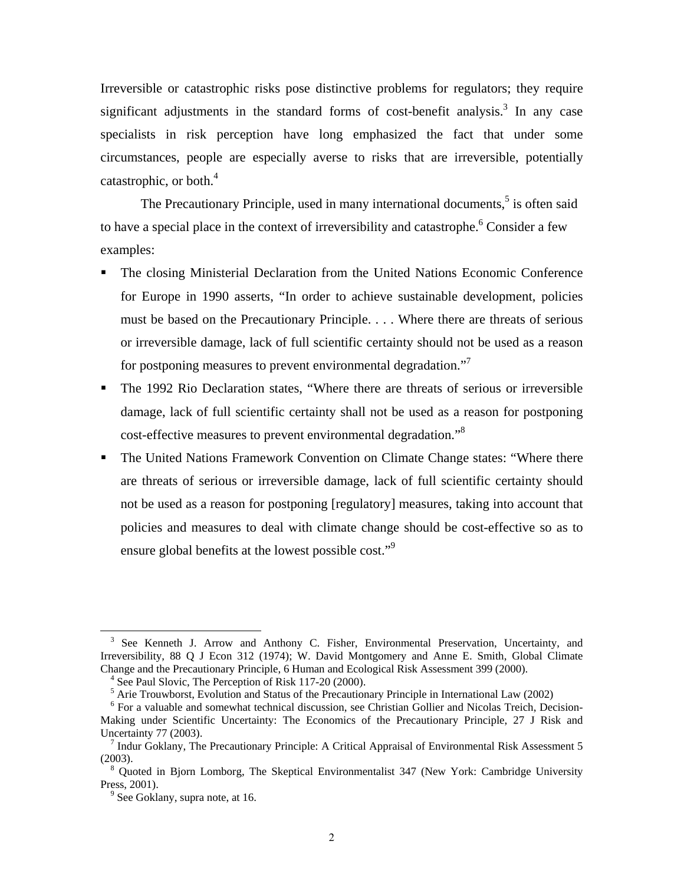Irreversible or catastrophic risks pose distinctive problems for regulators; they require significant adjustments in the standard forms of cost-benefit analysis.<sup>3</sup> In any case specialists in risk perception have long emphasized the fact that under some circumstances, people are especially averse to risks that are irreversible, potentially catastrophic, or both.<sup>4</sup>

The Precautionary Principle, used in many international documents, $5$  is often said to have a special place in the context of irreversibility and catastrophe.  $6$  Consider a few examples:

- The closing Ministerial Declaration from the United Nations Economic Conference for Europe in 1990 asserts, "In order to achieve sustainable development, policies must be based on the Precautionary Principle. . . . Where there are threats of serious or irreversible damage, lack of full scientific certainty should not be used as a reason for postponing measures to prevent environmental degradation."<sup>7</sup>
- The 1992 Rio Declaration states, "Where there are threats of serious or irreversible damage, lack of full scientific certainty shall not be used as a reason for postponing cost-effective measures to prevent environmental degradation."<sup>8</sup>
- The United Nations Framework Convention on Climate Change states: "Where there are threats of serious or irreversible damage, lack of full scientific certainty should not be used as a reason for postponing [regulatory] measures, taking into account that policies and measures to deal with climate change should be cost-effective so as to ensure global benefits at the lowest possible cost."<sup>9</sup>

<sup>&</sup>lt;sup>3</sup> See Kenneth J. Arrow and Anthony C. Fisher, Environmental Preservation, Uncertainty, and Irreversibility, 88 Q J Econ 312 (1974); W. David Montgomery and Anne E. Smith, Global Climate Change and the Precautionary Principle, 6 Human and Ecological Risk Assessment 399 (2000). 4

<sup>&</sup>lt;sup>4</sup> See Paul Slovic, The Perception of Risk 117-20 (2000).

<sup>&</sup>lt;sup>5</sup> Arie Trouwborst, Evolution and Status of the Precautionary Principle in International Law (2002)

<sup>&</sup>lt;sup>6</sup> For a valuable and somewhat technical discussion, see Christian Gollier and Nicolas Treich, Decision-Making under Scientific Uncertainty: The Economics of the Precautionary Principle, 27 J Risk and Uncertainty 77 (2003).

Indur Goklany, The Precautionary Principle: A Critical Appraisal of Environmental Risk Assessment 5  $(2003)$ .

 $8$  Quoted in Bjorn Lomborg, The Skeptical Environmentalist 347 (New York: Cambridge University Press, 2001).

 $<sup>9</sup>$  See Goklany, supra note, at 16.</sup>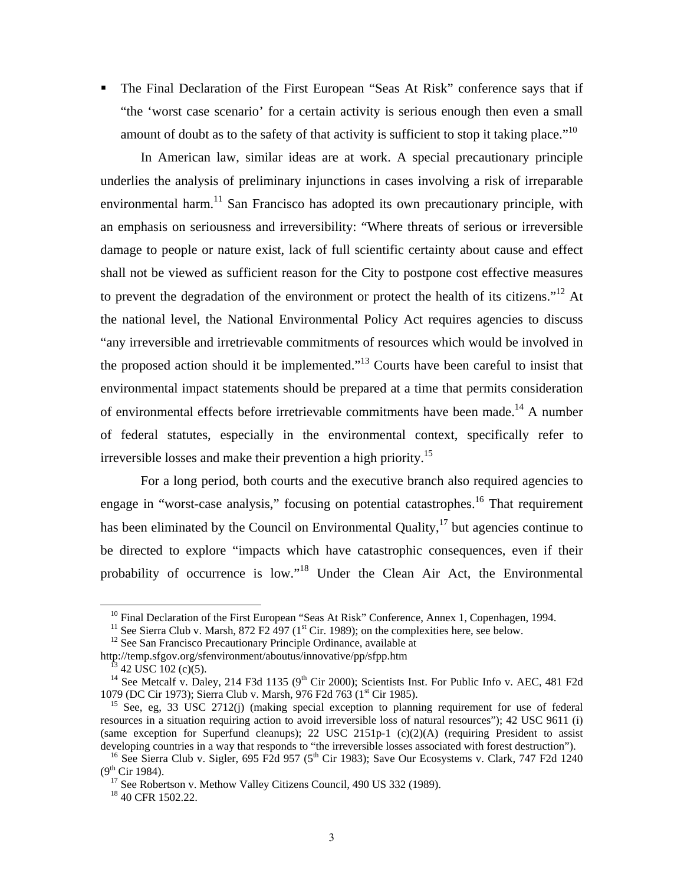The Final Declaration of the First European "Seas At Risk" conference says that if "the 'worst case scenario' for a certain activity is serious enough then even a small amount of doubt as to the safety of that activity is sufficient to stop it taking place."<sup>10</sup>

In American law, similar ideas are at work. A special precautionary principle underlies the analysis of preliminary injunctions in cases involving a risk of irreparable environmental harm.<sup>11</sup> San Francisco has adopted its own precautionary principle, with an emphasis on seriousness and irreversibility: "Where threats of serious or irreversible damage to people or nature exist, lack of full scientific certainty about cause and effect shall not be viewed as sufficient reason for the City to postpone cost effective measures to prevent the degradation of the environment or protect the health of its citizens."<sup>12</sup> At the national level, the National Environmental Policy Act requires agencies to discuss "any irreversible and irretrievable commitments of resources which would be involved in the proposed action should it be implemented. $113$  Courts have been careful to insist that environmental impact statements should be prepared at a time that permits consideration of environmental effects before irretrievable commitments have been made.14 A number of federal statutes, especially in the environmental context, specifically refer to irreversible losses and make their prevention a high priority.<sup>15</sup>

For a long period, both courts and the executive branch also required agencies to engage in "worst-case analysis," focusing on potential catastrophes.<sup>16</sup> That requirement has been eliminated by the Council on Environmental Quality, $17$  but agencies continue to be directed to explore "impacts which have catastrophic consequences, even if their probability of occurrence is low."18 Under the Clean Air Act, the Environmental

<sup>&</sup>lt;sup>10</sup> Final Declaration of the First European "Seas At Risk" Conference, Annex 1, Copenhagen, 1994.

<sup>&</sup>lt;sup>11</sup> See Sierra Club v. Marsh, 872 F2 497 (1<sup>st</sup> Cir. 1989); on the complexities here, see below. <sup>12</sup> See San Francisco Precautionary Principle Ordinance, available at

http://temp.sfgov.org/sfenvironment/aboutus/innovative/pp/sfpp.htm  $^{13}$  42 USC 102 (c)(5).

<sup>&</sup>lt;sup>14</sup> See Metcalf v. Daley, 214 F3d 1135 (9<sup>th</sup> Cir 2000); Scientists Inst. For Public Info v. AEC, 481 F2d 1079 (DC Cir 1973); Sierra Club v. Marsh, 976 F2d 763 (1<sup>st</sup> Cir 1985).

<sup>&</sup>lt;sup>15</sup> See, eg, 33 USC 2712(j) (making special exception to planning requirement for use of federal resources in a situation requiring action to avoid irreversible loss of natural resources"); 42 USC 9611 (i) (same exception for Superfund cleanups); 22 USC 2151p-1 (c)(2)(A) (requiring President to assist developing countries in a way that responds to "the irreversible losses associated with forest destruction").<br><sup>16</sup> See Sierra Club v. Sigler, 695 F2d 957 (5<sup>th</sup> Cir 1983); Save Our Ecosystems v. Clark, 747 F2d 1240

 $(9^{th}$  Cir 1984).

<sup>&</sup>lt;sup>17</sup> See Robertson v. Methow Valley Citizens Council, 490 US 332 (1989).

<sup>&</sup>lt;sup>18</sup> 40 CFR 1502.22.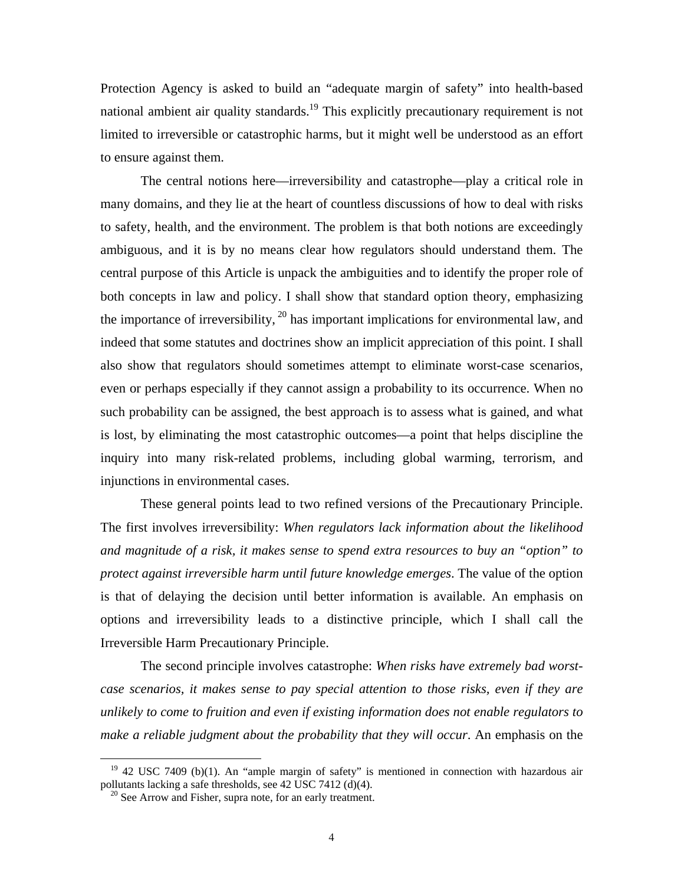Protection Agency is asked to build an "adequate margin of safety" into health-based national ambient air quality standards.<sup>19</sup> This explicitly precautionary requirement is not limited to irreversible or catastrophic harms, but it might well be understood as an effort to ensure against them.

The central notions here—irreversibility and catastrophe—play a critical role in many domains, and they lie at the heart of countless discussions of how to deal with risks to safety, health, and the environment. The problem is that both notions are exceedingly ambiguous, and it is by no means clear how regulators should understand them. The central purpose of this Article is unpack the ambiguities and to identify the proper role of both concepts in law and policy. I shall show that standard option theory, emphasizing the importance of irreversibility, <sup>20</sup> has important implications for environmental law, and indeed that some statutes and doctrines show an implicit appreciation of this point. I shall also show that regulators should sometimes attempt to eliminate worst-case scenarios, even or perhaps especially if they cannot assign a probability to its occurrence. When no such probability can be assigned, the best approach is to assess what is gained, and what is lost, by eliminating the most catastrophic outcomes—a point that helps discipline the inquiry into many risk-related problems, including global warming, terrorism, and injunctions in environmental cases.

These general points lead to two refined versions of the Precautionary Principle. The first involves irreversibility: *When regulators lack information about the likelihood and magnitude of a risk, it makes sense to spend extra resources to buy an "option" to protect against irreversible harm until future knowledge emerges*. The value of the option is that of delaying the decision until better information is available. An emphasis on options and irreversibility leads to a distinctive principle, which I shall call the Irreversible Harm Precautionary Principle.

The second principle involves catastrophe: *When risks have extremely bad worstcase scenarios, it makes sense to pay special attention to those risks, even if they are unlikely to come to fruition and even if existing information does not enable regulators to make a reliable judgment about the probability that they will occur*. An emphasis on the

<sup>&</sup>lt;sup>19</sup> 42 USC 7409 (b)(1). An "ample margin of safety" is mentioned in connection with hazardous air pollutants lacking a safe thresholds, see 42 USC 7412 (d)(4).

 $20$  See Arrow and Fisher, supra note, for an early treatment.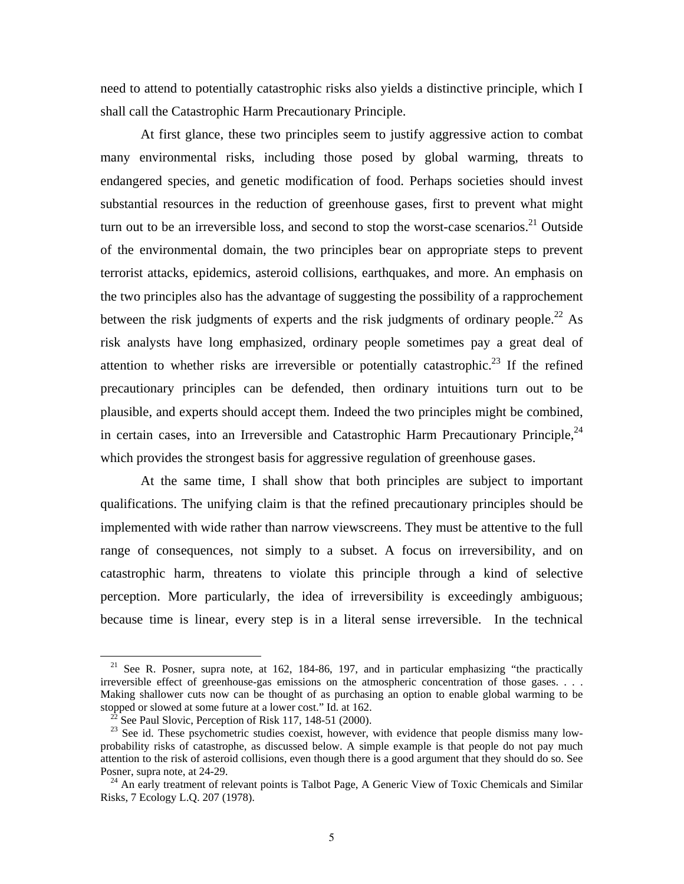need to attend to potentially catastrophic risks also yields a distinctive principle, which I shall call the Catastrophic Harm Precautionary Principle.

At first glance, these two principles seem to justify aggressive action to combat many environmental risks, including those posed by global warming, threats to endangered species, and genetic modification of food. Perhaps societies should invest substantial resources in the reduction of greenhouse gases, first to prevent what might turn out to be an irreversible loss, and second to stop the worst-case scenarios.<sup>21</sup> Outside of the environmental domain, the two principles bear on appropriate steps to prevent terrorist attacks, epidemics, asteroid collisions, earthquakes, and more. An emphasis on the two principles also has the advantage of suggesting the possibility of a rapprochement between the risk judgments of experts and the risk judgments of ordinary people.<sup>22</sup> As risk analysts have long emphasized, ordinary people sometimes pay a great deal of attention to whether risks are irreversible or potentially catastrophic.<sup>23</sup> If the refined precautionary principles can be defended, then ordinary intuitions turn out to be plausible, and experts should accept them. Indeed the two principles might be combined, in certain cases, into an Irreversible and Catastrophic Harm Precautionary Principle,<sup>24</sup> which provides the strongest basis for aggressive regulation of greenhouse gases.

At the same time, I shall show that both principles are subject to important qualifications. The unifying claim is that the refined precautionary principles should be implemented with wide rather than narrow viewscreens. They must be attentive to the full range of consequences, not simply to a subset. A focus on irreversibility, and on catastrophic harm, threatens to violate this principle through a kind of selective perception. More particularly, the idea of irreversibility is exceedingly ambiguous; because time is linear, every step is in a literal sense irreversible. In the technical

<sup>&</sup>lt;sup>21</sup> See R. Posner, supra note, at 162, 184-86, 197, and in particular emphasizing "the practically irreversible effect of greenhouse-gas emissions on the atmospheric concentration of those gases. . . . Making shallower cuts now can be thought of as purchasing an option to enable global warming to be stopped or slowed at some future at a lower cost." Id. at 162. <sup>22</sup> See Paul Slovic, Perception of Risk 117, 148-51 (2000).

<sup>&</sup>lt;sup>23</sup> See id. These psychometric studies coexist, however, with evidence that people dismiss many lowprobability risks of catastrophe, as discussed below. A simple example is that people do not pay much attention to the risk of asteroid collisions, even though there is a good argument that they should do so. See Posner, supra note, at 24-29.<br><sup>24</sup> An early treatment of relevant points is Talbot Page, A Generic View of Toxic Chemicals and Similar

Risks, 7 Ecology L.Q. 207 (1978).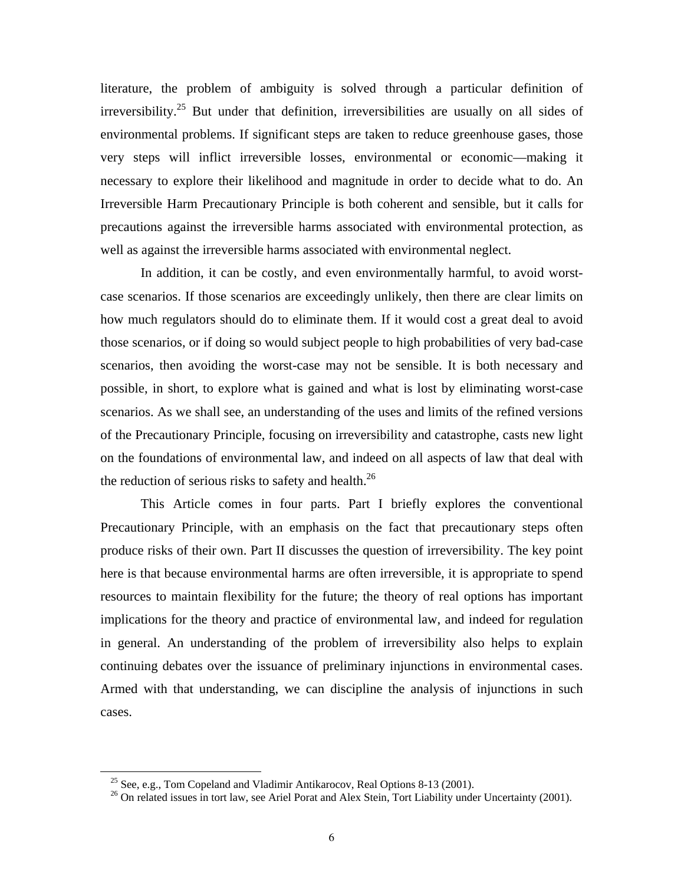literature, the problem of ambiguity is solved through a particular definition of irreversibility.<sup>25</sup> But under that definition, irreversibilities are usually on all sides of environmental problems. If significant steps are taken to reduce greenhouse gases, those very steps will inflict irreversible losses, environmental or economic—making it necessary to explore their likelihood and magnitude in order to decide what to do. An Irreversible Harm Precautionary Principle is both coherent and sensible, but it calls for precautions against the irreversible harms associated with environmental protection, as well as against the irreversible harms associated with environmental neglect.

In addition, it can be costly, and even environmentally harmful, to avoid worstcase scenarios. If those scenarios are exceedingly unlikely, then there are clear limits on how much regulators should do to eliminate them. If it would cost a great deal to avoid those scenarios, or if doing so would subject people to high probabilities of very bad-case scenarios, then avoiding the worst-case may not be sensible. It is both necessary and possible, in short, to explore what is gained and what is lost by eliminating worst-case scenarios. As we shall see, an understanding of the uses and limits of the refined versions of the Precautionary Principle, focusing on irreversibility and catastrophe, casts new light on the foundations of environmental law, and indeed on all aspects of law that deal with the reduction of serious risks to safety and health. $26$ 

This Article comes in four parts. Part I briefly explores the conventional Precautionary Principle, with an emphasis on the fact that precautionary steps often produce risks of their own. Part II discusses the question of irreversibility. The key point here is that because environmental harms are often irreversible, it is appropriate to spend resources to maintain flexibility for the future; the theory of real options has important implications for the theory and practice of environmental law, and indeed for regulation in general. An understanding of the problem of irreversibility also helps to explain continuing debates over the issuance of preliminary injunctions in environmental cases. Armed with that understanding, we can discipline the analysis of injunctions in such cases.

<sup>&</sup>lt;sup>25</sup> See, e.g., Tom Copeland and Vladimir Antikarocov, Real Options 8-13 (2001).

 $^{26}$  On related issues in tort law, see Ariel Porat and Alex Stein, Tort Liability under Uncertainty (2001).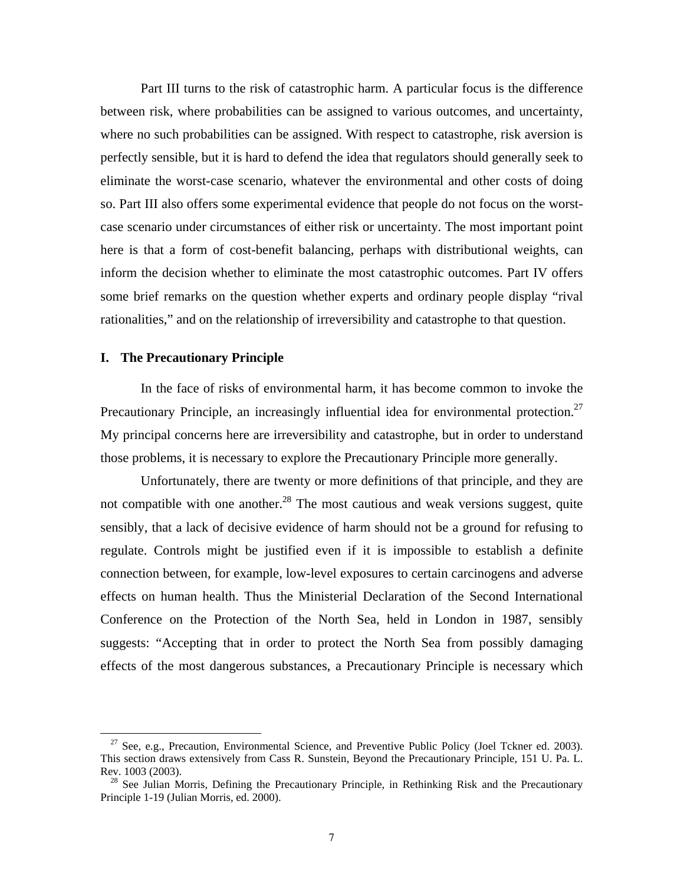Part III turns to the risk of catastrophic harm. A particular focus is the difference between risk, where probabilities can be assigned to various outcomes, and uncertainty, where no such probabilities can be assigned. With respect to catastrophe, risk aversion is perfectly sensible, but it is hard to defend the idea that regulators should generally seek to eliminate the worst-case scenario, whatever the environmental and other costs of doing so. Part III also offers some experimental evidence that people do not focus on the worstcase scenario under circumstances of either risk or uncertainty. The most important point here is that a form of cost-benefit balancing, perhaps with distributional weights, can inform the decision whether to eliminate the most catastrophic outcomes. Part IV offers some brief remarks on the question whether experts and ordinary people display "rival rationalities," and on the relationship of irreversibility and catastrophe to that question.

#### **I. The Precautionary Principle**

In the face of risks of environmental harm, it has become common to invoke the Precautionary Principle, an increasingly influential idea for environmental protection.<sup>27</sup> My principal concerns here are irreversibility and catastrophe, but in order to understand those problems, it is necessary to explore the Precautionary Principle more generally.

Unfortunately, there are twenty or more definitions of that principle, and they are not compatible with one another. $^{28}$  The most cautious and weak versions suggest, quite sensibly, that a lack of decisive evidence of harm should not be a ground for refusing to regulate. Controls might be justified even if it is impossible to establish a definite connection between, for example, low-level exposures to certain carcinogens and adverse effects on human health. Thus the Ministerial Declaration of the Second International Conference on the Protection of the North Sea, held in London in 1987, sensibly suggests: "Accepting that in order to protect the North Sea from possibly damaging effects of the most dangerous substances, a Precautionary Principle is necessary which

 $27$  See, e.g., Precaution, Environmental Science, and Preventive Public Policy (Joel Tckner ed. 2003). This section draws extensively from Cass R. Sunstein, Beyond the Precautionary Principle, 151 U. Pa. L.

 $28$  See Julian Morris, Defining the Precautionary Principle, in Rethinking Risk and the Precautionary Principle 1-19 (Julian Morris, ed. 2000).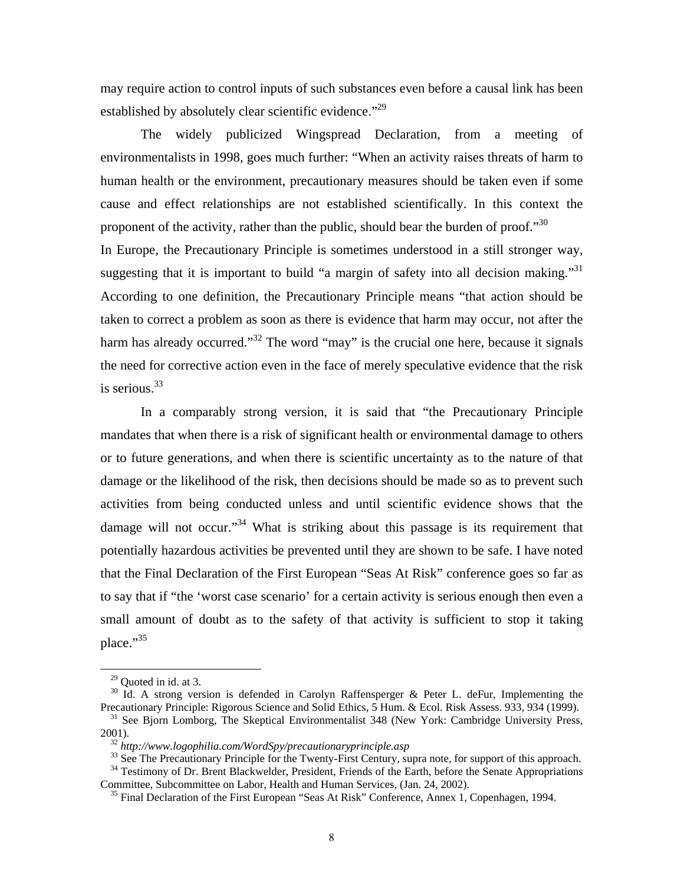may require action to control inputs of such substances even before a causal link has been established by absolutely clear scientific evidence.<sup> $29$ </sup>

The widely publicized Wingspread Declaration, from a meeting of environmentalists in 1998, goes much further: "When an activity raises threats of harm to human health or the environment, precautionary measures should be taken even if some cause and effect relationships are not established scientifically. In this context the proponent of the activity, rather than the public, should bear the burden of proof."<sup>30</sup> In Europe, the Precautionary Principle is sometimes understood in a still stronger way, suggesting that it is important to build "a margin of safety into all decision making."<sup>31</sup> According to one definition, the Precautionary Principle means "that action should be taken to correct a problem as soon as there is evidence that harm may occur, not after the harm has already occurred." $32$  The word "may" is the crucial one here, because it signals the need for corrective action even in the face of merely speculative evidence that the risk is serious.<sup>33</sup>

In a comparably strong version, it is said that "the Precautionary Principle mandates that when there is a risk of significant health or environmental damage to others or to future generations, and when there is scientific uncertainty as to the nature of that damage or the likelihood of the risk, then decisions should be made so as to prevent such activities from being conducted unless and until scientific evidence shows that the damage will not occur."<sup>34</sup> What is striking about this passage is its requirement that potentially hazardous activities be prevented until they are shown to be safe. I have noted that the Final Declaration of the First European "Seas At Risk" conference goes so far as to say that if "the 'worst case scenario' for a certain activity is serious enough then even a small amount of doubt as to the safety of that activity is sufficient to stop it taking place."<sup>35</sup>

 $29$  Quoted in id. at 3.

<sup>&</sup>lt;sup>30</sup> Id. A strong version is defended in Carolyn Raffensperger & Peter L. deFur, Implementing the Precautionary Principle: Rigorous Science and Solid Ethics, 5 Hum. & Ecol. Risk Assess. 933, 934 (1999).<br><sup>31</sup> See Bjorn Lomborg, The Skeptical Environmentalist 348 (New York: Cambridge University Press,

<sup>2001).&</sup>lt;br><sup>32</sup> http://www.logophilia.com/WordSpy/precautionaryprinciple.asp<br><sup>33</sup> See The Precautionary Principle for the Twenty-First Century, supra note, for support of this approach.<br><sup>34</sup> Testimony of Dr. Brent Blackwelder

Committee, Subcommittee on Labor, Health and Human Services, (Jan. 24, 2002).<br><sup>35</sup> Final Declaration of the First European "Seas At Risk" Conference, Annex 1, Copenhagen, 1994.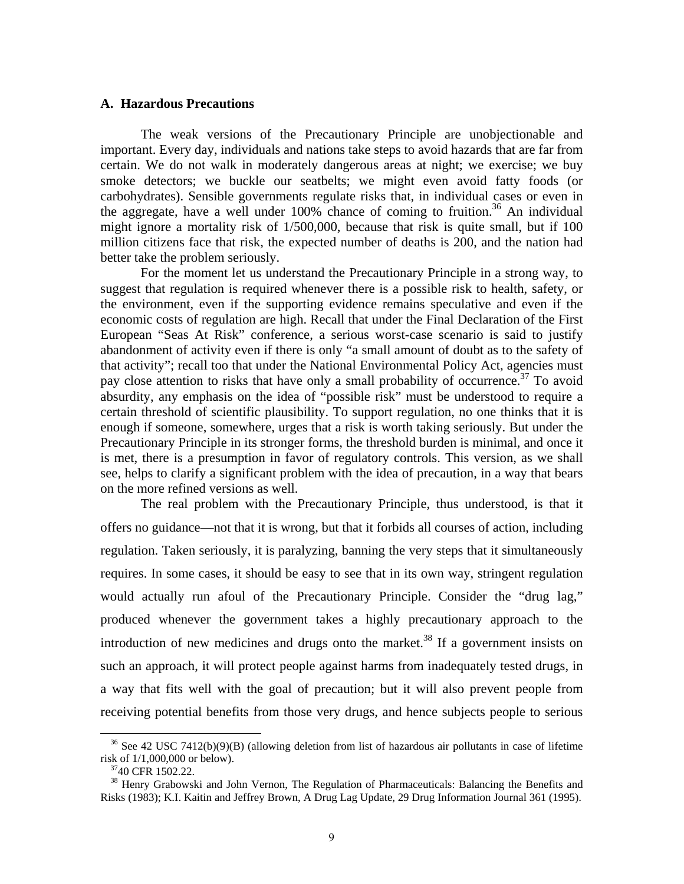#### **A. Hazardous Precautions**

The weak versions of the Precautionary Principle are unobjectionable and important. Every day, individuals and nations take steps to avoid hazards that are far from certain. We do not walk in moderately dangerous areas at night; we exercise; we buy smoke detectors; we buckle our seatbelts; we might even avoid fatty foods (or carbohydrates). Sensible governments regulate risks that, in individual cases or even in the aggregate, have a well under  $100\%$  chance of coming to fruition.<sup>36</sup> An individual might ignore a mortality risk of 1/500,000, because that risk is quite small, but if 100 million citizens face that risk, the expected number of deaths is 200, and the nation had better take the problem seriously.

For the moment let us understand the Precautionary Principle in a strong way, to suggest that regulation is required whenever there is a possible risk to health, safety, or the environment, even if the supporting evidence remains speculative and even if the economic costs of regulation are high. Recall that under the Final Declaration of the First European "Seas At Risk" conference, a serious worst-case scenario is said to justify abandonment of activity even if there is only "a small amount of doubt as to the safety of that activity"; recall too that under the National Environmental Policy Act, agencies must pay close attention to risks that have only a small probability of occurrence.<sup>37</sup> To avoid absurdity, any emphasis on the idea of "possible risk" must be understood to require a certain threshold of scientific plausibility. To support regulation, no one thinks that it is enough if someone, somewhere, urges that a risk is worth taking seriously. But under the Precautionary Principle in its stronger forms, the threshold burden is minimal, and once it is met, there is a presumption in favor of regulatory controls. This version, as we shall see, helps to clarify a significant problem with the idea of precaution, in a way that bears on the more refined versions as well.

The real problem with the Precautionary Principle, thus understood, is that it offers no guidance—not that it is wrong, but that it forbids all courses of action, including regulation. Taken seriously, it is paralyzing, banning the very steps that it simultaneously requires. In some cases, it should be easy to see that in its own way, stringent regulation would actually run afoul of the Precautionary Principle. Consider the "drug lag," produced whenever the government takes a highly precautionary approach to the introduction of new medicines and drugs onto the market.<sup>38</sup> If a government insists on such an approach, it will protect people against harms from inadequately tested drugs, in a way that fits well with the goal of precaution; but it will also prevent people from receiving potential benefits from those very drugs, and hence subjects people to serious

<sup>&</sup>lt;sup>36</sup> See 42 USC 7412(b)(9)(B) (allowing deletion from list of hazardous air pollutants in case of lifetime risk of  $1/1,000,000$  or below).<br><sup>37</sup>40 CFR 1502.22.

<sup>&</sup>lt;sup>38</sup> Henry Grabowski and John Vernon, The Regulation of Pharmaceuticals: Balancing the Benefits and Risks (1983); K.I. Kaitin and Jeffrey Brown, A Drug Lag Update, 29 Drug Information Journal 361 (1995).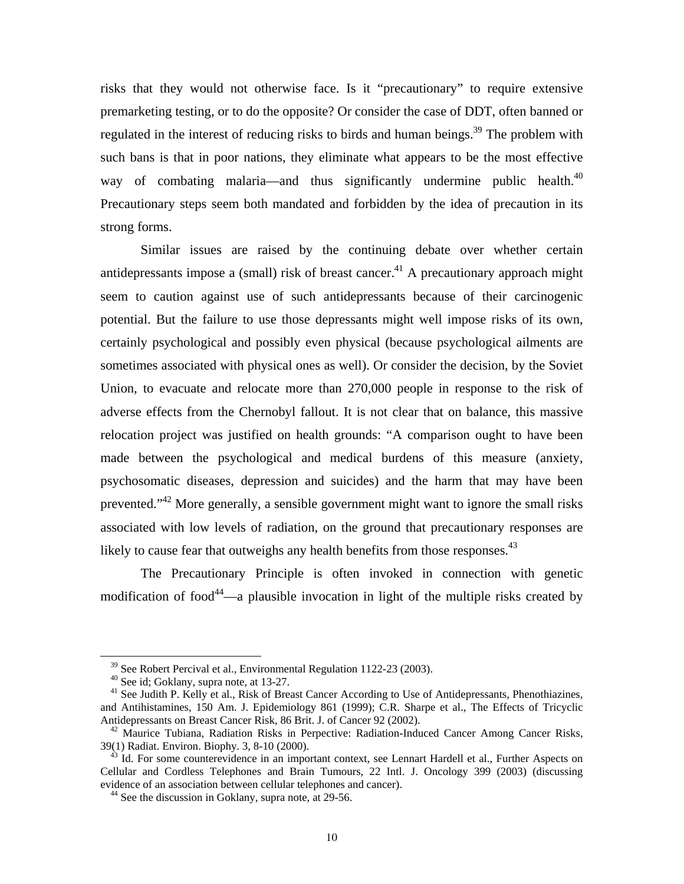risks that they would not otherwise face. Is it "precautionary" to require extensive premarketing testing, or to do the opposite? Or consider the case of DDT, often banned or regulated in the interest of reducing risks to birds and human beings.<sup>39</sup> The problem with such bans is that in poor nations, they eliminate what appears to be the most effective way of combating malaria—and thus significantly undermine public health.<sup>40</sup> Precautionary steps seem both mandated and forbidden by the idea of precaution in its strong forms.

Similar issues are raised by the continuing debate over whether certain antidepressants impose a (small) risk of breast cancer.<sup>41</sup> A precautionary approach might seem to caution against use of such antidepressants because of their carcinogenic potential. But the failure to use those depressants might well impose risks of its own, certainly psychological and possibly even physical (because psychological ailments are sometimes associated with physical ones as well). Or consider the decision, by the Soviet Union, to evacuate and relocate more than 270,000 people in response to the risk of adverse effects from the Chernobyl fallout. It is not clear that on balance, this massive relocation project was justified on health grounds: "A comparison ought to have been made between the psychological and medical burdens of this measure (anxiety, psychosomatic diseases, depression and suicides) and the harm that may have been prevented."42 More generally, a sensible government might want to ignore the small risks associated with low levels of radiation, on the ground that precautionary responses are likely to cause fear that outweighs any health benefits from those responses.<sup>43</sup>

The Precautionary Principle is often invoked in connection with genetic modification of food<sup>44</sup>—a plausible invocation in light of the multiple risks created by

<sup>&</sup>lt;sup>39</sup> See Robert Percival et al., Environmental Regulation 1122-23 (2003).

<sup>40</sup> See id; Goklany, supra note, at 13-27.

<sup>&</sup>lt;sup>41</sup> See Judith P. Kelly et al., Risk of Breast Cancer According to Use of Antidepressants, Phenothiazines, and Antihistamines, 150 Am. J. Epidemiology 861 (1999); C.R. Sharpe et al., The Effects of Tricyclic Antidepressants on Breast Cancer Risk, 86 Brit. J. of Cancer 92 (2002).

 $42$  Maurice Tubiana, Radiation Risks in Perpective: Radiation-Induced Cancer Among Cancer Risks,  $39(1)$  Radiat. Environ. Biophy. 3, 8-10 (2000).<br><sup>43</sup> Id. For some counterevidence in an important context, see Lennart Hardell et al., Further Aspects on

Cellular and Cordless Telephones and Brain Tumours, 22 Intl. J. Oncology 399 (2003) (discussing evidence of an association between cellular telephones and cancer). 44 See the discussion in Goklany, supra note, at 29-56.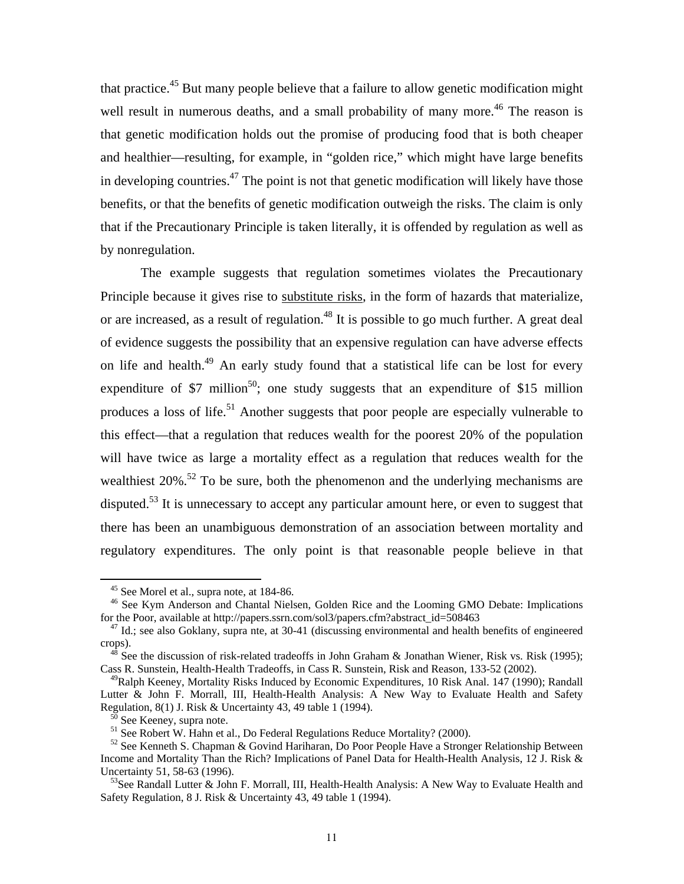that practice.<sup>45</sup> But many people believe that a failure to allow genetic modification might well result in numerous deaths, and a small probability of many more.<sup>46</sup> The reason is that genetic modification holds out the promise of producing food that is both cheaper and healthier—resulting, for example, in "golden rice," which might have large benefits in developing countries.<sup>47</sup> The point is not that genetic modification will likely have those benefits, or that the benefits of genetic modification outweigh the risks. The claim is only that if the Precautionary Principle is taken literally, it is offended by regulation as well as by nonregulation.

The example suggests that regulation sometimes violates the Precautionary Principle because it gives rise to substitute risks, in the form of hazards that materialize, or are increased, as a result of regulation.<sup>48</sup> It is possible to go much further. A great deal of evidence suggests the possibility that an expensive regulation can have adverse effects on life and health.<sup>49</sup> An early study found that a statistical life can be lost for every expenditure of \$7 million<sup>50</sup>; one study suggests that an expenditure of \$15 million produces a loss of life.<sup>51</sup> Another suggests that poor people are especially vulnerable to this effect—that a regulation that reduces wealth for the poorest 20% of the population will have twice as large a mortality effect as a regulation that reduces wealth for the wealthiest  $20\%$ .<sup>52</sup> To be sure, both the phenomenon and the underlying mechanisms are disputed.<sup>53</sup> It is unnecessary to accept any particular amount here, or even to suggest that there has been an unambiguous demonstration of an association between mortality and regulatory expenditures. The only point is that reasonable people believe in that

 $45$  See Morel et al., supra note, at 184-86.

<sup>46</sup> See Kym Anderson and Chantal Nielsen, Golden Rice and the Looming GMO Debate: Implications

for the Poor, available at http://papers.ssrn.com/sol3/papers.cfm?abstract\_id=508463<br><sup>47</sup> Id.; see also Goklany, supra nte, at 30-41 (discussing environmental and health benefits of engineered<br>crops).<br><sup>48</sup> See the discuss

See the discussion of risk-related tradeoffs in John Graham & Jonathan Wiener, Risk vs. Risk (1995); Cass R. Sunstein, Health-Health Tradeoffs, in Cass R. Sunstein, Risk and Reason, 133-52 (2002).

<sup>&</sup>lt;sup>49</sup>Ralph Keeney, Mortality Risks Induced by Economic Expenditures, 10 Risk Anal. 147 (1990); Randall Lutter & John F. Morrall, III, Health-Health Analysis: A New Way to Evaluate Health and Safety Regulation, 8(1) J. Risk & Uncertainty 43, 49 table 1 (1994).<br><sup>50</sup> See Keeney, supra note.<br><sup>51</sup> See Robert W. Hahn et al., Do Federal Regulations Reduce Mortality? (2000).

 $52$  See Kenneth S. Chapman & Govind Hariharan, Do Poor People Have a Stronger Relationship Between Income and Mortality Than the Rich? Implications of Panel Data for Health-Health Analysis, 12 J. Risk & Uncertainty 51, 58-63 (1996).<br><sup>53</sup>See Randall Lutter & John F. Morrall, III, Health-Health Analysis: A New Way to Evaluate Health and

Safety Regulation, 8 J. Risk & Uncertainty 43, 49 table 1 (1994).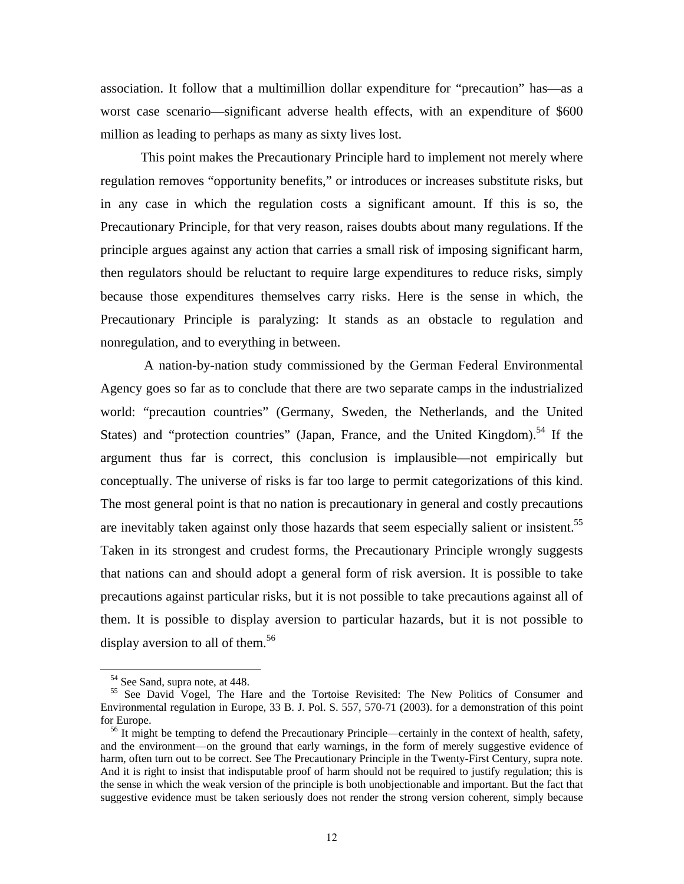association. It follow that a multimillion dollar expenditure for "precaution" has—as a worst case scenario—significant adverse health effects, with an expenditure of \$600 million as leading to perhaps as many as sixty lives lost.

This point makes the Precautionary Principle hard to implement not merely where regulation removes "opportunity benefits," or introduces or increases substitute risks, but in any case in which the regulation costs a significant amount. If this is so, the Precautionary Principle, for that very reason, raises doubts about many regulations. If the principle argues against any action that carries a small risk of imposing significant harm, then regulators should be reluctant to require large expenditures to reduce risks, simply because those expenditures themselves carry risks. Here is the sense in which, the Precautionary Principle is paralyzing: It stands as an obstacle to regulation and nonregulation, and to everything in between.

 A nation-by-nation study commissioned by the German Federal Environmental Agency goes so far as to conclude that there are two separate camps in the industrialized world: "precaution countries" (Germany, Sweden, the Netherlands, and the United States) and "protection countries" (Japan, France, and the United Kingdom).<sup>54</sup> If the argument thus far is correct, this conclusion is implausible—not empirically but conceptually. The universe of risks is far too large to permit categorizations of this kind. The most general point is that no nation is precautionary in general and costly precautions are inevitably taken against only those hazards that seem especially salient or insistent.<sup>55</sup> Taken in its strongest and crudest forms, the Precautionary Principle wrongly suggests that nations can and should adopt a general form of risk aversion. It is possible to take precautions against particular risks, but it is not possible to take precautions against all of them. It is possible to display aversion to particular hazards, but it is not possible to display aversion to all of them.<sup>56</sup>

54 See Sand, supra note, at 448.

<sup>&</sup>lt;sup>55</sup> See David Vogel, The Hare and the Tortoise Revisited: The New Politics of Consumer and Environmental regulation in Europe, 33 B. J. Pol. S. 557, 570-71 (2003). for a demonstration of this point for Europe.<br><sup>56</sup> It might be tempting to defend the Precautionary Principle—certainly in the context of health, safety,

and the environment—on the ground that early warnings, in the form of merely suggestive evidence of harm, often turn out to be correct. See The Precautionary Principle in the Twenty-First Century, supra note. And it is right to insist that indisputable proof of harm should not be required to justify regulation; this is the sense in which the weak version of the principle is both unobjectionable and important. But the fact that suggestive evidence must be taken seriously does not render the strong version coherent, simply because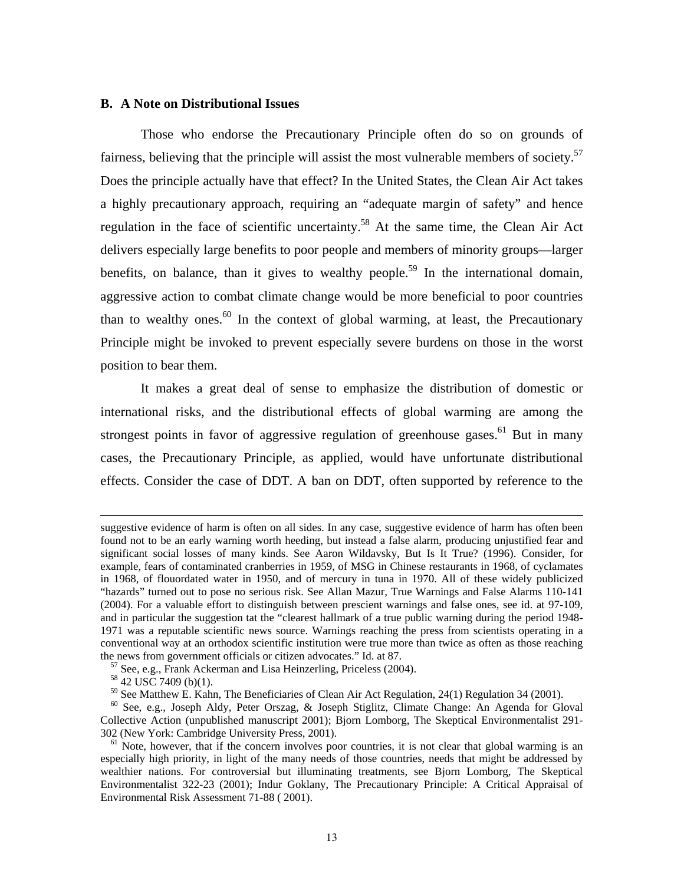#### **B. A Note on Distributional Issues**

Those who endorse the Precautionary Principle often do so on grounds of fairness, believing that the principle will assist the most vulnerable members of society.<sup>57</sup> Does the principle actually have that effect? In the United States, the Clean Air Act takes a highly precautionary approach, requiring an "adequate margin of safety" and hence regulation in the face of scientific uncertainty.<sup>58</sup> At the same time, the Clean Air Act delivers especially large benefits to poor people and members of minority groups—larger benefits, on balance, than it gives to wealthy people.<sup>59</sup> In the international domain, aggressive action to combat climate change would be more beneficial to poor countries than to wealthy ones.<sup>60</sup> In the context of global warming, at least, the Precautionary Principle might be invoked to prevent especially severe burdens on those in the worst position to bear them.

It makes a great deal of sense to emphasize the distribution of domestic or international risks, and the distributional effects of global warming are among the strongest points in favor of aggressive regulation of greenhouse gases.<sup>61</sup> But in many cases, the Precautionary Principle, as applied, would have unfortunate distributional effects. Consider the case of DDT. A ban on DDT, often supported by reference to the

 $\overline{a}$ 

suggestive evidence of harm is often on all sides. In any case, suggestive evidence of harm has often been found not to be an early warning worth heeding, but instead a false alarm, producing unjustified fear and significant social losses of many kinds. See Aaron Wildavsky, But Is It True? (1996). Consider, for example, fears of contaminated cranberries in 1959, of MSG in Chinese restaurants in 1968, of cyclamates in 1968, of flouordated water in 1950, and of mercury in tuna in 1970. All of these widely publicized "hazards" turned out to pose no serious risk. See Allan Mazur, True Warnings and False Alarms 110-141 (2004). For a valuable effort to distinguish between prescient warnings and false ones, see id. at 97-109, and in particular the suggestion tat the "clearest hallmark of a true public warning during the period 1948- 1971 was a reputable scientific news source. Warnings reaching the press from scientists operating in a conventional way at an orthodox scientific institution were true more than twice as often as those reaching the news from government officials or citizen advocates." Id. at 87.<br>
<sup>57</sup> See, e.g., Frank Ackerman and Lisa Heinzerling, Priceless (2004).<br>
<sup>58</sup> 42 USC 7409 (b)(1).<br>
<sup>59</sup> See Matthew E. Kahn, The Beneficiaries of Clean

<sup>&</sup>lt;sup>60</sup> See, e.g., Joseph Aldy, Peter Orszag, & Joseph Stiglitz, Climate Change: An Agenda for Gloval Collective Action (unpublished manuscript 2001); Bjorn Lomborg, The Skeptical Environmentalist 291-

 $<sup>61</sup>$  Note, however, that if the concern involves poor countries, it is not clear that global warming is an</sup> especially high priority, in light of the many needs of those countries, needs that might be addressed by wealthier nations. For controversial but illuminating treatments, see Bjorn Lomborg, The Skeptical Environmentalist 322-23 (2001); Indur Goklany, The Precautionary Principle: A Critical Appraisal of Environmental Risk Assessment 71-88 ( 2001).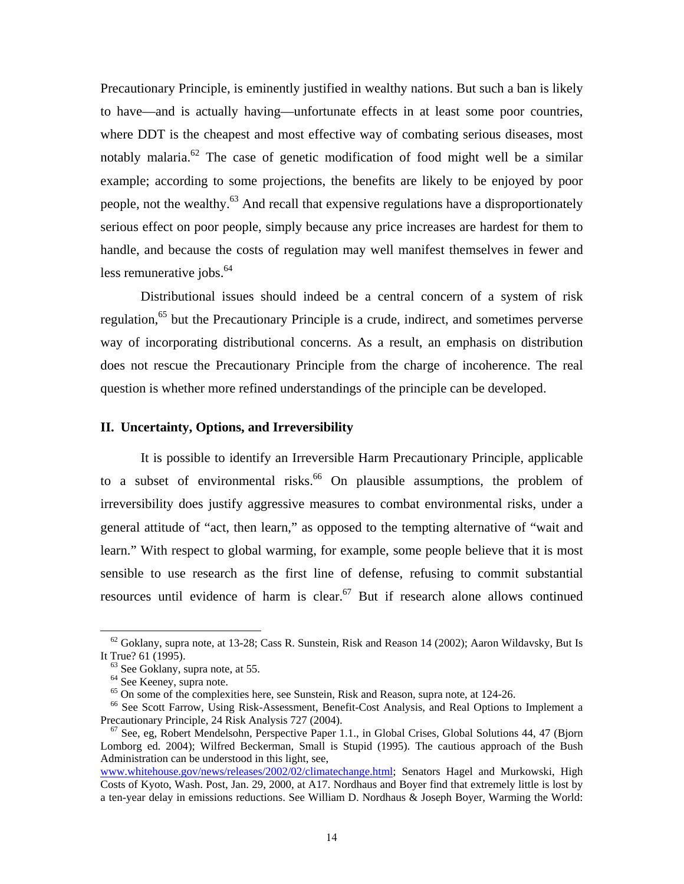Precautionary Principle, is eminently justified in wealthy nations. But such a ban is likely to have—and is actually having—unfortunate effects in at least some poor countries, where DDT is the cheapest and most effective way of combating serious diseases, most notably malaria.<sup>62</sup> The case of genetic modification of food might well be a similar example; according to some projections, the benefits are likely to be enjoyed by poor people, not the wealthy.63 And recall that expensive regulations have a disproportionately serious effect on poor people, simply because any price increases are hardest for them to handle, and because the costs of regulation may well manifest themselves in fewer and less remunerative jobs. $64$ 

Distributional issues should indeed be a central concern of a system of risk regulation,<sup>65</sup> but the Precautionary Principle is a crude, indirect, and sometimes perverse way of incorporating distributional concerns. As a result, an emphasis on distribution does not rescue the Precautionary Principle from the charge of incoherence. The real question is whether more refined understandings of the principle can be developed.

#### **II. Uncertainty, Options, and Irreversibility**

It is possible to identify an Irreversible Harm Precautionary Principle, applicable to a subset of environmental risks.<sup>66</sup> On plausible assumptions, the problem of irreversibility does justify aggressive measures to combat environmental risks, under a general attitude of "act, then learn," as opposed to the tempting alternative of "wait and learn." With respect to global warming, for example, some people believe that it is most sensible to use research as the first line of defense, refusing to commit substantial resources until evidence of harm is clear. $67$  But if research alone allows continued

 $62$  Goklany, supra note, at 13-28; Cass R. Sunstein, Risk and Reason 14 (2002); Aaron Wildavsky, But Is It True? 61 (1995).<br> $63$  See Goklany, supra note, at 55.

 $64$  See Keeney, supra note.<br> $65$  On some of the complexities here, see Sunstein, Risk and Reason, supra note, at 124-26.

<sup>&</sup>lt;sup>66</sup> See Scott Farrow, Using Risk-Assessment, Benefit-Cost Analysis, and Real Options to Implement a Precautionary Principle, 24 Risk Analysis 727 (2004).

 $^{67}$  See, eg, Robert Mendelsohn, Perspective Paper 1.1., in Global Crises, Global Solutions 44, 47 (Bjorn Lomborg ed. 2004); Wilfred Beckerman, Small is Stupid (1995). The cautious approach of the Bush Administration can be understood in this light, see,

www.whitehouse.gov/news/releases/2002/02/climatechange.html; Senators Hagel and Murkowski, High Costs of Kyoto, Wash. Post, Jan. 29, 2000, at A17. Nordhaus and Boyer find that extremely little is lost by a ten-year delay in emissions reductions. See William D. Nordhaus & Joseph Boyer, Warming the World: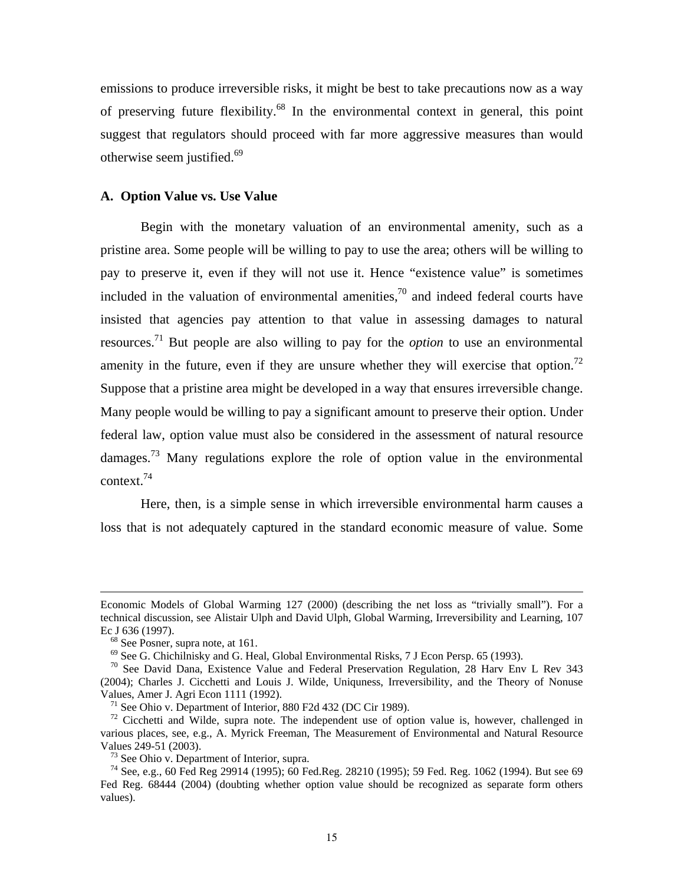emissions to produce irreversible risks, it might be best to take precautions now as a way of preserving future flexibility.68 In the environmental context in general, this point suggest that regulators should proceed with far more aggressive measures than would otherwise seem justified.<sup>69</sup>

#### **A. Option Value vs. Use Value**

Begin with the monetary valuation of an environmental amenity, such as a pristine area. Some people will be willing to pay to use the area; others will be willing to pay to preserve it, even if they will not use it. Hence "existence value" is sometimes included in the valuation of environmental amenities,<sup>70</sup> and indeed federal courts have insisted that agencies pay attention to that value in assessing damages to natural resources.71 But people are also willing to pay for the *option* to use an environmental amenity in the future, even if they are unsure whether they will exercise that option.<sup>72</sup> Suppose that a pristine area might be developed in a way that ensures irreversible change. Many people would be willing to pay a significant amount to preserve their option. Under federal law, option value must also be considered in the assessment of natural resource damages.<sup>73</sup> Many regulations explore the role of option value in the environmental context.74

Here, then, is a simple sense in which irreversible environmental harm causes a loss that is not adequately captured in the standard economic measure of value. Some

 $\overline{a}$ 

Economic Models of Global Warming 127 (2000) (describing the net loss as "trivially small"). For a technical discussion, see Alistair Ulph and David Ulph, Global Warming, Irreversibility and Learning, 107 Ec J 636 (1997).<br><sup>68</sup> See Posner, supra note, at 161.

<sup>69</sup> See G. Chichilnisky and G. Heal, Global Environmental Risks, 7 J Econ Persp. 65 (1993).

<sup>70</sup> See David Dana, Existence Value and Federal Preservation Regulation, 28 Harv Env L Rev 343 (2004); Charles J. Cicchetti and Louis J. Wilde, Uniquness, Irreversibility, and the Theory of Nonuse Values, Amer J. Agri Econ 1111 (1992).<br><sup>71</sup> See Ohio v. Department of Interior, 880 F2d 432 (DC Cir 1989).

 $72$  Cicchetti and Wilde, supra note. The independent use of option value is, however, challenged in various places, see, e.g., A. Myrick Freeman, The Measurement of Environmental and Natural Resource Values 249-51 (2003).<br> $\frac{73}{3}$  See Ohio v. Department of Interior, supra.

<sup>74</sup> See, e.g., 60 Fed Reg 29914 (1995); 60 Fed.Reg. 28210 (1995); 59 Fed. Reg. 1062 (1994). But see 69 Fed Reg. 68444 (2004) (doubting whether option value should be recognized as separate form others values).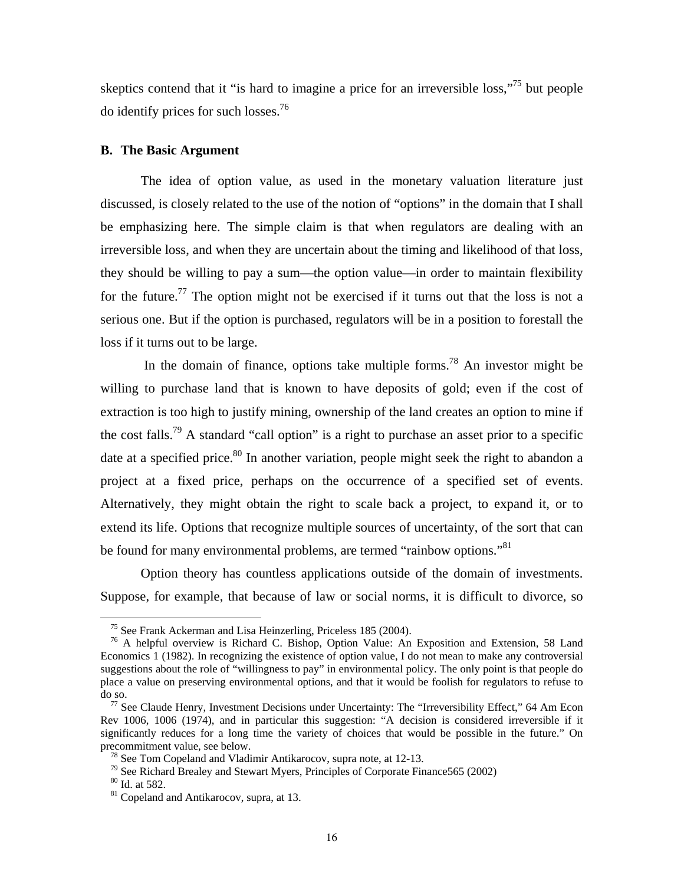skeptics contend that it "is hard to imagine a price for an irreversible loss,"<sup>75</sup> but people do identify prices for such losses. $^{76}$ 

#### **B. The Basic Argument**

The idea of option value, as used in the monetary valuation literature just discussed, is closely related to the use of the notion of "options" in the domain that I shall be emphasizing here. The simple claim is that when regulators are dealing with an irreversible loss, and when they are uncertain about the timing and likelihood of that loss, they should be willing to pay a sum—the option value—in order to maintain flexibility for the future.<sup>77</sup> The option might not be exercised if it turns out that the loss is not a serious one. But if the option is purchased, regulators will be in a position to forestall the loss if it turns out to be large.

In the domain of finance, options take multiple forms.<sup>78</sup> An investor might be willing to purchase land that is known to have deposits of gold; even if the cost of extraction is too high to justify mining, ownership of the land creates an option to mine if the cost falls.<sup>79</sup> A standard "call option" is a right to purchase an asset prior to a specific date at a specified price.<sup>80</sup> In another variation, people might seek the right to abandon a project at a fixed price, perhaps on the occurrence of a specified set of events. Alternatively, they might obtain the right to scale back a project, to expand it, or to extend its life. Options that recognize multiple sources of uncertainty, of the sort that can be found for many environmental problems, are termed "rainbow options."<sup>81</sup>

Option theory has countless applications outside of the domain of investments. Suppose, for example, that because of law or social norms, it is difficult to divorce, so

<sup>&</sup>lt;sup>75</sup> See Frank Ackerman and Lisa Heinzerling, Priceless 185 (2004).<br><sup>76</sup> A helpful overview is Richard C. Bishop, Option Value: An Exposition and Extension, 58 Land Economics 1 (1982). In recognizing the existence of option value, I do not mean to make any controversial suggestions about the role of "willingness to pay" in environmental policy. The only point is that people do place a value on preserving environmental options, and that it would be foolish for regulators to refuse to do so.<br><sup>77</sup> See Claude Henry, Investment Decisions under Uncertainty: The "Irreversibility Effect," 64 Am Econ

Rev 1006, 1006 (1974), and in particular this suggestion: "A decision is considered irreversible if it significantly reduces for a long time the variety of choices that would be possible in the future." On precommitment value, see below.<br><sup>78</sup> See Tom Copeland and Vladimir Antikarocov, supra note, at 12-13.

<sup>&</sup>lt;sup>79</sup> See Richard Brealey and Stewart Myers, Principles of Corporate Finance565 (2002) <sup>80</sup> Id. at 582.

<sup>&</sup>lt;sup>81</sup> Copeland and Antikarocov, supra, at 13.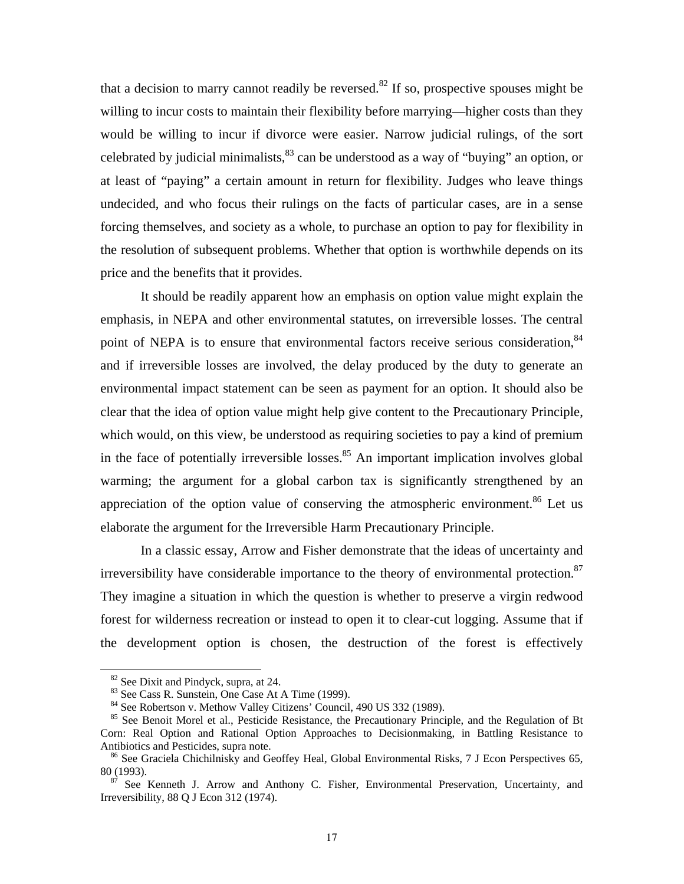that a decision to marry cannot readily be reversed.<sup>82</sup> If so, prospective spouses might be willing to incur costs to maintain their flexibility before marrying—higher costs than they would be willing to incur if divorce were easier. Narrow judicial rulings, of the sort celebrated by judicial minimalists,  $83$  can be understood as a way of "buying" an option, or at least of "paying" a certain amount in return for flexibility. Judges who leave things undecided, and who focus their rulings on the facts of particular cases, are in a sense forcing themselves, and society as a whole, to purchase an option to pay for flexibility in the resolution of subsequent problems. Whether that option is worthwhile depends on its price and the benefits that it provides.

It should be readily apparent how an emphasis on option value might explain the emphasis, in NEPA and other environmental statutes, on irreversible losses. The central point of NEPA is to ensure that environmental factors receive serious consideration,  $84$ and if irreversible losses are involved, the delay produced by the duty to generate an environmental impact statement can be seen as payment for an option. It should also be clear that the idea of option value might help give content to the Precautionary Principle, which would, on this view, be understood as requiring societies to pay a kind of premium in the face of potentially irreversible losses.<sup>85</sup> An important implication involves global warming; the argument for a global carbon tax is significantly strengthened by an appreciation of the option value of conserving the atmospheric environment.<sup>86</sup> Let us elaborate the argument for the Irreversible Harm Precautionary Principle.

In a classic essay, Arrow and Fisher demonstrate that the ideas of uncertainty and irreversibility have considerable importance to the theory of environmental protection. $87$ They imagine a situation in which the question is whether to preserve a virgin redwood forest for wilderness recreation or instead to open it to clear-cut logging. Assume that if the development option is chosen, the destruction of the forest is effectively

82 See Dixit and Pindyck, supra, at 24.

<sup>83</sup> See Cass R. Sunstein, One Case At A Time (1999).

<sup>84</sup> See Robertson v. Methow Valley Citizens' Council, 490 US 332 (1989).

<sup>&</sup>lt;sup>85</sup> See Benoit Morel et al., Pesticide Resistance, the Precautionary Principle, and the Regulation of Bt Corn: Real Option and Rational Option Approaches to Decisionmaking, in Battling Resistance to

Antibiotics and Pesticides, supra note.<br><sup>86</sup> See Graciela Chichilnisky and Geoffey Heal, Global Environmental Risks, 7 J Econ Perspectives 65, 80 (1993).

<sup>&</sup>lt;sup>87</sup> See Kenneth J. Arrow and Anthony C. Fisher, Environmental Preservation, Uncertainty, and Irreversibility, 88 Q J Econ 312 (1974).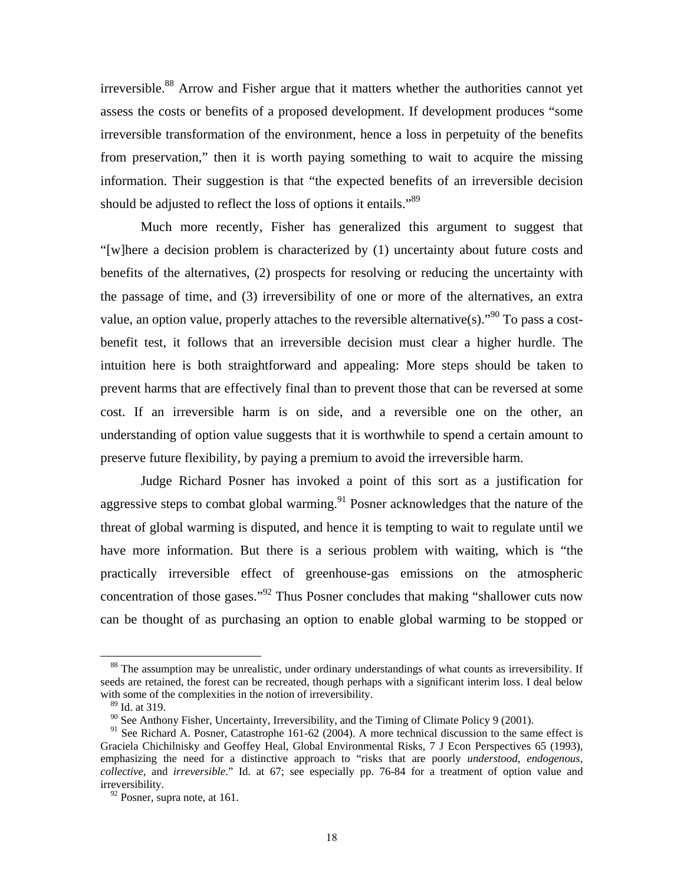irreversible.<sup>88</sup> Arrow and Fisher argue that it matters whether the authorities cannot yet assess the costs or benefits of a proposed development. If development produces "some irreversible transformation of the environment, hence a loss in perpetuity of the benefits from preservation," then it is worth paying something to wait to acquire the missing information. Their suggestion is that "the expected benefits of an irreversible decision should be adjusted to reflect the loss of options it entails."<sup>89</sup>

Much more recently, Fisher has generalized this argument to suggest that "[w]here a decision problem is characterized by (1) uncertainty about future costs and benefits of the alternatives, (2) prospects for resolving or reducing the uncertainty with the passage of time, and (3) irreversibility of one or more of the alternatives, an extra value, an option value, properly attaches to the reversible alternative(s). $"^{90}$  To pass a costbenefit test, it follows that an irreversible decision must clear a higher hurdle. The intuition here is both straightforward and appealing: More steps should be taken to prevent harms that are effectively final than to prevent those that can be reversed at some cost. If an irreversible harm is on side, and a reversible one on the other, an understanding of option value suggests that it is worthwhile to spend a certain amount to preserve future flexibility, by paying a premium to avoid the irreversible harm.

Judge Richard Posner has invoked a point of this sort as a justification for aggressive steps to combat global warming.<sup>91</sup> Posner acknowledges that the nature of the threat of global warming is disputed, and hence it is tempting to wait to regulate until we have more information. But there is a serious problem with waiting, which is "the practically irreversible effect of greenhouse-gas emissions on the atmospheric concentration of those gases."92 Thus Posner concludes that making "shallower cuts now can be thought of as purchasing an option to enable global warming to be stopped or

<sup>&</sup>lt;sup>88</sup> The assumption may be unrealistic, under ordinary understandings of what counts as irreversibility. If seeds are retained, the forest can be recreated, though perhaps with a significant interim loss. I deal below with some of the complexities in the notion of irreversibility.

<sup>89</sup> Id. at 319.

<sup>&</sup>lt;sup>90</sup> See Anthony Fisher, Uncertainty, Irreversibility, and the Timing of Climate Policy 9 (2001).

<sup>&</sup>lt;sup>91</sup> See Richard A. Posner, Catastrophe 161-62 (2004). A more technical discussion to the same effect is Graciela Chichilnisky and Geoffey Heal, Global Environmental Risks, 7 J Econ Perspectives 65 (1993), emphasizing the need for a distinctive approach to "risks that are poorly *understood, endogenous, collective*, and *irreversible*." Id. at 67; see especially pp. 76-84 for a treatment of option value and irreversibility.

 $92$  Posner, supra note, at 161.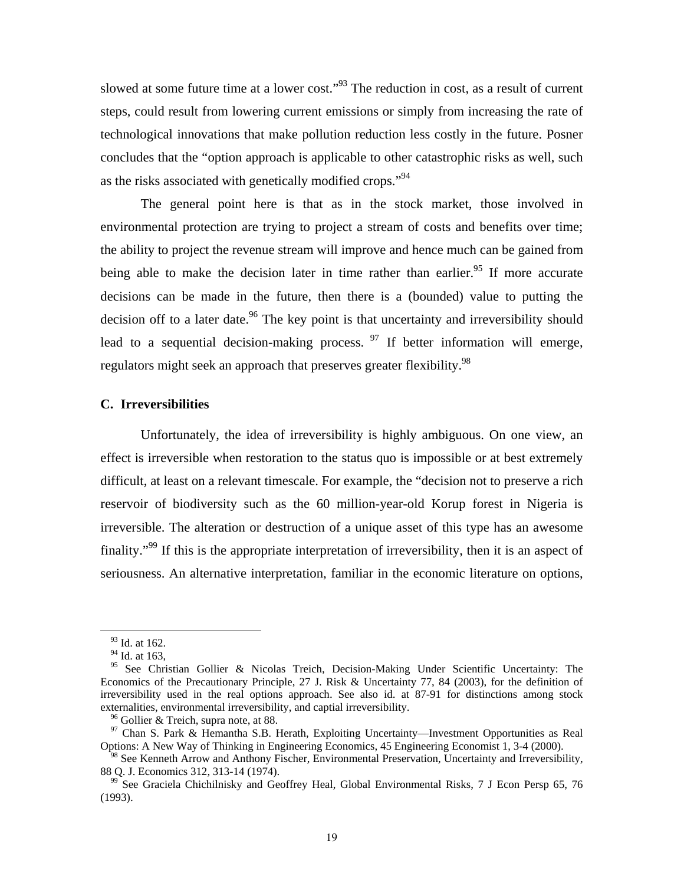slowed at some future time at a lower cost."<sup>93</sup> The reduction in cost, as a result of current steps, could result from lowering current emissions or simply from increasing the rate of technological innovations that make pollution reduction less costly in the future. Posner concludes that the "option approach is applicable to other catastrophic risks as well, such as the risks associated with genetically modified crops."<sup>94</sup>

The general point here is that as in the stock market, those involved in environmental protection are trying to project a stream of costs and benefits over time; the ability to project the revenue stream will improve and hence much can be gained from being able to make the decision later in time rather than earlier.<sup>95</sup> If more accurate decisions can be made in the future, then there is a (bounded) value to putting the decision off to a later date.<sup>96</sup> The key point is that uncertainty and irreversibility should lead to a sequential decision-making process.  $97$  If better information will emerge, regulators might seek an approach that preserves greater flexibility.<sup>98</sup>

#### **C. Irreversibilities**

Unfortunately, the idea of irreversibility is highly ambiguous. On one view, an effect is irreversible when restoration to the status quo is impossible or at best extremely difficult, at least on a relevant timescale. For example, the "decision not to preserve a rich reservoir of biodiversity such as the 60 million-year-old Korup forest in Nigeria is irreversible. The alteration or destruction of a unique asset of this type has an awesome finality."99 If this is the appropriate interpretation of irreversibility, then it is an aspect of seriousness. An alternative interpretation, familiar in the economic literature on options,

93 Id. at 162.

<sup>&</sup>lt;sup>94</sup> Id. at 163,

<sup>&</sup>lt;sup>95</sup> See Christian Gollier & Nicolas Treich, Decision-Making Under Scientific Uncertainty: The Economics of the Precautionary Principle, 27 J. Risk & Uncertainty 77, 84 (2003), for the definition of irreversibility used in the real options approach. See also id. at 87-91 for distinctions among stock externalities, environmental irreversibility, and captial irreversibility.<br><sup>96</sup> Gollier & Treich, supra note, at 88.

<sup>97</sup> Chan S. Park & Hemantha S.B. Herath, Exploiting Uncertainty—Investment Opportunities as Real Options: A New Way of Thinking in Engineering Economics, 45 Engineering Economist 1, 3-4 (2000).

<sup>&</sup>lt;sup>98</sup> See Kenneth Arrow and Anthony Fischer, Environmental Preservation, Uncertainty and Irreversibility, 88 Q. J. Economics 312, 313-14 (1974).

<sup>&</sup>lt;sup>99</sup> See Graciela Chichilnisky and Geoffrey Heal, Global Environmental Risks, 7 J Econ Persp 65, 76 (1993).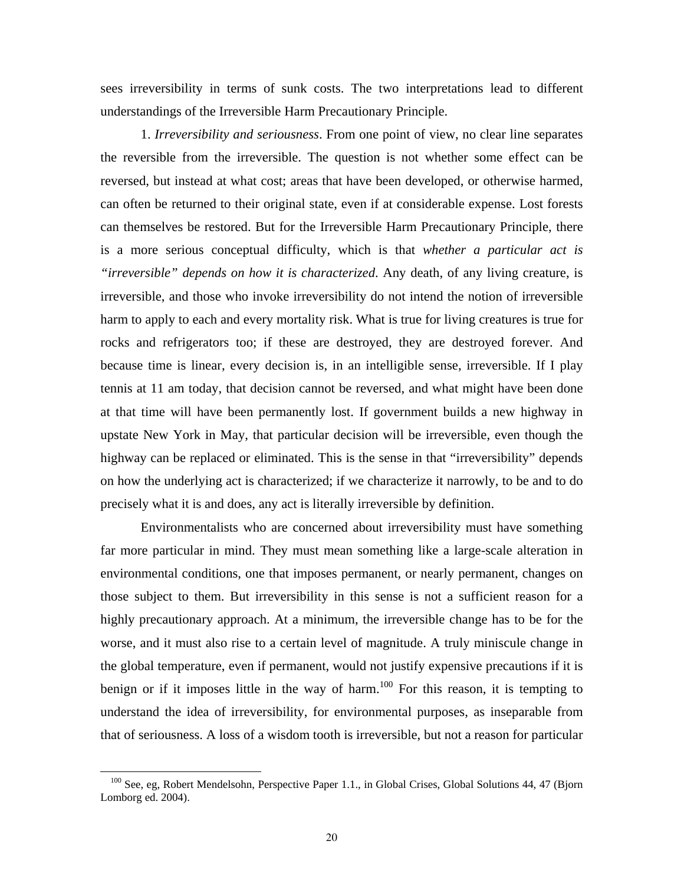sees irreversibility in terms of sunk costs. The two interpretations lead to different understandings of the Irreversible Harm Precautionary Principle.

1. *Irreversibility and seriousness*. From one point of view, no clear line separates the reversible from the irreversible. The question is not whether some effect can be reversed, but instead at what cost; areas that have been developed, or otherwise harmed, can often be returned to their original state, even if at considerable expense. Lost forests can themselves be restored. But for the Irreversible Harm Precautionary Principle, there is a more serious conceptual difficulty, which is that *whether a particular act is "irreversible" depends on how it is characterized*. Any death, of any living creature, is irreversible, and those who invoke irreversibility do not intend the notion of irreversible harm to apply to each and every mortality risk. What is true for living creatures is true for rocks and refrigerators too; if these are destroyed, they are destroyed forever. And because time is linear, every decision is, in an intelligible sense, irreversible. If I play tennis at 11 am today, that decision cannot be reversed, and what might have been done at that time will have been permanently lost. If government builds a new highway in upstate New York in May, that particular decision will be irreversible, even though the highway can be replaced or eliminated. This is the sense in that "irreversibility" depends on how the underlying act is characterized; if we characterize it narrowly, to be and to do precisely what it is and does, any act is literally irreversible by definition.

Environmentalists who are concerned about irreversibility must have something far more particular in mind. They must mean something like a large-scale alteration in environmental conditions, one that imposes permanent, or nearly permanent, changes on those subject to them. But irreversibility in this sense is not a sufficient reason for a highly precautionary approach. At a minimum, the irreversible change has to be for the worse, and it must also rise to a certain level of magnitude. A truly miniscule change in the global temperature, even if permanent, would not justify expensive precautions if it is benign or if it imposes little in the way of harm.<sup>100</sup> For this reason, it is tempting to understand the idea of irreversibility, for environmental purposes, as inseparable from that of seriousness. A loss of a wisdom tooth is irreversible, but not a reason for particular

100 See, eg, Robert Mendelsohn, Perspective Paper 1.1., in Global Crises, Global Solutions 44, 47 (Bjorn Lomborg ed. 2004).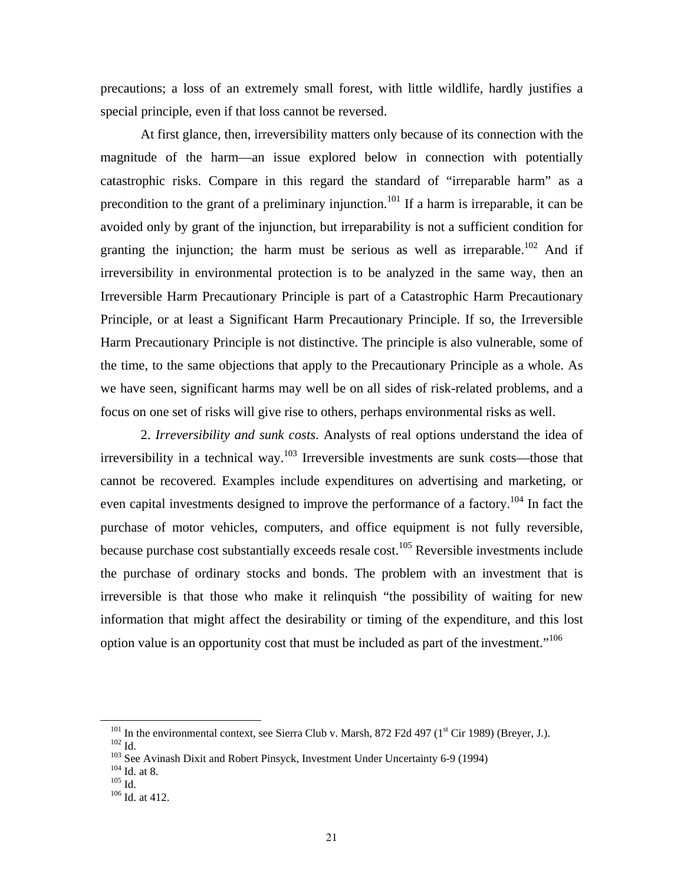precautions; a loss of an extremely small forest, with little wildlife, hardly justifies a special principle, even if that loss cannot be reversed.

At first glance, then, irreversibility matters only because of its connection with the magnitude of the harm—an issue explored below in connection with potentially catastrophic risks. Compare in this regard the standard of "irreparable harm" as a precondition to the grant of a preliminary injunction.<sup>101</sup> If a harm is irreparable, it can be avoided only by grant of the injunction, but irreparability is not a sufficient condition for granting the injunction; the harm must be serious as well as irreparable.<sup>102</sup> And if irreversibility in environmental protection is to be analyzed in the same way, then an Irreversible Harm Precautionary Principle is part of a Catastrophic Harm Precautionary Principle, or at least a Significant Harm Precautionary Principle. If so, the Irreversible Harm Precautionary Principle is not distinctive. The principle is also vulnerable, some of the time, to the same objections that apply to the Precautionary Principle as a whole. As we have seen, significant harms may well be on all sides of risk-related problems, and a focus on one set of risks will give rise to others, perhaps environmental risks as well.

2. *Irreversibility and sunk costs*. Analysts of real options understand the idea of irreversibility in a technical way.<sup>103</sup> Irreversible investments are sunk costs—those that cannot be recovered. Examples include expenditures on advertising and marketing, or even capital investments designed to improve the performance of a factory.<sup>104</sup> In fact the purchase of motor vehicles, computers, and office equipment is not fully reversible, because purchase cost substantially exceeds resale cost.<sup>105</sup> Reversible investments include the purchase of ordinary stocks and bonds. The problem with an investment that is irreversible is that those who make it relinquish "the possibility of waiting for new information that might affect the desirability or timing of the expenditure, and this lost option value is an opportunity cost that must be included as part of the investment."<sup>106</sup>

<sup>&</sup>lt;sup>101</sup> In the environmental context, see Sierra Club v. Marsh, 872 F2d 497 (1<sup>st</sup> Cir 1989) (Breyer, J.).<br><sup>102</sup> Id.<br><sup>103</sup> See Avinash Dixit and Robert Pinsyck, Investment Under Uncertainty 6-9 (1994)<br><sup>104</sup> Id. at 8.<br><sup>105</sup>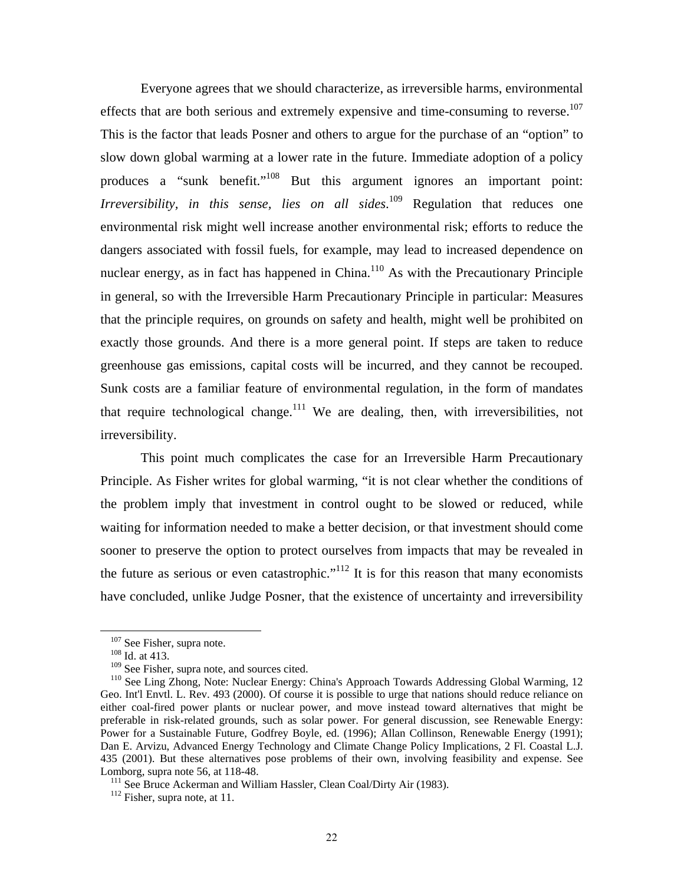Everyone agrees that we should characterize, as irreversible harms, environmental effects that are both serious and extremely expensive and time-consuming to reverse.<sup>107</sup> This is the factor that leads Posner and others to argue for the purchase of an "option" to slow down global warming at a lower rate in the future. Immediate adoption of a policy produces a "sunk benefit."<sup>108</sup> But this argument ignores an important point: *Irreversibility, in this sense, lies on all sides*. 109 Regulation that reduces one environmental risk might well increase another environmental risk; efforts to reduce the dangers associated with fossil fuels, for example, may lead to increased dependence on nuclear energy, as in fact has happened in China.<sup>110</sup> As with the Precautionary Principle in general, so with the Irreversible Harm Precautionary Principle in particular: Measures that the principle requires, on grounds on safety and health, might well be prohibited on exactly those grounds. And there is a more general point. If steps are taken to reduce greenhouse gas emissions, capital costs will be incurred, and they cannot be recouped. Sunk costs are a familiar feature of environmental regulation, in the form of mandates that require technological change.<sup>111</sup> We are dealing, then, with irreversibilities, not irreversibility.

This point much complicates the case for an Irreversible Harm Precautionary Principle. As Fisher writes for global warming, "it is not clear whether the conditions of the problem imply that investment in control ought to be slowed or reduced, while waiting for information needed to make a better decision, or that investment should come sooner to preserve the option to protect ourselves from impacts that may be revealed in the future as serious or even catastrophic."<sup>112</sup> It is for this reason that many economists have concluded, unlike Judge Posner, that the existence of uncertainty and irreversibility

<sup>&</sup>lt;sup>107</sup> See Fisher, supra note.<br><sup>108</sup> Id. at 413.<br><sup>109</sup> See Fisher, supra note, and sources cited.

<sup>&</sup>lt;sup>110</sup> See Ling Zhong, Note: Nuclear Energy: China's Approach Towards Addressing Global Warming, 12 Geo. Int'l Envtl. L. Rev. 493 (2000). Of course it is possible to urge that nations should reduce reliance on either coal-fired power plants or nuclear power, and move instead toward alternatives that might be preferable in risk-related grounds, such as solar power. For general discussion, see Renewable Energy: Power for a Sustainable Future, Godfrey Boyle, ed. (1996); Allan Collinson, Renewable Energy (1991); Dan E. Arvizu, Advanced Energy Technology and Climate Change Policy Implications, 2 Fl. Coastal L.J. 435 (2001). But these alternatives pose problems of their own, involving feasibility and expense. See Lomborg, supra note 56, at 118-48.<br><sup>111</sup> See Bruce Ackerman and William Hassler, Clean Coal/Dirty Air (1983).<br><sup>112</sup> Fisher, supra note, at 11.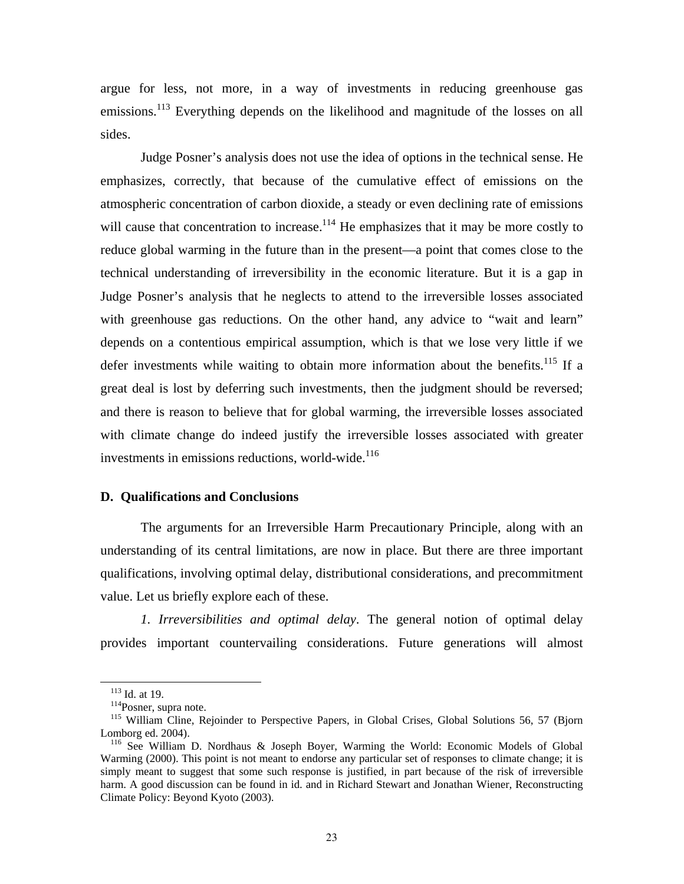argue for less, not more, in a way of investments in reducing greenhouse gas emissions.<sup>113</sup> Everything depends on the likelihood and magnitude of the losses on all sides.

Judge Posner's analysis does not use the idea of options in the technical sense. He emphasizes, correctly, that because of the cumulative effect of emissions on the atmospheric concentration of carbon dioxide, a steady or even declining rate of emissions will cause that concentration to increase.<sup>114</sup> He emphasizes that it may be more costly to reduce global warming in the future than in the present—a point that comes close to the technical understanding of irreversibility in the economic literature. But it is a gap in Judge Posner's analysis that he neglects to attend to the irreversible losses associated with greenhouse gas reductions. On the other hand, any advice to "wait and learn" depends on a contentious empirical assumption, which is that we lose very little if we defer investments while waiting to obtain more information about the benefits.<sup>115</sup> If a great deal is lost by deferring such investments, then the judgment should be reversed; and there is reason to believe that for global warming, the irreversible losses associated with climate change do indeed justify the irreversible losses associated with greater investments in emissions reductions, world-wide.<sup>116</sup>

#### **D. Qualifications and Conclusions**

The arguments for an Irreversible Harm Precautionary Principle, along with an understanding of its central limitations, are now in place. But there are three important qualifications, involving optimal delay, distributional considerations, and precommitment value. Let us briefly explore each of these.

*1. Irreversibilities and optimal delay*. The general notion of optimal delay provides important countervailing considerations. Future generations will almost

<sup>&</sup>lt;sup>113</sup> Id. at 19.<br><sup>114</sup>Posner, supra note.<br><sup>115</sup> William Cline, Rejoinder to Perspective Papers, in Global Crises, Global Solutions 56, 57 (Bjorn Lomborg ed. 2004).<br><sup>116</sup> See William D. Nordhaus & Joseph Boyer, Warming the World: Economic Models of Global

Warming (2000). This point is not meant to endorse any particular set of responses to climate change; it is simply meant to suggest that some such response is justified, in part because of the risk of irreversible harm. A good discussion can be found in id. and in Richard Stewart and Jonathan Wiener, Reconstructing Climate Policy: Beyond Kyoto (2003).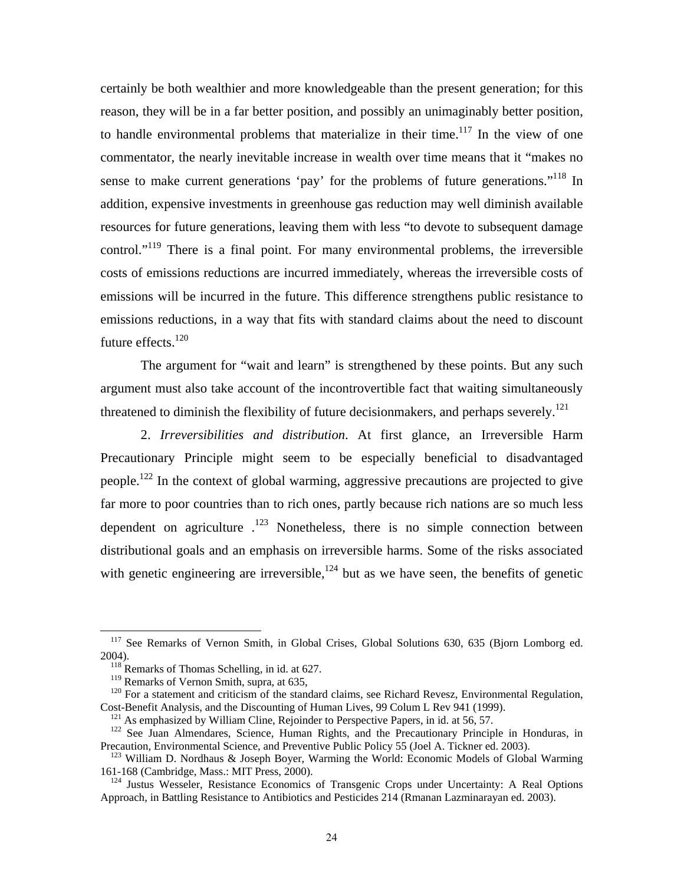certainly be both wealthier and more knowledgeable than the present generation; for this reason, they will be in a far better position, and possibly an unimaginably better position, to handle environmental problems that materialize in their time.<sup>117</sup> In the view of one commentator, the nearly inevitable increase in wealth over time means that it "makes no sense to make current generations 'pay' for the problems of future generations."<sup>118</sup> In addition, expensive investments in greenhouse gas reduction may well diminish available resources for future generations, leaving them with less "to devote to subsequent damage control."<sup>119</sup> There is a final point. For many environmental problems, the irreversible costs of emissions reductions are incurred immediately, whereas the irreversible costs of emissions will be incurred in the future. This difference strengthens public resistance to emissions reductions, in a way that fits with standard claims about the need to discount future effects.<sup>120</sup>

The argument for "wait and learn" is strengthened by these points. But any such argument must also take account of the incontrovertible fact that waiting simultaneously threatened to diminish the flexibility of future decision makers, and perhaps severely.<sup>121</sup>

2. *Irreversibilities and distribution*. At first glance, an Irreversible Harm Precautionary Principle might seem to be especially beneficial to disadvantaged people.<sup>122</sup> In the context of global warming, aggressive precautions are projected to give far more to poor countries than to rich ones, partly because rich nations are so much less dependent on agriculture  $.123$  Nonetheless, there is no simple connection between distributional goals and an emphasis on irreversible harms. Some of the risks associated with genetic engineering are irreversible,  $^{124}$  but as we have seen, the benefits of genetic

<sup>&</sup>lt;sup>117</sup> See Remarks of Vernon Smith, in Global Crises, Global Solutions 630, 635 (Bjorn Lomborg ed. 2004).<br><sup>118</sup> Remarks of Thomas Schelling, in id. at 627.<br><sup>119</sup> Remarks of Vernon Smith, supra, at 635,

<sup>&</sup>lt;sup>120</sup> For a statement and criticism of the standard claims, see Richard Revesz, Environmental Regulation, Cost-Benefit Analysis, and the Discounting of Human Lives, 99 Colum L Rev 941 (1999).

 $^{121}$  As emphasized by William Cline, Rejoinder to Perspective Papers, in id. at 56, 57.<br><sup>122</sup> See Juan Almendares, Science, Human Rights, and the Precautionary Principle in Honduras, in

Precaution, Environmental Science, and Preventive Public Policy 55 (Joel A. Tickner ed. 2003).<br><sup>123</sup> William D. Nordhaus & Joseph Boyer, Warming the World: Economic Models of Global Warming<br>161-168 (Cambridge, Mass.: MIT P

<sup>&</sup>lt;sup>124</sup> Justus Wesseler, Resistance Economics of Transgenic Crops under Uncertainty: A Real Options Approach, in Battling Resistance to Antibiotics and Pesticides 214 (Rmanan Lazminarayan ed. 2003).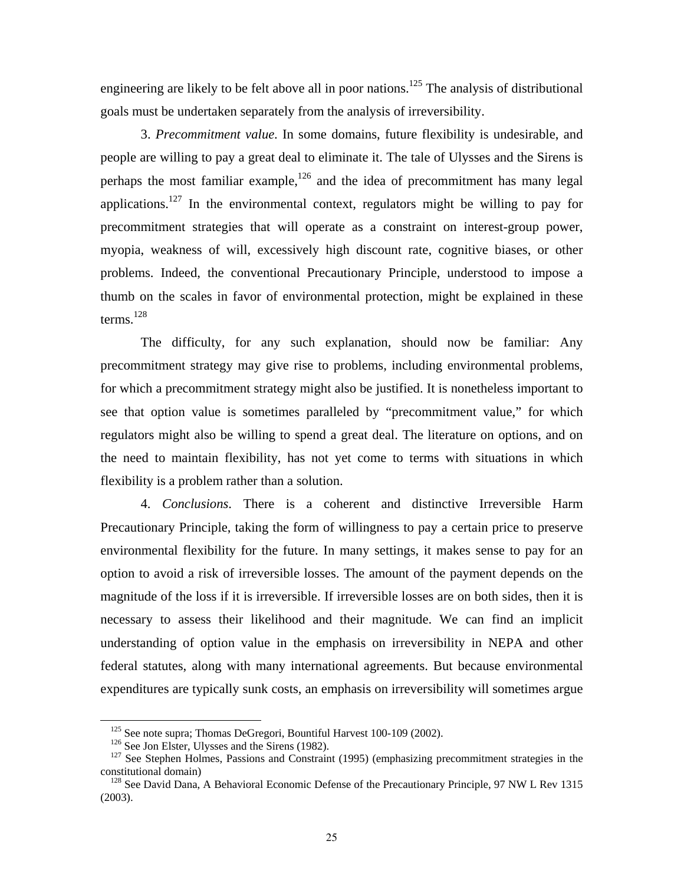engineering are likely to be felt above all in poor nations.<sup>125</sup> The analysis of distributional goals must be undertaken separately from the analysis of irreversibility.

3. *Precommitment value*. In some domains, future flexibility is undesirable, and people are willing to pay a great deal to eliminate it. The tale of Ulysses and the Sirens is perhaps the most familiar example,  $126$  and the idea of precommitment has many legal applications.<sup>127</sup> In the environmental context, regulators might be willing to pay for precommitment strategies that will operate as a constraint on interest-group power, myopia, weakness of will, excessively high discount rate, cognitive biases, or other problems. Indeed, the conventional Precautionary Principle, understood to impose a thumb on the scales in favor of environmental protection, might be explained in these terms.<sup>128</sup>

The difficulty, for any such explanation, should now be familiar: Any precommitment strategy may give rise to problems, including environmental problems, for which a precommitment strategy might also be justified. It is nonetheless important to see that option value is sometimes paralleled by "precommitment value," for which regulators might also be willing to spend a great deal. The literature on options, and on the need to maintain flexibility, has not yet come to terms with situations in which flexibility is a problem rather than a solution.

4. *Conclusions*. There is a coherent and distinctive Irreversible Harm Precautionary Principle, taking the form of willingness to pay a certain price to preserve environmental flexibility for the future. In many settings, it makes sense to pay for an option to avoid a risk of irreversible losses. The amount of the payment depends on the magnitude of the loss if it is irreversible. If irreversible losses are on both sides, then it is necessary to assess their likelihood and their magnitude. We can find an implicit understanding of option value in the emphasis on irreversibility in NEPA and other federal statutes, along with many international agreements. But because environmental expenditures are typically sunk costs, an emphasis on irreversibility will sometimes argue

<sup>&</sup>lt;sup>125</sup> See note supra; Thomas DeGregori, Bountiful Harvest 100-109 (2002).<br><sup>126</sup> See Jon Elster, Ulysses and the Sirens (1982).<br><sup>127</sup> See Stephen Holmes, Passions and Constraint (1995) (emphasizing precommitment strategies

<sup>&</sup>lt;sup>128</sup> See David Dana, A Behavioral Economic Defense of the Precautionary Principle, 97 NW L Rev 1315 (2003).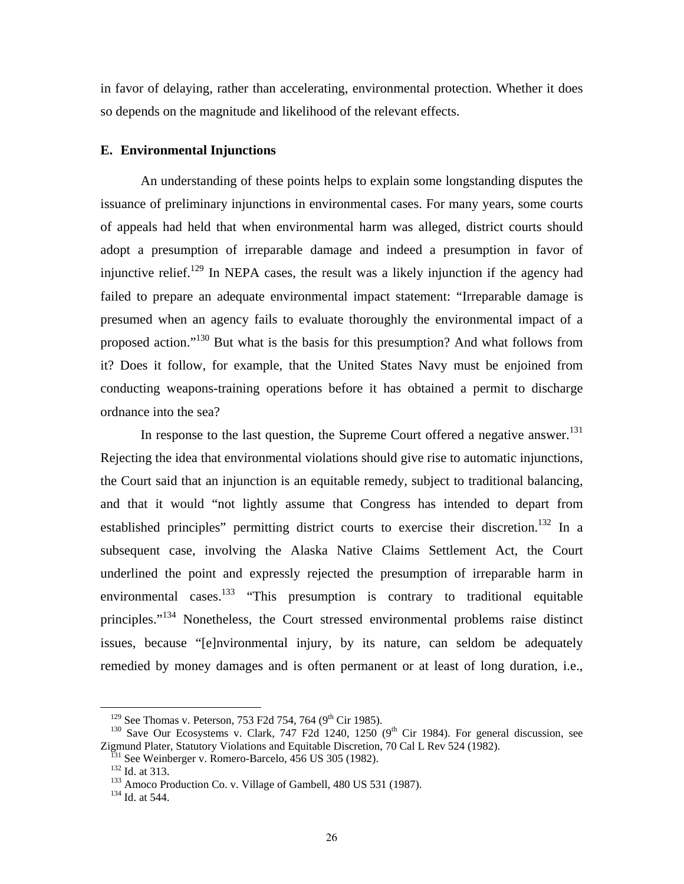in favor of delaying, rather than accelerating, environmental protection. Whether it does so depends on the magnitude and likelihood of the relevant effects.

#### **E. Environmental Injunctions**

An understanding of these points helps to explain some longstanding disputes the issuance of preliminary injunctions in environmental cases. For many years, some courts of appeals had held that when environmental harm was alleged, district courts should adopt a presumption of irreparable damage and indeed a presumption in favor of injunctive relief.<sup>129</sup> In NEPA cases, the result was a likely injunction if the agency had failed to prepare an adequate environmental impact statement: "Irreparable damage is presumed when an agency fails to evaluate thoroughly the environmental impact of a proposed action."<sup>130</sup> But what is the basis for this presumption? And what follows from it? Does it follow, for example, that the United States Navy must be enjoined from conducting weapons-training operations before it has obtained a permit to discharge ordnance into the sea?

In response to the last question, the Supreme Court offered a negative answer.<sup>131</sup> Rejecting the idea that environmental violations should give rise to automatic injunctions, the Court said that an injunction is an equitable remedy, subject to traditional balancing, and that it would "not lightly assume that Congress has intended to depart from established principles" permitting district courts to exercise their discretion.<sup>132</sup> In a subsequent case, involving the Alaska Native Claims Settlement Act, the Court underlined the point and expressly rejected the presumption of irreparable harm in environmental cases.<sup>133</sup> "This presumption is contrary to traditional equitable principles."134 Nonetheless, the Court stressed environmental problems raise distinct issues, because "[e]nvironmental injury, by its nature, can seldom be adequately remedied by money damages and is often permanent or at least of long duration, i.e.,

<sup>&</sup>lt;sup>129</sup> See Thomas v. Peterson, 753 F2d 754, 764 (9<sup>th</sup> Cir 1985).<br><sup>130</sup> Save Our Ecosystems v. Clark, 747 F2d 1240, 1250 (9<sup>th</sup> Cir 1984). For general discussion, see Zigmund Plater, Statutory Violations and Equitable Discretion, 70 Cal L Rev 524 (1982).<br><sup>131</sup> See Weinberger v. Romero-Barcelo, 456 US 305 (1982).<br><sup>132</sup> Id. at 313.<br><sup>133</sup> Amoco Production Co. v. Village of Gambell, 480 US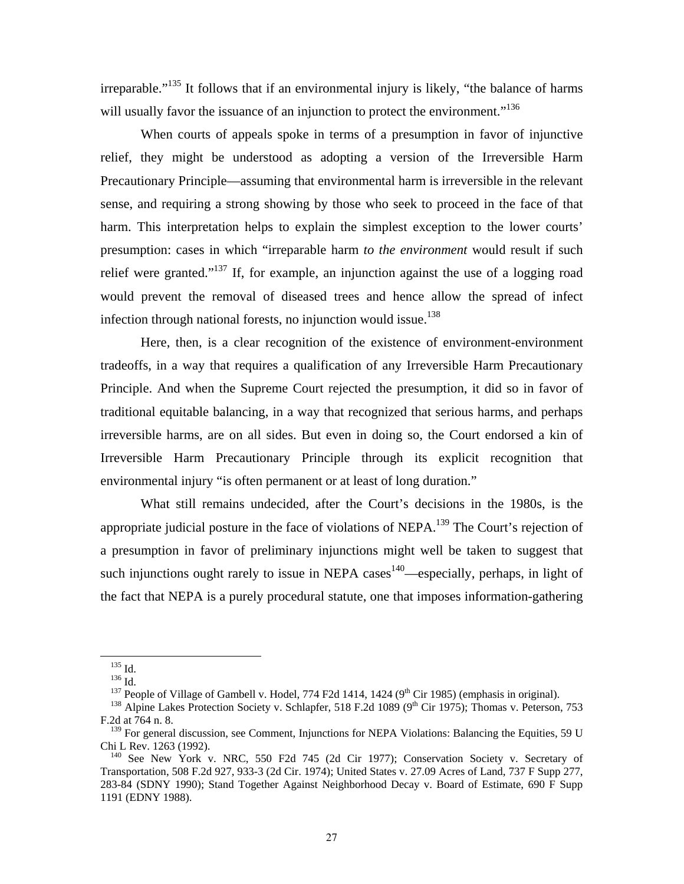irreparable."<sup>135</sup> It follows that if an environmental injury is likely, "the balance of harms" will usually favor the issuance of an injunction to protect the environment."<sup>136</sup>

When courts of appeals spoke in terms of a presumption in favor of injunctive relief, they might be understood as adopting a version of the Irreversible Harm Precautionary Principle—assuming that environmental harm is irreversible in the relevant sense, and requiring a strong showing by those who seek to proceed in the face of that harm. This interpretation helps to explain the simplest exception to the lower courts' presumption: cases in which "irreparable harm *to the environment* would result if such relief were granted."<sup>137</sup> If, for example, an injunction against the use of a logging road would prevent the removal of diseased trees and hence allow the spread of infect infection through national forests, no injunction would issue.<sup>138</sup>

Here, then, is a clear recognition of the existence of environment-environment tradeoffs, in a way that requires a qualification of any Irreversible Harm Precautionary Principle. And when the Supreme Court rejected the presumption, it did so in favor of traditional equitable balancing, in a way that recognized that serious harms, and perhaps irreversible harms, are on all sides. But even in doing so, the Court endorsed a kin of Irreversible Harm Precautionary Principle through its explicit recognition that environmental injury "is often permanent or at least of long duration."

What still remains undecided, after the Court's decisions in the 1980s, is the appropriate judicial posture in the face of violations of NEPA.<sup>139</sup> The Court's rejection of a presumption in favor of preliminary injunctions might well be taken to suggest that such injunctions ought rarely to issue in NEPA cases<sup>140</sup>—especially, perhaps, in light of the fact that NEPA is a purely procedural statute, one that imposes information-gathering

<sup>&</sup>lt;sup>135</sup> Id.<br><sup>136</sup> Id. <sup>136</sup> Id.<br><sup>137</sup> People of Village of Gambell v. Hodel, 774 F2d 1414, 1424 (9<sup>th</sup> Cir 1985) (emphasis in original).<br><sup>138</sup> Alpine Lakes Protection Society v. Schlapfer, 518 F.2d 1089 (9<sup>th</sup> Cir 1975); Th

F.2d at 764 n. 8.

 $139$  For general discussion, see Comment, Injunctions for NEPA Violations: Balancing the Equities, 59 U Chi L Rev. 1263 (1992).<br><sup>140</sup> See New York v. NRC, 550 F2d 745 (2d Cir 1977); Conservation Society v. Secretary of

Transportation, 508 F.2d 927, 933-3 (2d Cir. 1974); United States v. 27.09 Acres of Land, 737 F Supp 277, 283-84 (SDNY 1990); Stand Together Against Neighborhood Decay v. Board of Estimate, 690 F Supp 1191 (EDNY 1988).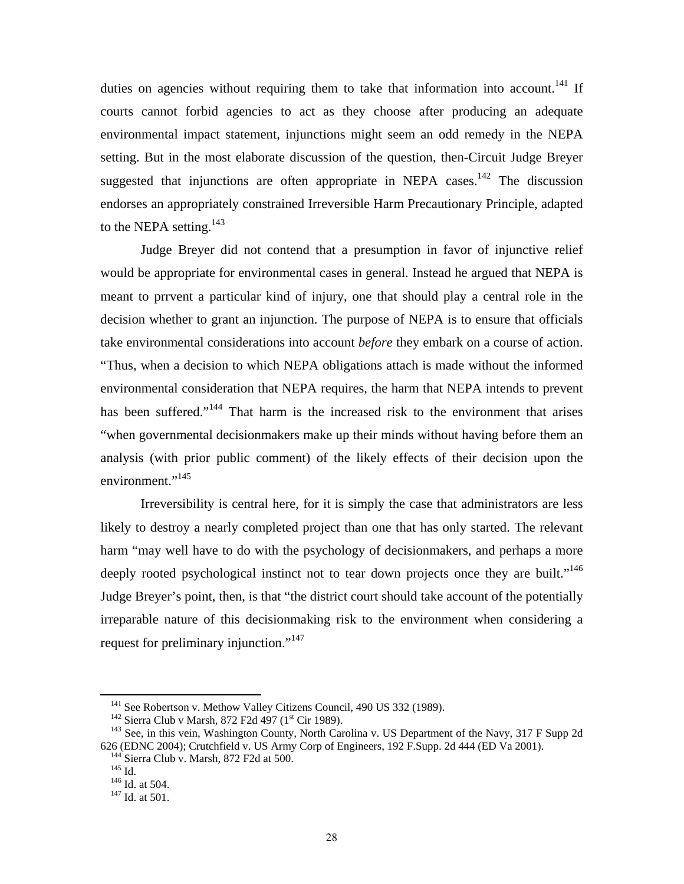duties on agencies without requiring them to take that information into account.<sup>141</sup> If courts cannot forbid agencies to act as they choose after producing an adequate environmental impact statement, injunctions might seem an odd remedy in the NEPA setting. But in the most elaborate discussion of the question, then-Circuit Judge Breyer suggested that injunctions are often appropriate in NEPA cases.<sup>142</sup> The discussion endorses an appropriately constrained Irreversible Harm Precautionary Principle, adapted to the NEPA setting. $143$ 

Judge Breyer did not contend that a presumption in favor of injunctive relief would be appropriate for environmental cases in general. Instead he argued that NEPA is meant to prrvent a particular kind of injury, one that should play a central role in the decision whether to grant an injunction. The purpose of NEPA is to ensure that officials take environmental considerations into account *before* they embark on a course of action. "Thus, when a decision to which NEPA obligations attach is made without the informed environmental consideration that NEPA requires, the harm that NEPA intends to prevent has been suffered."<sup>144</sup> That harm is the increased risk to the environment that arises "when governmental decisionmakers make up their minds without having before them an analysis (with prior public comment) of the likely effects of their decision upon the environment."<sup>145</sup>

Irreversibility is central here, for it is simply the case that administrators are less likely to destroy a nearly completed project than one that has only started. The relevant harm "may well have to do with the psychology of decisionmakers, and perhaps a more deeply rooted psychological instinct not to tear down projects once they are built."<sup>146</sup> Judge Breyer's point, then, is that "the district court should take account of the potentially irreparable nature of this decisionmaking risk to the environment when considering a request for preliminary injunction."<sup>147</sup>

<sup>&</sup>lt;sup>141</sup> See Robertson v. Methow Valley Citizens Council, 490 US 332 (1989).<br><sup>142</sup> Sierra Club v Marsh, 872 F2d 497 (1<sup>st</sup> Cir 1989).<br><sup>143</sup> See, in this vein, Washington County, North Carolina v. US Department of the Navy, 3 626 (EDNC 2004); Crutchfield v. US Army Corp of Engineers, 192 F.Supp. 2d 444 (ED Va 2001).<br><sup>144</sup> Sierra Club v. Marsh, 872 F2d at 500.<br><sup>145</sup> Id. at 504.<br><sup>146</sup> Id. at 501.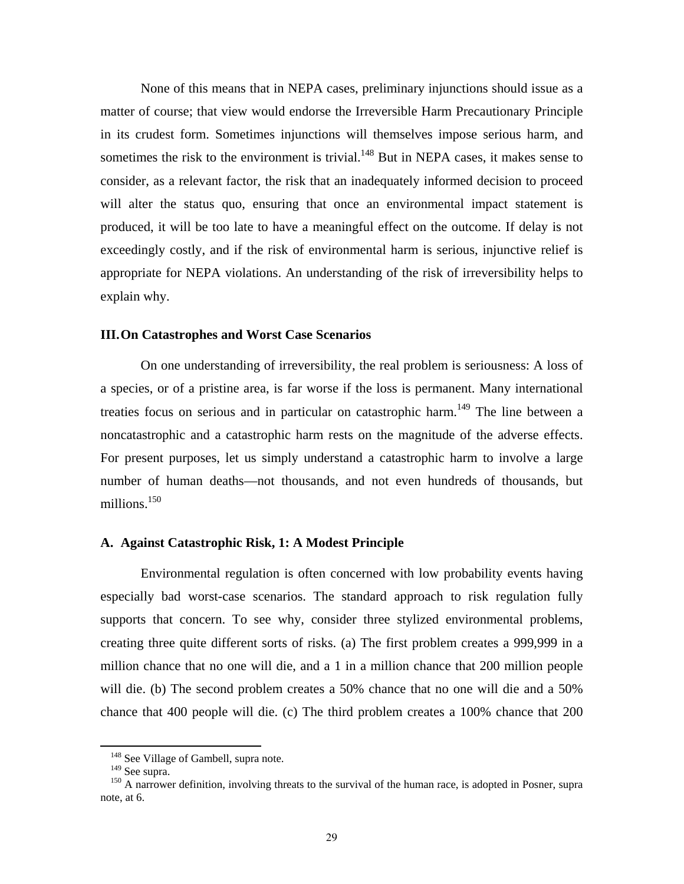None of this means that in NEPA cases, preliminary injunctions should issue as a matter of course; that view would endorse the Irreversible Harm Precautionary Principle in its crudest form. Sometimes injunctions will themselves impose serious harm, and sometimes the risk to the environment is trivial.<sup>148</sup> But in NEPA cases, it makes sense to consider, as a relevant factor, the risk that an inadequately informed decision to proceed will alter the status quo, ensuring that once an environmental impact statement is produced, it will be too late to have a meaningful effect on the outcome. If delay is not exceedingly costly, and if the risk of environmental harm is serious, injunctive relief is appropriate for NEPA violations. An understanding of the risk of irreversibility helps to explain why.

#### **III.On Catastrophes and Worst Case Scenarios**

On one understanding of irreversibility, the real problem is seriousness: A loss of a species, or of a pristine area, is far worse if the loss is permanent. Many international treaties focus on serious and in particular on catastrophic harm.<sup>149</sup> The line between a noncatastrophic and a catastrophic harm rests on the magnitude of the adverse effects. For present purposes, let us simply understand a catastrophic harm to involve a large number of human deaths—not thousands, and not even hundreds of thousands, but millions. $150$ 

#### **A. Against Catastrophic Risk, 1: A Modest Principle**

Environmental regulation is often concerned with low probability events having especially bad worst-case scenarios. The standard approach to risk regulation fully supports that concern. To see why, consider three stylized environmental problems, creating three quite different sorts of risks. (a) The first problem creates a 999,999 in a million chance that no one will die, and a 1 in a million chance that 200 million people will die. (b) The second problem creates a 50% chance that no one will die and a 50% chance that 400 people will die. (c) The third problem creates a 100% chance that 200

 $148$  See Village of Gambell, supra note.<br> $149$  See supra.

 $150$  A narrower definition, involving threats to the survival of the human race, is adopted in Posner, supra note, at 6.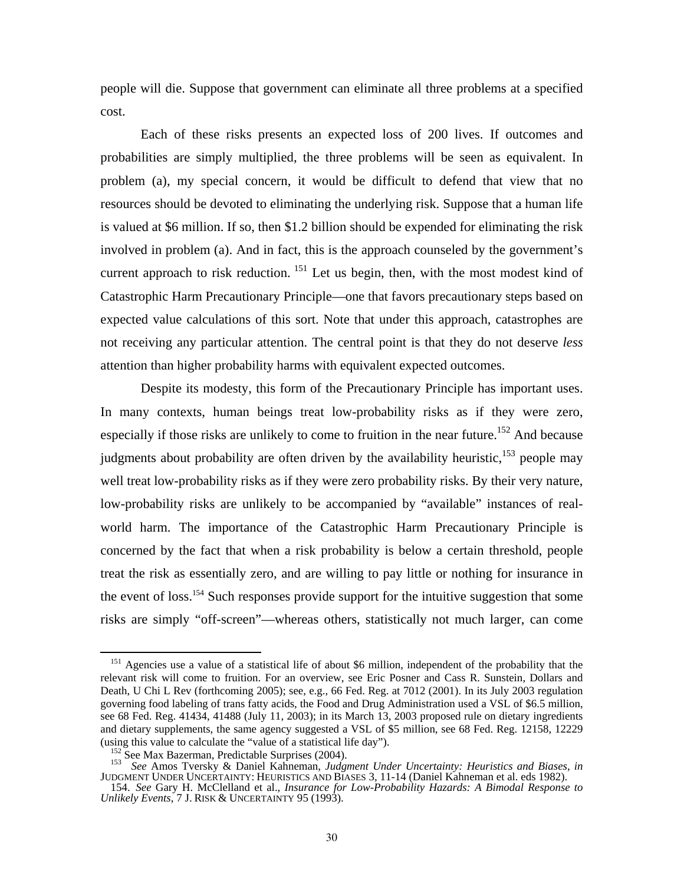people will die. Suppose that government can eliminate all three problems at a specified cost.

Each of these risks presents an expected loss of 200 lives. If outcomes and probabilities are simply multiplied, the three problems will be seen as equivalent. In problem (a), my special concern, it would be difficult to defend that view that no resources should be devoted to eliminating the underlying risk. Suppose that a human life is valued at \$6 million. If so, then \$1.2 billion should be expended for eliminating the risk involved in problem (a). And in fact, this is the approach counseled by the government's current approach to risk reduction. <sup>151</sup> Let us begin, then, with the most modest kind of Catastrophic Harm Precautionary Principle—one that favors precautionary steps based on expected value calculations of this sort. Note that under this approach, catastrophes are not receiving any particular attention. The central point is that they do not deserve *less* attention than higher probability harms with equivalent expected outcomes.

Despite its modesty, this form of the Precautionary Principle has important uses. In many contexts, human beings treat low-probability risks as if they were zero, especially if those risks are unlikely to come to fruition in the near future.<sup>152</sup> And because judgments about probability are often driven by the availability heuristic, $153$  people may well treat low-probability risks as if they were zero probability risks. By their very nature, low-probability risks are unlikely to be accompanied by "available" instances of realworld harm. The importance of the Catastrophic Harm Precautionary Principle is concerned by the fact that when a risk probability is below a certain threshold, people treat the risk as essentially zero, and are willing to pay little or nothing for insurance in the event of loss.<sup>154</sup> Such responses provide support for the intuitive suggestion that some risks are simply "off-screen"—whereas others, statistically not much larger, can come

<sup>&</sup>lt;sup>151</sup> Agencies use a value of a statistical life of about \$6 million, independent of the probability that the relevant risk will come to fruition. For an overview, see Eric Posner and Cass R. Sunstein, Dollars and Death, U Chi L Rev (forthcoming 2005); see, e.g., 66 Fed. Reg. at 7012 (2001). In its July 2003 regulation governing food labeling of trans fatty acids, the Food and Drug Administration used a VSL of \$6.5 million, see 68 Fed. Reg. 41434, 41488 (July 11, 2003); in its March 13, 2003 proposed rule on dietary ingredients and dietary supplements, the same agency suggested a VSL of \$5 million, see 68 Fed. Reg. 12158, 12229 (using this value to calculate the "value of a statistical life day").<br><sup>152</sup> See Max Bazerman, Predictable Surprises (2004).<br><sup>153</sup> See Amos Tversky & Daniel Kahneman, Judgment Under Uncertainty: Heuristics and Biases, in

JUDGMENT UNDER UNCERTAINTY: HEURISTICS AND BIASES 3, 11-14 (Daniel Kahneman et al. eds 1982).

<sup>154.</sup> *See* Gary H. McClelland et al., *Insurance for Low-Probability Hazards: A Bimodal Response to Unlikely Events*, 7 J. RISK & UNCERTAINTY 95 (1993).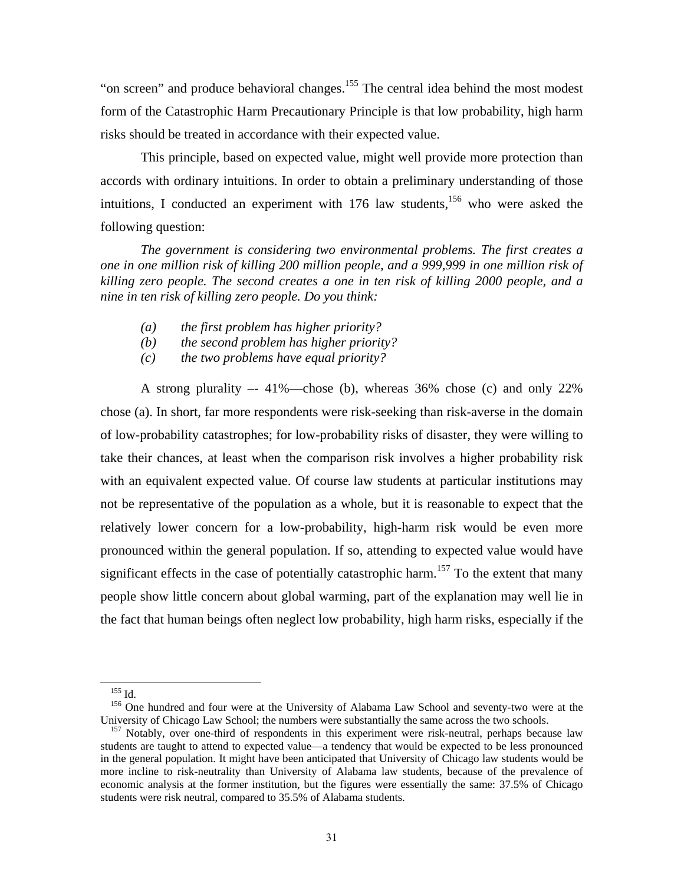"on screen" and produce behavioral changes.<sup>155</sup> The central idea behind the most modest form of the Catastrophic Harm Precautionary Principle is that low probability, high harm risks should be treated in accordance with their expected value.

This principle, based on expected value, might well provide more protection than accords with ordinary intuitions. In order to obtain a preliminary understanding of those intuitions, I conducted an experiment with  $176$  law students,<sup>156</sup> who were asked the following question:

*The government is considering two environmental problems. The first creates a one in one million risk of killing 200 million people, and a 999,999 in one million risk of killing zero people. The second creates a one in ten risk of killing 2000 people, and a nine in ten risk of killing zero people. Do you think:* 

- *(a) the first problem has higher priority?*
- *(b) the second problem has higher priority?*
- *(c) the two problems have equal priority?*

A strong plurality –- 41%—chose (b), whereas 36% chose (c) and only 22% chose (a). In short, far more respondents were risk-seeking than risk-averse in the domain of low-probability catastrophes; for low-probability risks of disaster, they were willing to take their chances, at least when the comparison risk involves a higher probability risk with an equivalent expected value. Of course law students at particular institutions may not be representative of the population as a whole, but it is reasonable to expect that the relatively lower concern for a low-probability, high-harm risk would be even more pronounced within the general population. If so, attending to expected value would have significant effects in the case of potentially catastrophic harm.<sup>157</sup> To the extent that many people show little concern about global warming, part of the explanation may well lie in the fact that human beings often neglect low probability, high harm risks, especially if the

<sup>&</sup>lt;sup>155</sup> Id.<br><sup>156</sup> One hundred and four were at the University of Alabama Law School and seventy-two were at the University of Chicago Law School; the numbers were substantially the same across the two schools.

 $157$  Notably, over one-third of respondents in this experiment were risk-neutral, perhaps because law students are taught to attend to expected value—a tendency that would be expected to be less pronounced in the general population. It might have been anticipated that University of Chicago law students would be more incline to risk-neutrality than University of Alabama law students, because of the prevalence of economic analysis at the former institution, but the figures were essentially the same: 37.5% of Chicago students were risk neutral, compared to 35.5% of Alabama students.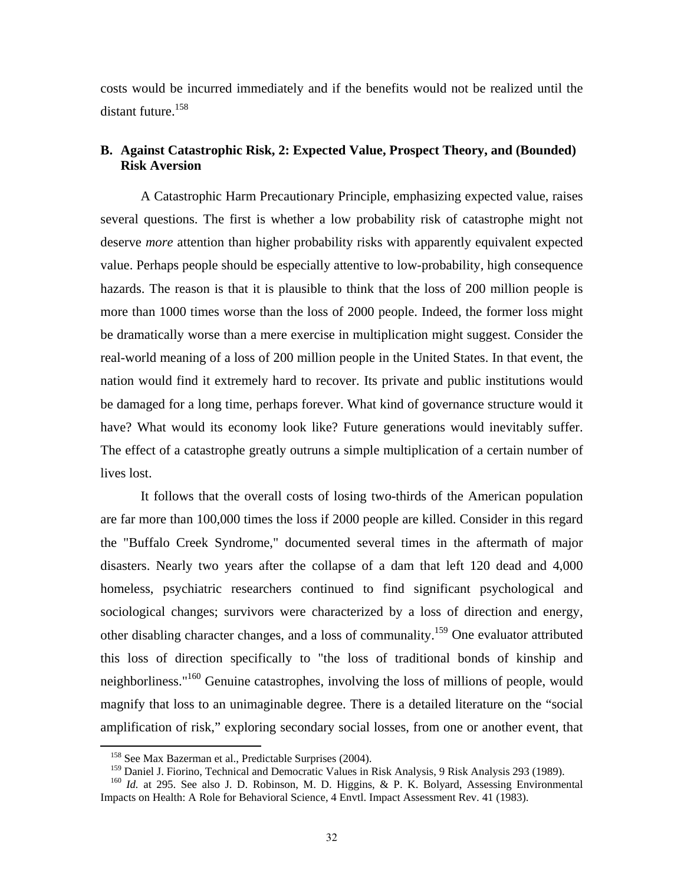costs would be incurred immediately and if the benefits would not be realized until the distant future.<sup>158</sup>

#### **B. Against Catastrophic Risk, 2: Expected Value, Prospect Theory, and (Bounded) Risk Aversion**

A Catastrophic Harm Precautionary Principle, emphasizing expected value, raises several questions. The first is whether a low probability risk of catastrophe might not deserve *more* attention than higher probability risks with apparently equivalent expected value. Perhaps people should be especially attentive to low-probability, high consequence hazards. The reason is that it is plausible to think that the loss of 200 million people is more than 1000 times worse than the loss of 2000 people. Indeed, the former loss might be dramatically worse than a mere exercise in multiplication might suggest. Consider the real-world meaning of a loss of 200 million people in the United States. In that event, the nation would find it extremely hard to recover. Its private and public institutions would be damaged for a long time, perhaps forever. What kind of governance structure would it have? What would its economy look like? Future generations would inevitably suffer. The effect of a catastrophe greatly outruns a simple multiplication of a certain number of lives lost.

It follows that the overall costs of losing two-thirds of the American population are far more than 100,000 times the loss if 2000 people are killed. Consider in this regard the "Buffalo Creek Syndrome," documented several times in the aftermath of major disasters. Nearly two years after the collapse of a dam that left 120 dead and 4,000 homeless, psychiatric researchers continued to find significant psychological and sociological changes; survivors were characterized by a loss of direction and energy, other disabling character changes, and a loss of communality.159 One evaluator attributed this loss of direction specifically to "the loss of traditional bonds of kinship and neighborliness."160 Genuine catastrophes, involving the loss of millions of people, would magnify that loss to an unimaginable degree. There is a detailed literature on the "social amplification of risk," exploring secondary social losses, from one or another event, that

<sup>&</sup>lt;sup>158</sup> See Max Bazerman et al., Predictable Surprises (2004).<br><sup>159</sup> Daniel J. Fiorino, Technical and Democratic Values in Risk Analysis, 9 Risk Analysis 293 (1989).

<sup>&</sup>lt;sup>160</sup> Id. at 295. See also J. D. Robinson, M. D. Higgins, & P. K. Bolyard, Assessing Environmental Impacts on Health: A Role for Behavioral Science, 4 Envtl. Impact Assessment Rev. 41 (1983).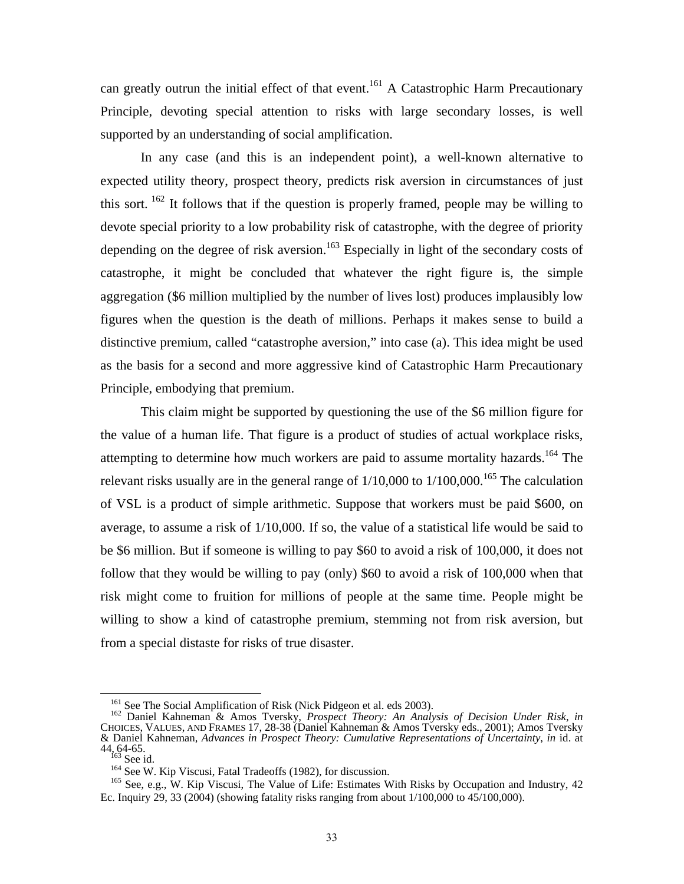can greatly outrun the initial effect of that event.<sup>161</sup> A Catastrophic Harm Precautionary Principle, devoting special attention to risks with large secondary losses, is well supported by an understanding of social amplification.

In any case (and this is an independent point), a well-known alternative to expected utility theory, prospect theory, predicts risk aversion in circumstances of just this sort.  $162$  It follows that if the question is properly framed, people may be willing to devote special priority to a low probability risk of catastrophe, with the degree of priority depending on the degree of risk aversion.<sup>163</sup> Especially in light of the secondary costs of catastrophe, it might be concluded that whatever the right figure is, the simple aggregation (\$6 million multiplied by the number of lives lost) produces implausibly low figures when the question is the death of millions. Perhaps it makes sense to build a distinctive premium, called "catastrophe aversion," into case (a). This idea might be used as the basis for a second and more aggressive kind of Catastrophic Harm Precautionary Principle, embodying that premium.

This claim might be supported by questioning the use of the \$6 million figure for the value of a human life. That figure is a product of studies of actual workplace risks, attempting to determine how much workers are paid to assume mortality hazards.<sup>164</sup> The relevant risks usually are in the general range of  $1/10,000$  to  $1/100,000$ .<sup>165</sup> The calculation of VSL is a product of simple arithmetic. Suppose that workers must be paid \$600, on average, to assume a risk of 1/10,000. If so, the value of a statistical life would be said to be \$6 million. But if someone is willing to pay \$60 to avoid a risk of 100,000, it does not follow that they would be willing to pay (only) \$60 to avoid a risk of 100,000 when that risk might come to fruition for millions of people at the same time. People might be willing to show a kind of catastrophe premium, stemming not from risk aversion, but from a special distaste for risks of true disaster.

<sup>&</sup>lt;sup>161</sup> See The Social Amplification of Risk (Nick Pidgeon et al. eds 2003).<br><sup>162</sup> Daniel Kahneman & Amos Tversky, *Prospect Theory: An Analysis of Decision Under Risk*, *in* CHOICES, VALUES, AND FRAMES 17, 28-38 (Daniel Kahneman & Amos Tversky eds., 2001); Amos Tversky & Daniel Kahneman, *Advances in Prospect Theory: Cumulative Representations of Uncertainty*, *in* id. at 44, 64-65.<br>
<sup>164</sup> See id.<br>
<sup>164</sup> See W. Kip Viscusi, Fatal Tradeoffs (1982), for discussion.<br>
<sup>165</sup> See, e.g., W. Kip Viscusi, The Value of Life: Estimates With Risks by Occupation and Industry, 42

Ec. Inquiry 29, 33 (2004) (showing fatality risks ranging from about  $1/100,000$  to  $45/100,000$ ).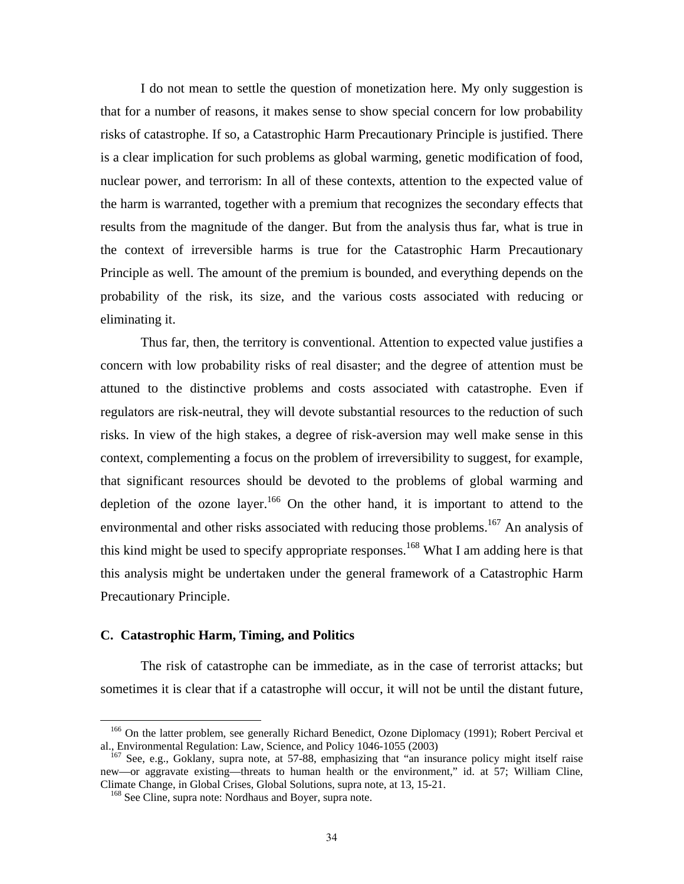I do not mean to settle the question of monetization here. My only suggestion is that for a number of reasons, it makes sense to show special concern for low probability risks of catastrophe. If so, a Catastrophic Harm Precautionary Principle is justified. There is a clear implication for such problems as global warming, genetic modification of food, nuclear power, and terrorism: In all of these contexts, attention to the expected value of the harm is warranted, together with a premium that recognizes the secondary effects that results from the magnitude of the danger. But from the analysis thus far, what is true in the context of irreversible harms is true for the Catastrophic Harm Precautionary Principle as well. The amount of the premium is bounded, and everything depends on the probability of the risk, its size, and the various costs associated with reducing or eliminating it.

Thus far, then, the territory is conventional. Attention to expected value justifies a concern with low probability risks of real disaster; and the degree of attention must be attuned to the distinctive problems and costs associated with catastrophe. Even if regulators are risk-neutral, they will devote substantial resources to the reduction of such risks. In view of the high stakes, a degree of risk-aversion may well make sense in this context, complementing a focus on the problem of irreversibility to suggest, for example, that significant resources should be devoted to the problems of global warming and depletion of the ozone layer.<sup>166</sup> On the other hand, it is important to attend to the environmental and other risks associated with reducing those problems.<sup>167</sup> An analysis of this kind might be used to specify appropriate responses.<sup>168</sup> What I am adding here is that this analysis might be undertaken under the general framework of a Catastrophic Harm Precautionary Principle.

#### **C. Catastrophic Harm, Timing, and Politics**

 The risk of catastrophe can be immediate, as in the case of terrorist attacks; but sometimes it is clear that if a catastrophe will occur, it will not be until the distant future,

<sup>&</sup>lt;sup>166</sup> On the latter problem, see generally Richard Benedict, Ozone Diplomacy (1991); Robert Percival et al., Environmental Regulation: Law, Science, and Policy 1046-1055 (2003)

 $167$  See, e.g., Goklany, supra note, at 57-88, emphasizing that "an insurance policy might itself raise new—or aggravate existing—threats to human health or the environment," id. at 57; William Cline, Climate Change, in Global Crises, Global Solutions, supra note, at 13, 15-21.<br><sup>168</sup> See Cline, supra note: Nordhaus and Boyer, supra note.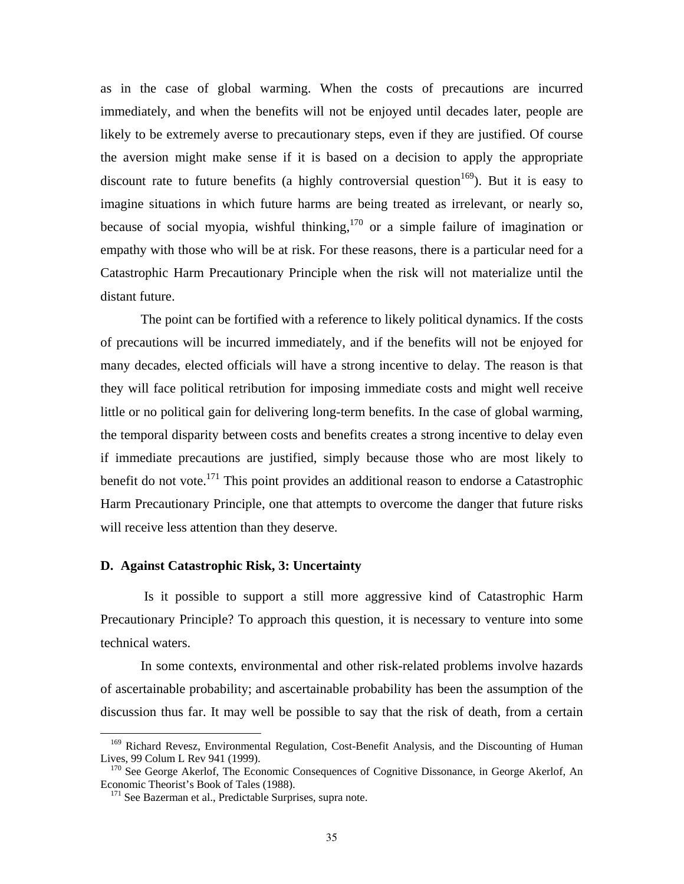as in the case of global warming. When the costs of precautions are incurred immediately, and when the benefits will not be enjoyed until decades later, people are likely to be extremely averse to precautionary steps, even if they are justified. Of course the aversion might make sense if it is based on a decision to apply the appropriate discount rate to future benefits (a highly controversial question<sup>169</sup>). But it is easy to imagine situations in which future harms are being treated as irrelevant, or nearly so, because of social myopia, wishful thinking,<sup>170</sup> or a simple failure of imagination or empathy with those who will be at risk. For these reasons, there is a particular need for a Catastrophic Harm Precautionary Principle when the risk will not materialize until the distant future.

 The point can be fortified with a reference to likely political dynamics. If the costs of precautions will be incurred immediately, and if the benefits will not be enjoyed for many decades, elected officials will have a strong incentive to delay. The reason is that they will face political retribution for imposing immediate costs and might well receive little or no political gain for delivering long-term benefits. In the case of global warming, the temporal disparity between costs and benefits creates a strong incentive to delay even if immediate precautions are justified, simply because those who are most likely to benefit do not vote.<sup>171</sup> This point provides an additional reason to endorse a Catastrophic Harm Precautionary Principle, one that attempts to overcome the danger that future risks will receive less attention than they deserve.

#### **D. Against Catastrophic Risk, 3: Uncertainty**

 Is it possible to support a still more aggressive kind of Catastrophic Harm Precautionary Principle? To approach this question, it is necessary to venture into some technical waters.

In some contexts, environmental and other risk-related problems involve hazards of ascertainable probability; and ascertainable probability has been the assumption of the discussion thus far. It may well be possible to say that the risk of death, from a certain

<sup>&</sup>lt;sup>169</sup> Richard Revesz, Environmental Regulation, Cost-Benefit Analysis, and the Discounting of Human Lives, 99 Colum L Rev 941 (1999).

 $^{170}$  See George Akerlof, The Economic Consequences of Cognitive Dissonance, in George Akerlof, An Economic Theorist's Book of Tales (1988).

 $^{171}$  See Bazerman et al., Predictable Surprises, supra note.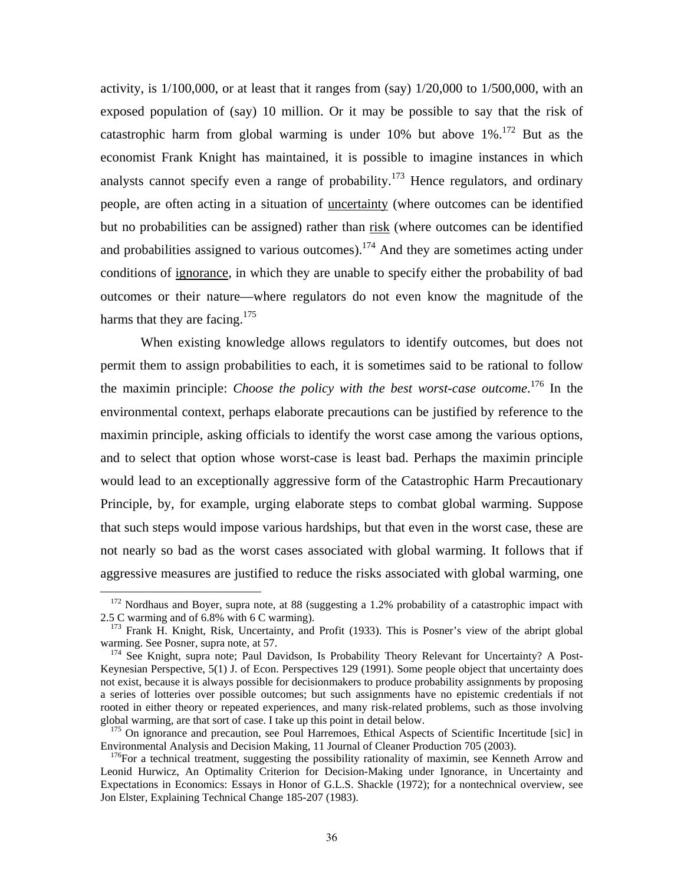activity, is  $1/100,000$ , or at least that it ranges from (say)  $1/20,000$  to  $1/500,000$ , with an exposed population of (say) 10 million. Or it may be possible to say that the risk of catastrophic harm from global warming is under  $10\%$  but above  $1\%$ .<sup>172</sup> But as the economist Frank Knight has maintained, it is possible to imagine instances in which analysts cannot specify even a range of probability.<sup>173</sup> Hence regulators, and ordinary people, are often acting in a situation of uncertainty (where outcomes can be identified but no probabilities can be assigned) rather than risk (where outcomes can be identified and probabilities assigned to various outcomes).<sup>174</sup> And they are sometimes acting under conditions of ignorance, in which they are unable to specify either the probability of bad outcomes or their nature—where regulators do not even know the magnitude of the harms that they are facing. $175$ 

When existing knowledge allows regulators to identify outcomes, but does not permit them to assign probabilities to each, it is sometimes said to be rational to follow the maximin principle: *Choose the policy with the best worst-case outcome*. 176 In the environmental context, perhaps elaborate precautions can be justified by reference to the maximin principle, asking officials to identify the worst case among the various options, and to select that option whose worst-case is least bad. Perhaps the maximin principle would lead to an exceptionally aggressive form of the Catastrophic Harm Precautionary Principle, by, for example, urging elaborate steps to combat global warming. Suppose that such steps would impose various hardships, but that even in the worst case, these are not nearly so bad as the worst cases associated with global warming. It follows that if aggressive measures are justified to reduce the risks associated with global warming, one

<sup>&</sup>lt;sup>172</sup> Nordhaus and Boyer, supra note, at 88 (suggesting a 1.2% probability of a catastrophic impact with 2.5 C warming and of 6.8% with 6 C warming).

<sup>&</sup>lt;sup>173</sup> Frank H. Knight, Risk, Uncertainty, and Profit (1933). This is Posner's view of the abript global warming. See Posner, supra note, at 57.

<sup>&</sup>lt;sup>174</sup> See Knight, supra note; Paul Davidson, Is Probability Theory Relevant for Uncertainty? A Post-Keynesian Perspective, 5(1) J. of Econ. Perspectives 129 (1991). Some people object that uncertainty does not exist, because it is always possible for decisionmakers to produce probability assignments by proposing a series of lotteries over possible outcomes; but such assignments have no epistemic credentials if not rooted in either theory or repeated experiences, and many risk-related problems, such as those involving global warming, are that sort of case. I take up this point in detail below.<br><sup>175</sup> On ignorance and precaution, see Poul Harremoes, Ethical Aspects of Scientific Incertitude [sic] in

Environmental Analysis and Decision Making, 11 Journal of Cleaner Production 705 (2003).<br><sup>176</sup>For a technical treatment, suggesting the possibility rationality of maximin, see Kenneth Arrow and

Leonid Hurwicz, An Optimality Criterion for Decision-Making under Ignorance, in Uncertainty and Expectations in Economics: Essays in Honor of G.L.S. Shackle (1972); for a nontechnical overview, see Jon Elster, Explaining Technical Change 185-207 (1983).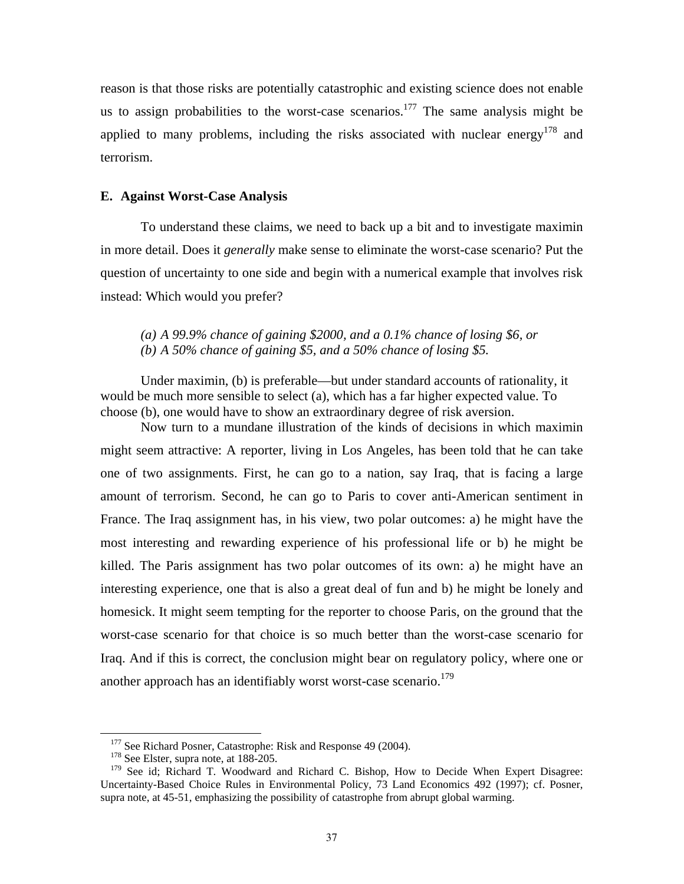reason is that those risks are potentially catastrophic and existing science does not enable us to assign probabilities to the worst-case scenarios.<sup>177</sup> The same analysis might be applied to many problems, including the risks associated with nuclear energy<sup>178</sup> and terrorism.

#### **E. Against Worst-Case Analysis**

To understand these claims, we need to back up a bit and to investigate maximin in more detail. Does it *generally* make sense to eliminate the worst-case scenario? Put the question of uncertainty to one side and begin with a numerical example that involves risk instead: Which would you prefer?

#### *(a) A 99.9% chance of gaining \$2000, and a 0.1% chance of losing \$6, or (b) A 50% chance of gaining \$5, and a 50% chance of losing \$5.*

Under maximin, (b) is preferable—but under standard accounts of rationality, it would be much more sensible to select (a), which has a far higher expected value. To choose (b), one would have to show an extraordinary degree of risk aversion.

Now turn to a mundane illustration of the kinds of decisions in which maximin might seem attractive: A reporter, living in Los Angeles, has been told that he can take one of two assignments. First, he can go to a nation, say Iraq, that is facing a large amount of terrorism. Second, he can go to Paris to cover anti-American sentiment in France. The Iraq assignment has, in his view, two polar outcomes: a) he might have the most interesting and rewarding experience of his professional life or b) he might be killed. The Paris assignment has two polar outcomes of its own: a) he might have an interesting experience, one that is also a great deal of fun and b) he might be lonely and homesick. It might seem tempting for the reporter to choose Paris, on the ground that the worst-case scenario for that choice is so much better than the worst-case scenario for Iraq. And if this is correct, the conclusion might bear on regulatory policy, where one or another approach has an identifiably worst worst-case scenario.<sup>179</sup>

<sup>&</sup>lt;sup>177</sup> See Richard Posner, Catastrophe: Risk and Response 49 (2004). <sup>178</sup> See Elster, supra note, at 188-205.

<sup>&</sup>lt;sup>179</sup> See id; Richard T. Woodward and Richard C. Bishop, How to Decide When Expert Disagree: Uncertainty-Based Choice Rules in Environmental Policy, 73 Land Economics 492 (1997); cf. Posner, supra note, at 45-51, emphasizing the possibility of catastrophe from abrupt global warming.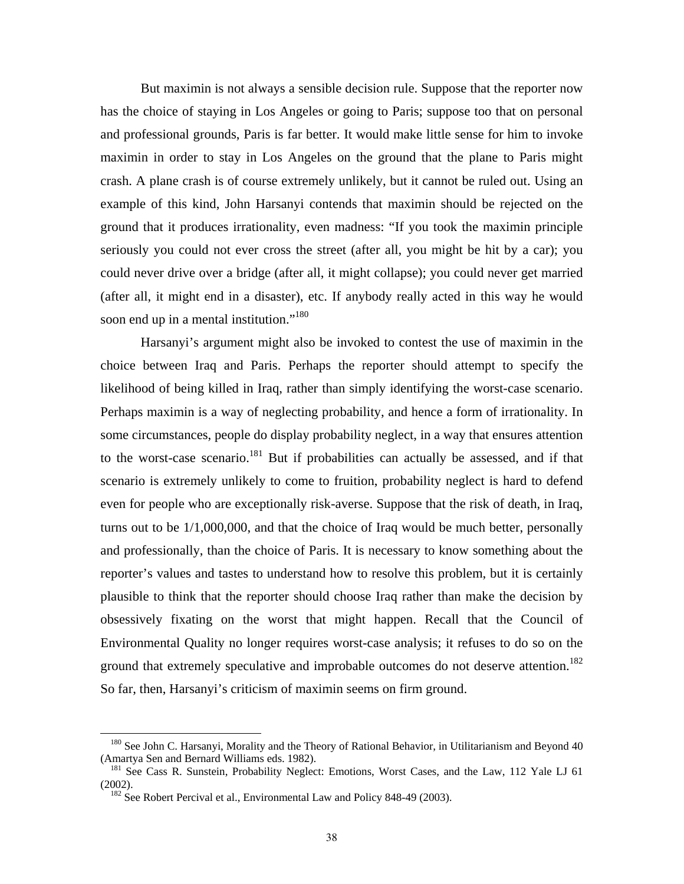But maximin is not always a sensible decision rule. Suppose that the reporter now has the choice of staying in Los Angeles or going to Paris; suppose too that on personal and professional grounds, Paris is far better. It would make little sense for him to invoke maximin in order to stay in Los Angeles on the ground that the plane to Paris might crash. A plane crash is of course extremely unlikely, but it cannot be ruled out. Using an example of this kind, John Harsanyi contends that maximin should be rejected on the ground that it produces irrationality, even madness: "If you took the maximin principle seriously you could not ever cross the street (after all, you might be hit by a car); you could never drive over a bridge (after all, it might collapse); you could never get married (after all, it might end in a disaster), etc. If anybody really acted in this way he would soon end up in a mental institution."<sup>180</sup>

Harsanyi's argument might also be invoked to contest the use of maximin in the choice between Iraq and Paris. Perhaps the reporter should attempt to specify the likelihood of being killed in Iraq, rather than simply identifying the worst-case scenario. Perhaps maximin is a way of neglecting probability, and hence a form of irrationality. In some circumstances, people do display probability neglect, in a way that ensures attention to the worst-case scenario.<sup>181</sup> But if probabilities can actually be assessed, and if that scenario is extremely unlikely to come to fruition, probability neglect is hard to defend even for people who are exceptionally risk-averse. Suppose that the risk of death, in Iraq, turns out to be 1/1,000,000, and that the choice of Iraq would be much better, personally and professionally, than the choice of Paris. It is necessary to know something about the reporter's values and tastes to understand how to resolve this problem, but it is certainly plausible to think that the reporter should choose Iraq rather than make the decision by obsessively fixating on the worst that might happen. Recall that the Council of Environmental Quality no longer requires worst-case analysis; it refuses to do so on the ground that extremely speculative and improbable outcomes do not deserve attention.<sup>182</sup> So far, then, Harsanyi's criticism of maximin seems on firm ground.

<sup>&</sup>lt;sup>180</sup> See John C. Harsanyi, Morality and the Theory of Rational Behavior, in Utilitarianism and Beyond 40 (Amartya Sen and Bernard Williams eds. 1982).

<sup>&</sup>lt;sup>181</sup> See Cass R. Sunstein, Probability Neglect: Emotions, Worst Cases, and the Law, 112 Yale LJ 61  $(2002)$ .<br><sup>182</sup> See Robert Percival et al., Environmental Law and Policy 848-49 (2003).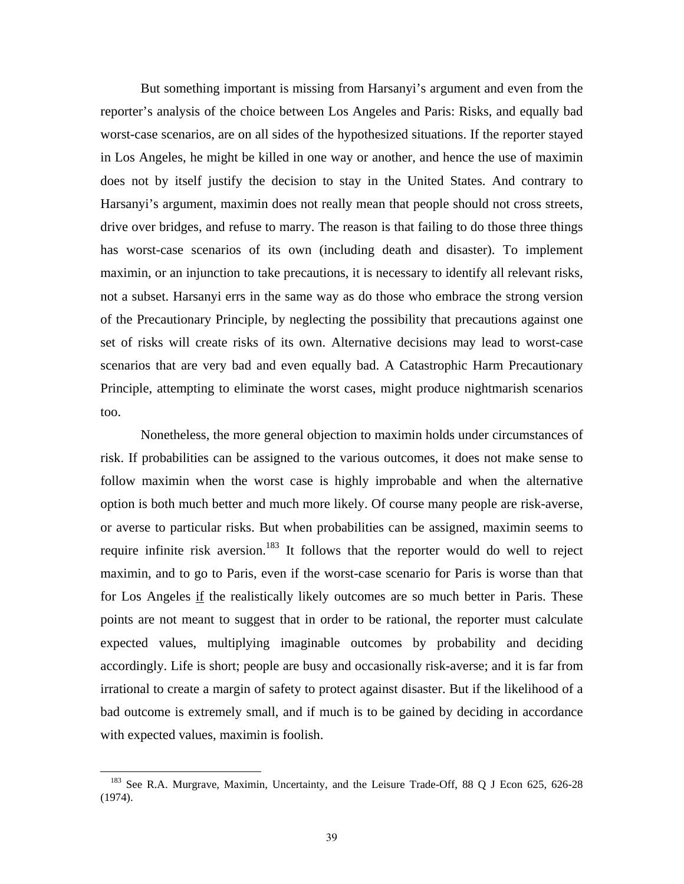But something important is missing from Harsanyi's argument and even from the reporter's analysis of the choice between Los Angeles and Paris: Risks, and equally bad worst-case scenarios, are on all sides of the hypothesized situations. If the reporter stayed in Los Angeles, he might be killed in one way or another, and hence the use of maximin does not by itself justify the decision to stay in the United States. And contrary to Harsanyi's argument, maximin does not really mean that people should not cross streets, drive over bridges, and refuse to marry. The reason is that failing to do those three things has worst-case scenarios of its own (including death and disaster). To implement maximin, or an injunction to take precautions, it is necessary to identify all relevant risks, not a subset. Harsanyi errs in the same way as do those who embrace the strong version of the Precautionary Principle, by neglecting the possibility that precautions against one set of risks will create risks of its own. Alternative decisions may lead to worst-case scenarios that are very bad and even equally bad. A Catastrophic Harm Precautionary Principle, attempting to eliminate the worst cases, might produce nightmarish scenarios too.

Nonetheless, the more general objection to maximin holds under circumstances of risk. If probabilities can be assigned to the various outcomes, it does not make sense to follow maximin when the worst case is highly improbable and when the alternative option is both much better and much more likely. Of course many people are risk-averse, or averse to particular risks. But when probabilities can be assigned, maximin seems to require infinite risk aversion.<sup>183</sup> It follows that the reporter would do well to reject maximin, and to go to Paris, even if the worst-case scenario for Paris is worse than that for Los Angeles if the realistically likely outcomes are so much better in Paris. These points are not meant to suggest that in order to be rational, the reporter must calculate expected values, multiplying imaginable outcomes by probability and deciding accordingly. Life is short; people are busy and occasionally risk-averse; and it is far from irrational to create a margin of safety to protect against disaster. But if the likelihood of a bad outcome is extremely small, and if much is to be gained by deciding in accordance with expected values, maximin is foolish.

<sup>&</sup>lt;sup>183</sup> See R.A. Murgrave, Maximin, Uncertainty, and the Leisure Trade-Off, 88 Q J Econ 625, 626-28 (1974).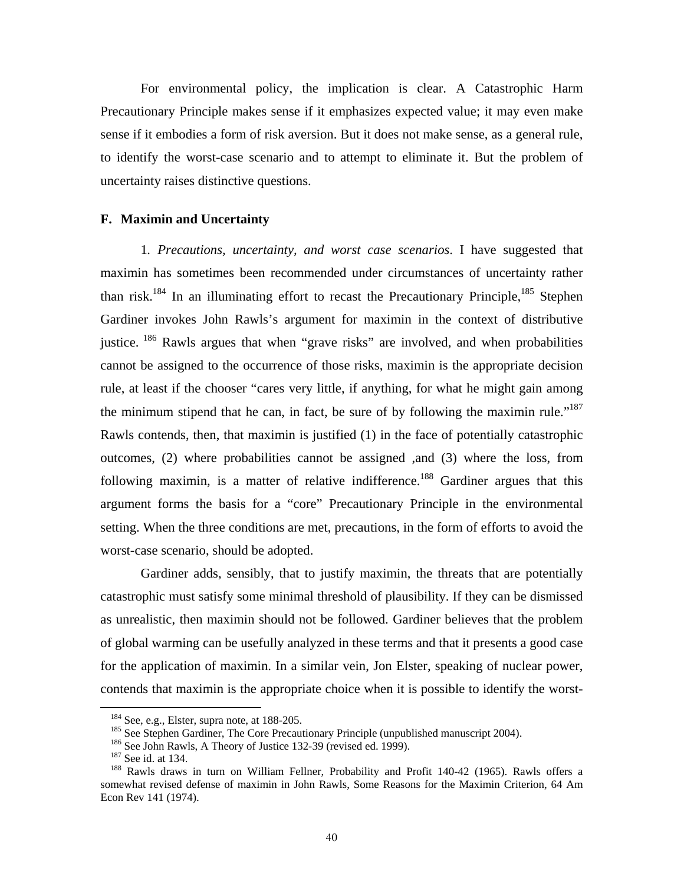For environmental policy, the implication is clear. A Catastrophic Harm Precautionary Principle makes sense if it emphasizes expected value; it may even make sense if it embodies a form of risk aversion. But it does not make sense, as a general rule, to identify the worst-case scenario and to attempt to eliminate it. But the problem of uncertainty raises distinctive questions.

#### **F. Maximin and Uncertainty**

1*. Precautions, uncertainty, and worst case scenarios*. I have suggested that maximin has sometimes been recommended under circumstances of uncertainty rather than risk.<sup>184</sup> In an illuminating effort to recast the Precautionary Principle,<sup>185</sup> Stephen Gardiner invokes John Rawls's argument for maximin in the context of distributive justice. <sup>186</sup> Rawls argues that when "grave risks" are involved, and when probabilities cannot be assigned to the occurrence of those risks, maximin is the appropriate decision rule, at least if the chooser "cares very little, if anything, for what he might gain among the minimum stipend that he can, in fact, be sure of by following the maximin rule."<sup>187</sup> Rawls contends, then, that maximin is justified (1) in the face of potentially catastrophic outcomes, (2) where probabilities cannot be assigned ,and (3) where the loss, from following maximin, is a matter of relative indifference.<sup>188</sup> Gardiner argues that this argument forms the basis for a "core" Precautionary Principle in the environmental setting. When the three conditions are met, precautions, in the form of efforts to avoid the worst-case scenario, should be adopted.

Gardiner adds, sensibly, that to justify maximin, the threats that are potentially catastrophic must satisfy some minimal threshold of plausibility. If they can be dismissed as unrealistic, then maximin should not be followed. Gardiner believes that the problem of global warming can be usefully analyzed in these terms and that it presents a good case for the application of maximin. In a similar vein, Jon Elster, speaking of nuclear power, contends that maximin is the appropriate choice when it is possible to identify the worst-

<sup>&</sup>lt;sup>184</sup> See, e.g., Elster, supra note, at 188-205.<br><sup>185</sup> See Stephen Gardiner, The Core Precautionary Principle (unpublished manuscript 2004).<br><sup>186</sup> See John Rawls, A Theory of Justice 132-39 (revised ed. 1999).<br><sup>187</sup> See i somewhat revised defense of maximin in John Rawls, Some Reasons for the Maximin Criterion, 64 Am Econ Rev 141 (1974).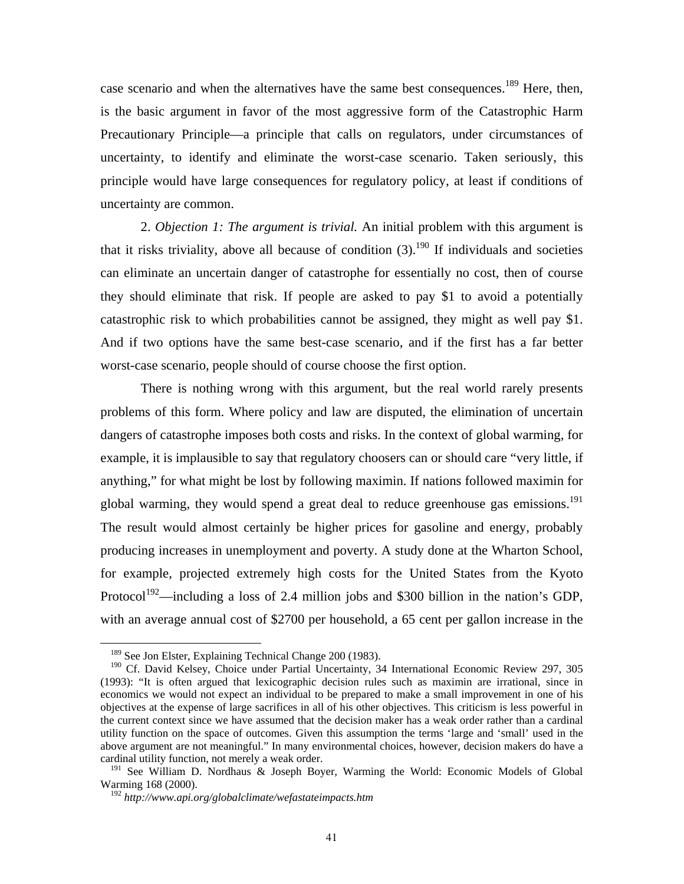case scenario and when the alternatives have the same best consequences.<sup>189</sup> Here, then, is the basic argument in favor of the most aggressive form of the Catastrophic Harm Precautionary Principle—a principle that calls on regulators, under circumstances of uncertainty, to identify and eliminate the worst-case scenario. Taken seriously, this principle would have large consequences for regulatory policy, at least if conditions of uncertainty are common.

2. *Objection 1: The argument is trivial.* An initial problem with this argument is that it risks triviality, above all because of condition  $(3)$ .<sup>190</sup> If individuals and societies can eliminate an uncertain danger of catastrophe for essentially no cost, then of course they should eliminate that risk. If people are asked to pay \$1 to avoid a potentially catastrophic risk to which probabilities cannot be assigned, they might as well pay \$1. And if two options have the same best-case scenario, and if the first has a far better worst-case scenario, people should of course choose the first option.

There is nothing wrong with this argument, but the real world rarely presents problems of this form. Where policy and law are disputed, the elimination of uncertain dangers of catastrophe imposes both costs and risks. In the context of global warming, for example, it is implausible to say that regulatory choosers can or should care "very little, if anything," for what might be lost by following maximin. If nations followed maximin for global warming, they would spend a great deal to reduce greenhouse gas emissions.<sup>191</sup> The result would almost certainly be higher prices for gasoline and energy, probably producing increases in unemployment and poverty. A study done at the Wharton School, for example, projected extremely high costs for the United States from the Kyoto Protocol<sup>192</sup>—including a loss of 2.4 million jobs and \$300 billion in the nation's GDP, with an average annual cost of \$2700 per household, a 65 cent per gallon increase in the

189 See Jon Elster, Explaining Technical Change 200 (1983).

<sup>&</sup>lt;sup>190</sup> Cf. David Kelsey, Choice under Partial Uncertainty, 34 International Economic Review 297, 305 (1993): "It is often argued that lexicographic decision rules such as maximin are irrational, since in economics we would not expect an individual to be prepared to make a small improvement in one of his objectives at the expense of large sacrifices in all of his other objectives. This criticism is less powerful in the current context since we have assumed that the decision maker has a weak order rather than a cardinal utility function on the space of outcomes. Given this assumption the terms 'large and 'small' used in the above argument are not meaningful." In many environmental choices, however, decision makers do have a cardinal utility function, not merely a weak order.

<sup>&</sup>lt;sup>191</sup> See William D. Nordhaus & Joseph Boyer, Warming the World: Economic Models of Global Warming 168 (2000).

<sup>192</sup> *http://www.api.org/globalclimate/wefastateimpacts.htm*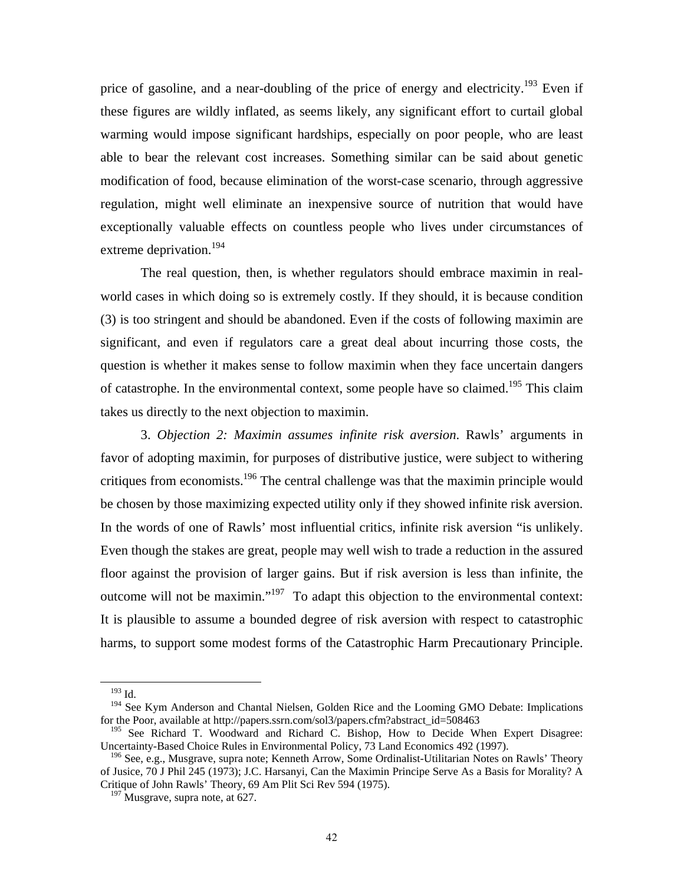price of gasoline, and a near-doubling of the price of energy and electricity.<sup>193</sup> Even if these figures are wildly inflated, as seems likely, any significant effort to curtail global warming would impose significant hardships, especially on poor people, who are least able to bear the relevant cost increases. Something similar can be said about genetic modification of food, because elimination of the worst-case scenario, through aggressive regulation, might well eliminate an inexpensive source of nutrition that would have exceptionally valuable effects on countless people who lives under circumstances of extreme deprivation.<sup>194</sup>

The real question, then, is whether regulators should embrace maximin in realworld cases in which doing so is extremely costly. If they should, it is because condition (3) is too stringent and should be abandoned. Even if the costs of following maximin are significant, and even if regulators care a great deal about incurring those costs, the question is whether it makes sense to follow maximin when they face uncertain dangers of catastrophe. In the environmental context, some people have so claimed.<sup>195</sup> This claim takes us directly to the next objection to maximin.

3. *Objection 2: Maximin assumes infinite risk aversion*. Rawls' arguments in favor of adopting maximin, for purposes of distributive justice, were subject to withering critiques from economists.<sup>196</sup> The central challenge was that the maximin principle would be chosen by those maximizing expected utility only if they showed infinite risk aversion. In the words of one of Rawls' most influential critics, infinite risk aversion "is unlikely. Even though the stakes are great, people may well wish to trade a reduction in the assured floor against the provision of larger gains. But if risk aversion is less than infinite, the outcome will not be maximin."197 To adapt this objection to the environmental context: It is plausible to assume a bounded degree of risk aversion with respect to catastrophic harms, to support some modest forms of the Catastrophic Harm Precautionary Principle.

193 Id.

<sup>&</sup>lt;sup>194</sup> See Kym Anderson and Chantal Nielsen, Golden Rice and the Looming GMO Debate: Implications for the Poor, available at http://papers.ssrn.com/sol3/papers.cfm?abstract\_id=508463

<sup>&</sup>lt;sup>195</sup> See Richard T. Woodward and Richard C. Bishop, How to Decide When Expert Disagree: Uncertainty-Based Choice Rules in Environmental Policy, 73 Land Economics 492 (1997).

<sup>196</sup> See, e.g., Musgrave, supra note; Kenneth Arrow, Some Ordinalist-Utilitarian Notes on Rawls' Theory of Jusice, 70 J Phil 245 (1973); J.C. Harsanyi, Can the Maximin Principe Serve As a Basis for Morality? A Critique of John Rawls' Theory, 69 Am Plit Sci Rev 594 (1975).

 $197$  Musgrave, supra note, at 627.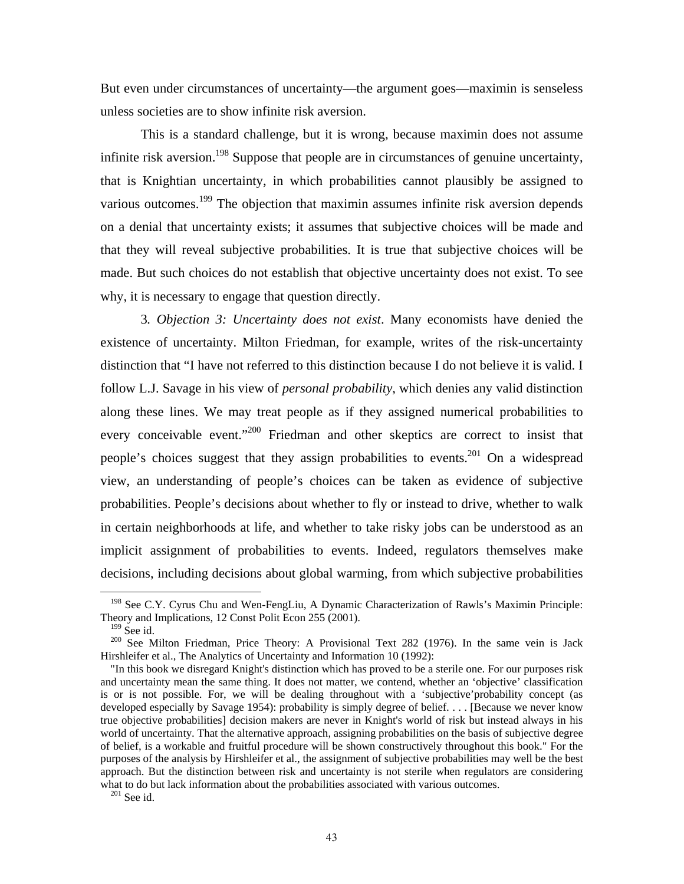But even under circumstances of uncertainty—the argument goes—maximin is senseless unless societies are to show infinite risk aversion.

This is a standard challenge, but it is wrong, because maximin does not assume infinite risk aversion.<sup>198</sup> Suppose that people are in circumstances of genuine uncertainty, that is Knightian uncertainty, in which probabilities cannot plausibly be assigned to various outcomes.<sup>199</sup> The objection that maximin assumes infinite risk aversion depends on a denial that uncertainty exists; it assumes that subjective choices will be made and that they will reveal subjective probabilities. It is true that subjective choices will be made. But such choices do not establish that objective uncertainty does not exist. To see why, it is necessary to engage that question directly.

3*. Objection 3: Uncertainty does not exist*. Many economists have denied the existence of uncertainty. Milton Friedman, for example, writes of the risk-uncertainty distinction that "I have not referred to this distinction because I do not believe it is valid. I follow L.J. Savage in his view of *personal probability*, which denies any valid distinction along these lines. We may treat people as if they assigned numerical probabilities to every conceivable event."<sup>200</sup> Friedman and other skeptics are correct to insist that people's choices suggest that they assign probabilities to events.<sup>201</sup> On a widespread view, an understanding of people's choices can be taken as evidence of subjective probabilities. People's decisions about whether to fly or instead to drive, whether to walk in certain neighborhoods at life, and whether to take risky jobs can be understood as an implicit assignment of probabilities to events. Indeed, regulators themselves make decisions, including decisions about global warming, from which subjective probabilities

<sup>&</sup>lt;sup>198</sup> See C.Y. Cyrus Chu and Wen-FengLiu, A Dynamic Characterization of Rawls's Maximin Principle: Theory and Implications, 12 Const Polit Econ 255 (2001).<br><sup>199</sup> See id.

<sup>&</sup>lt;sup>200</sup> See Milton Friedman, Price Theory: A Provisional Text 282 (1976). In the same vein is Jack Hirshleifer et al., The Analytics of Uncertainty and Information 10 (1992):

<sup>&</sup>quot;In this book we disregard Knight's distinction which has proved to be a sterile one. For our purposes risk and uncertainty mean the same thing. It does not matter, we contend, whether an 'objective' classification is or is not possible. For, we will be dealing throughout with a 'subjective'probability concept (as developed especially by Savage 1954): probability is simply degree of belief. . . . [Because we never know true objective probabilities] decision makers are never in Knight's world of risk but instead always in his world of uncertainty. That the alternative approach, assigning probabilities on the basis of subjective degree of belief, is a workable and fruitful procedure will be shown constructively throughout this book." For the purposes of the analysis by Hirshleifer et al., the assignment of subjective probabilities may well be the best approach. But the distinction between risk and uncertainty is not sterile when regulators are considering what to do but lack information about the probabilities associated with various outcomes.<br><sup>201</sup> See id.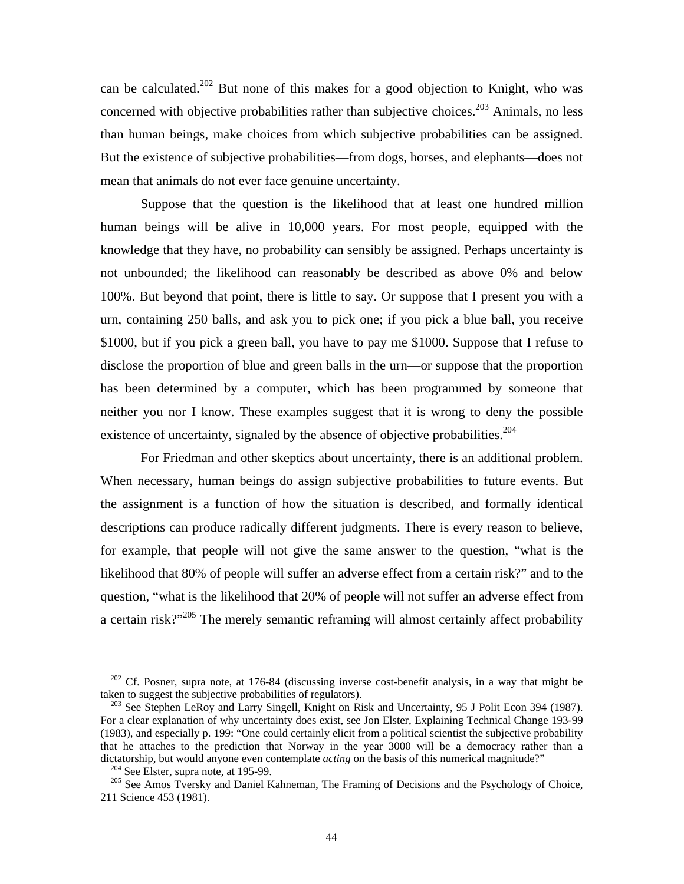can be calculated.202 But none of this makes for a good objection to Knight, who was concerned with objective probabilities rather than subjective choices.<sup>203</sup> Animals, no less than human beings, make choices from which subjective probabilities can be assigned. But the existence of subjective probabilities—from dogs, horses, and elephants—does not mean that animals do not ever face genuine uncertainty.

Suppose that the question is the likelihood that at least one hundred million human beings will be alive in 10,000 years. For most people, equipped with the knowledge that they have, no probability can sensibly be assigned. Perhaps uncertainty is not unbounded; the likelihood can reasonably be described as above 0% and below 100%. But beyond that point, there is little to say. Or suppose that I present you with a urn, containing 250 balls, and ask you to pick one; if you pick a blue ball, you receive \$1000, but if you pick a green ball, you have to pay me \$1000. Suppose that I refuse to disclose the proportion of blue and green balls in the urn—or suppose that the proportion has been determined by a computer, which has been programmed by someone that neither you nor I know. These examples suggest that it is wrong to deny the possible existence of uncertainty, signaled by the absence of objective probabilities.<sup>204</sup>

For Friedman and other skeptics about uncertainty, there is an additional problem. When necessary, human beings do assign subjective probabilities to future events. But the assignment is a function of how the situation is described, and formally identical descriptions can produce radically different judgments. There is every reason to believe, for example, that people will not give the same answer to the question, "what is the likelihood that 80% of people will suffer an adverse effect from a certain risk?" and to the question, "what is the likelihood that 20% of people will not suffer an adverse effect from a certain risk?"<sup>205</sup> The merely semantic reframing will almost certainly affect probability

<sup>&</sup>lt;sup>202</sup> Cf. Posner, supra note, at 176-84 (discussing inverse cost-benefit analysis, in a way that might be taken to suggest the subjective probabilities of regulators).

<sup>&</sup>lt;sup>203</sup> See Stephen LeRoy and Larry Singell, Knight on Risk and Uncertainty, 95 J Polit Econ 394 (1987). For a clear explanation of why uncertainty does exist, see Jon Elster, Explaining Technical Change 193-99 (1983), and especially p. 199: "One could certainly elicit from a political scientist the subjective probability that he attaches to the prediction that Norway in the year 3000 will be a democracy rather than a dictatorship, but would anyone even contemplate *acting* on the basis of this numerical magnitude?"<br><sup>204</sup> See Elster, supra note, at 195-99.<br><sup>205</sup> See Amos Tversky and Daniel Kahneman, The Framing of Decisions and the Psyc

<sup>211</sup> Science 453 (1981).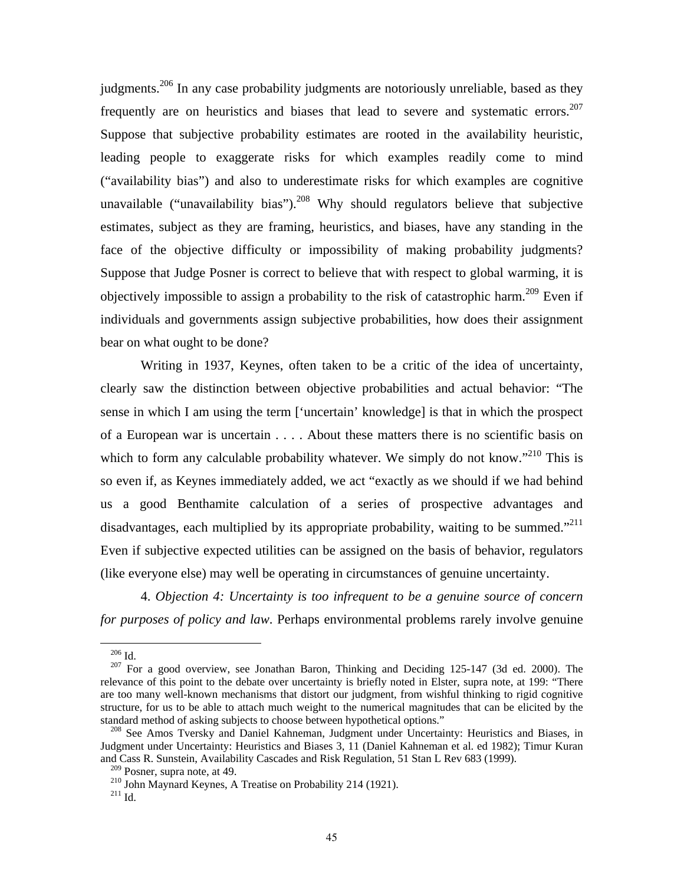judgments.<sup>206</sup> In any case probability judgments are notoriously unreliable, based as they frequently are on heuristics and biases that lead to severe and systematic errors.<sup>207</sup> Suppose that subjective probability estimates are rooted in the availability heuristic, leading people to exaggerate risks for which examples readily come to mind ("availability bias") and also to underestimate risks for which examples are cognitive unavailable ("unavailability bias").<sup>208</sup> Why should regulators believe that subjective estimates, subject as they are framing, heuristics, and biases, have any standing in the face of the objective difficulty or impossibility of making probability judgments? Suppose that Judge Posner is correct to believe that with respect to global warming, it is objectively impossible to assign a probability to the risk of catastrophic harm.<sup>209</sup> Even if individuals and governments assign subjective probabilities, how does their assignment bear on what ought to be done?

Writing in 1937, Keynes, often taken to be a critic of the idea of uncertainty, clearly saw the distinction between objective probabilities and actual behavior: "The sense in which I am using the term ['uncertain' knowledge] is that in which the prospect of a European war is uncertain . . . . About these matters there is no scientific basis on which to form any calculable probability whatever. We simply do not know."<sup>210</sup> This is so even if, as Keynes immediately added, we act "exactly as we should if we had behind us a good Benthamite calculation of a series of prospective advantages and disadvantages, each multiplied by its appropriate probability, waiting to be summed."<sup>211</sup> Even if subjective expected utilities can be assigned on the basis of behavior, regulators (like everyone else) may well be operating in circumstances of genuine uncertainty.

4. *Objection 4: Uncertainty is too infrequent to be a genuine source of concern for purposes of policy and law*. Perhaps environmental problems rarely involve genuine

 $\frac{206}{207}$  Id.<br> $\frac{207}{207}$  For a good overview, see Jonathan Baron, Thinking and Deciding 125-147 (3d ed. 2000). The relevance of this point to the debate over uncertainty is briefly noted in Elster, supra note, at 199: "There are too many well-known mechanisms that distort our judgment, from wishful thinking to rigid cognitive structure, for us to be able to attach much weight to the numerical magnitudes that can be elicited by the standard method of asking subjects to choose between hypothetical options."

<sup>&</sup>lt;sup>208</sup> See Amos Tversky and Daniel Kahneman, Judgment under Uncertainty: Heuristics and Biases, in Judgment under Uncertainty: Heuristics and Biases 3, 11 (Daniel Kahneman et al. ed 1982); Timur Kuran and Cass R. Sunstein, Availability Cascades and Risk Regulation, 51 Stan L Rev 683 (1999).

<sup>&</sup>lt;sup>209</sup> Posner, supra note, at 49.<br><sup>210</sup> John Maynard Keynes, A Treatise on Probability 214 (1921).<br><sup>211</sup> Id.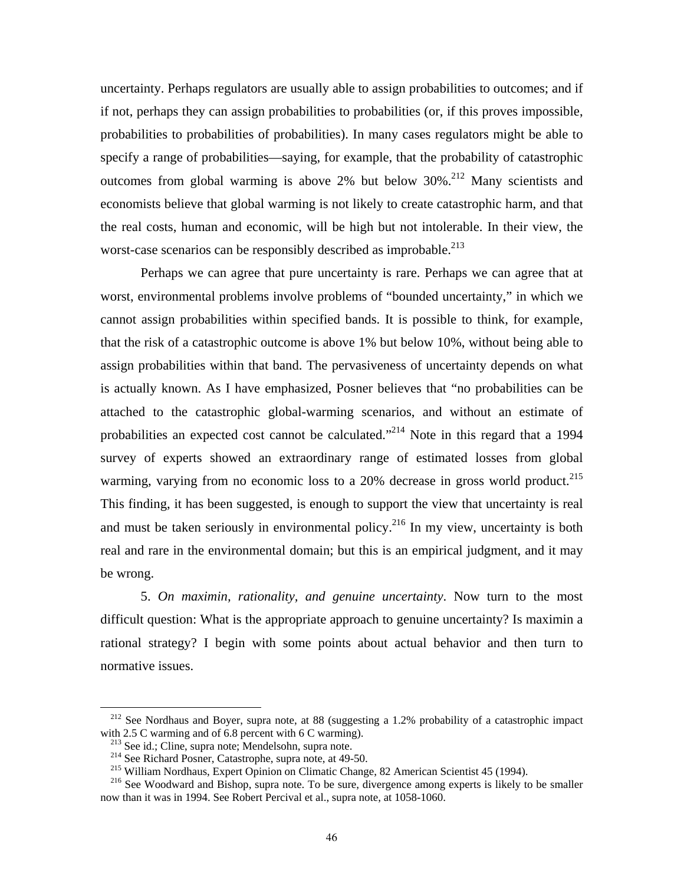uncertainty. Perhaps regulators are usually able to assign probabilities to outcomes; and if if not, perhaps they can assign probabilities to probabilities (or, if this proves impossible, probabilities to probabilities of probabilities). In many cases regulators might be able to specify a range of probabilities—saying, for example, that the probability of catastrophic outcomes from global warming is above 2% but below  $30\%$ <sup>212</sup> Many scientists and economists believe that global warming is not likely to create catastrophic harm, and that the real costs, human and economic, will be high but not intolerable. In their view, the worst-case scenarios can be responsibly described as improbable.<sup>213</sup>

Perhaps we can agree that pure uncertainty is rare. Perhaps we can agree that at worst, environmental problems involve problems of "bounded uncertainty," in which we cannot assign probabilities within specified bands. It is possible to think, for example, that the risk of a catastrophic outcome is above 1% but below 10%, without being able to assign probabilities within that band. The pervasiveness of uncertainty depends on what is actually known. As I have emphasized, Posner believes that "no probabilities can be attached to the catastrophic global-warming scenarios, and without an estimate of probabilities an expected cost cannot be calculated."<sup>214</sup> Note in this regard that a 1994 survey of experts showed an extraordinary range of estimated losses from global warming, varying from no economic loss to a  $20\%$  decrease in gross world product.<sup>215</sup> This finding, it has been suggested, is enough to support the view that uncertainty is real and must be taken seriously in environmental policy.<sup>216</sup> In my view, uncertainty is both real and rare in the environmental domain; but this is an empirical judgment, and it may be wrong.

5. *On maximin, rationality, and genuine uncertainty*. Now turn to the most difficult question: What is the appropriate approach to genuine uncertainty? Is maximin a rational strategy? I begin with some points about actual behavior and then turn to normative issues.

<sup>&</sup>lt;sup>212</sup> See Nordhaus and Boyer, supra note, at 88 (suggesting a 1.2% probability of a catastrophic impact with 2.5 C warming and of 6.8 percent with 6 C warming).

<sup>&</sup>lt;sup>213</sup> See id.; Cline, supra note; Mendelsohn, supra note.<br><sup>214</sup> See Richard Posner, Catastrophe, supra note, at 49-50.<br><sup>215</sup> William Nordhaus, Expert Opinion on Climatic Change, 82 American Scientist 45 (1994).<br><sup>216</sup> See

now than it was in 1994. See Robert Percival et al., supra note, at 1058-1060.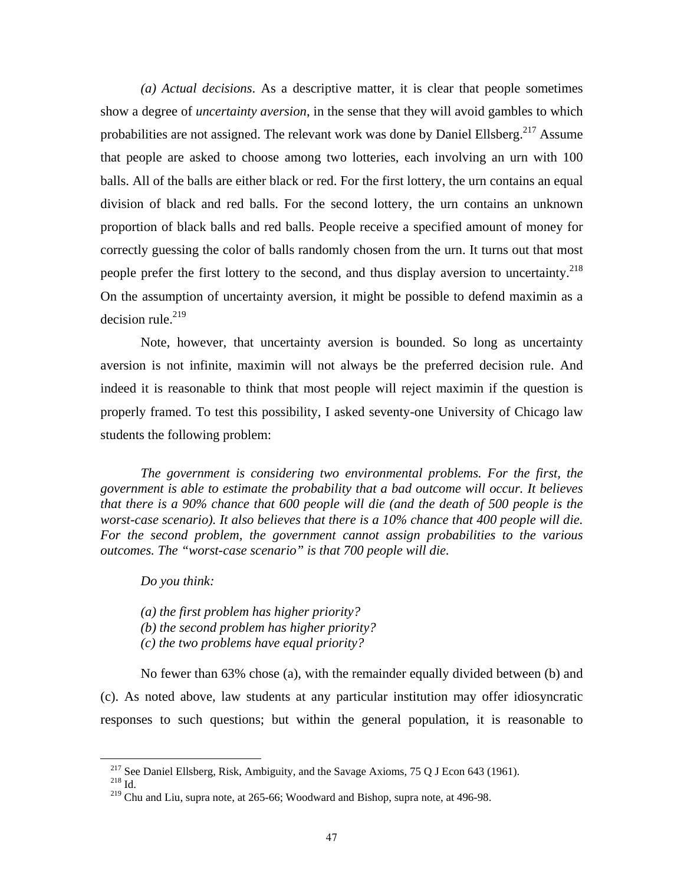*(a) Actual decisions*. As a descriptive matter, it is clear that people sometimes show a degree of *uncertainty aversion*, in the sense that they will avoid gambles to which probabilities are not assigned. The relevant work was done by Daniel Ellsberg.<sup>217</sup> Assume that people are asked to choose among two lotteries, each involving an urn with 100 balls. All of the balls are either black or red. For the first lottery, the urn contains an equal division of black and red balls. For the second lottery, the urn contains an unknown proportion of black balls and red balls. People receive a specified amount of money for correctly guessing the color of balls randomly chosen from the urn. It turns out that most people prefer the first lottery to the second, and thus display aversion to uncertainty.<sup>218</sup> On the assumption of uncertainty aversion, it might be possible to defend maximin as a decision rule. $^{219}$ 

Note, however, that uncertainty aversion is bounded. So long as uncertainty aversion is not infinite, maximin will not always be the preferred decision rule. And indeed it is reasonable to think that most people will reject maximin if the question is properly framed. To test this possibility, I asked seventy-one University of Chicago law students the following problem:

*The government is considering two environmental problems. For the first, the government is able to estimate the probability that a bad outcome will occur. It believes that there is a 90% chance that 600 people will die (and the death of 500 people is the worst-case scenario). It also believes that there is a 10% chance that 400 people will die. For the second problem, the government cannot assign probabilities to the various outcomes. The "worst-case scenario" is that 700 people will die.* 

*Do you think:* 

*(a) the first problem has higher priority? (b) the second problem has higher priority? (c) the two problems have equal priority?* 

No fewer than 63% chose (a), with the remainder equally divided between (b) and (c). As noted above, law students at any particular institution may offer idiosyncratic responses to such questions; but within the general population, it is reasonable to

<sup>&</sup>lt;sup>217</sup> See Daniel Ellsberg, Risk, Ambiguity, and the Savage Axioms, 75 Q J Econ 643 (1961).<br><sup>218</sup> Id.

 $219$  Chu and Liu, supra note, at 265-66; Woodward and Bishop, supra note, at 496-98.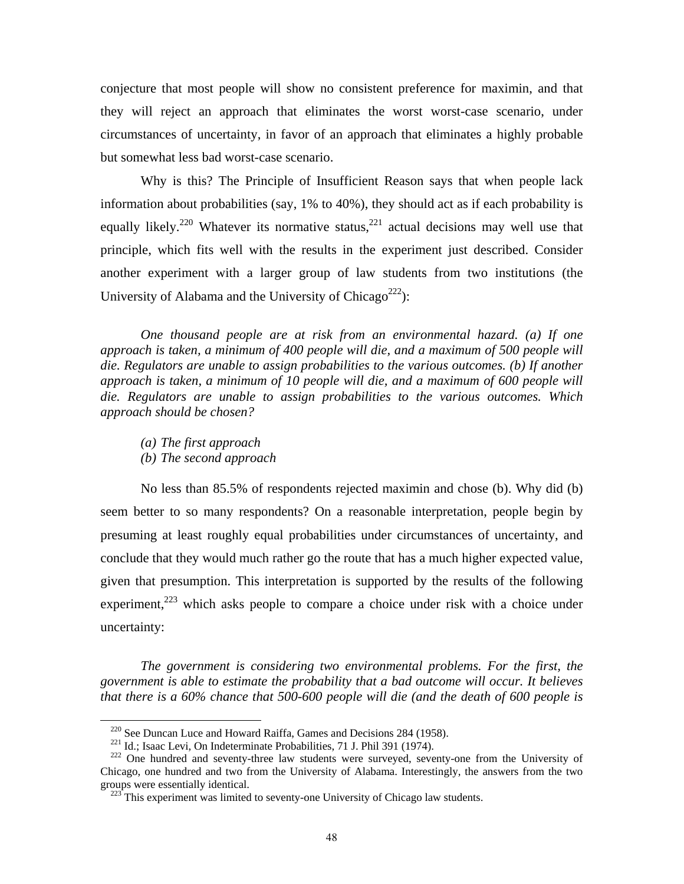conjecture that most people will show no consistent preference for maximin, and that they will reject an approach that eliminates the worst worst-case scenario, under circumstances of uncertainty, in favor of an approach that eliminates a highly probable but somewhat less bad worst-case scenario.

Why is this? The Principle of Insufficient Reason says that when people lack information about probabilities (say, 1% to 40%), they should act as if each probability is equally likely.<sup>220</sup> Whatever its normative status,<sup>221</sup> actual decisions may well use that principle, which fits well with the results in the experiment just described. Consider another experiment with a larger group of law students from two institutions (the University of Alabama and the University of Chicago<sup>222</sup>):

*One thousand people are at risk from an environmental hazard. (a) If one approach is taken, a minimum of 400 people will die, and a maximum of 500 people will die. Regulators are unable to assign probabilities to the various outcomes. (b) If another approach is taken, a minimum of 10 people will die, and a maximum of 600 people will die. Regulators are unable to assign probabilities to the various outcomes. Which approach should be chosen?* 

- *(a) The first approach*
- *(b) The second approach*

No less than 85.5% of respondents rejected maximin and chose (b). Why did (b) seem better to so many respondents? On a reasonable interpretation, people begin by presuming at least roughly equal probabilities under circumstances of uncertainty, and conclude that they would much rather go the route that has a much higher expected value, given that presumption. This interpretation is supported by the results of the following experiment, $223$  which asks people to compare a choice under risk with a choice under uncertainty:

*The government is considering two environmental problems. For the first, the government is able to estimate the probability that a bad outcome will occur. It believes that there is a 60% chance that 500-600 people will die (and the death of 600 people is* 

<sup>&</sup>lt;sup>220</sup> See Duncan Luce and Howard Raiffa, Games and Decisions 284 (1958).<br><sup>221</sup> Id.; Isaac Levi, On Indeterminate Probabilities, 71 J. Phil 391 (1974).<br><sup>222</sup> One hundred and seventy-three law students were surveyed, sevent Chicago, one hundred and two from the University of Alabama. Interestingly, the answers from the two groups were essentially identical.<br><sup>223</sup> This experiment was limited to seventy-one University of Chicago law students.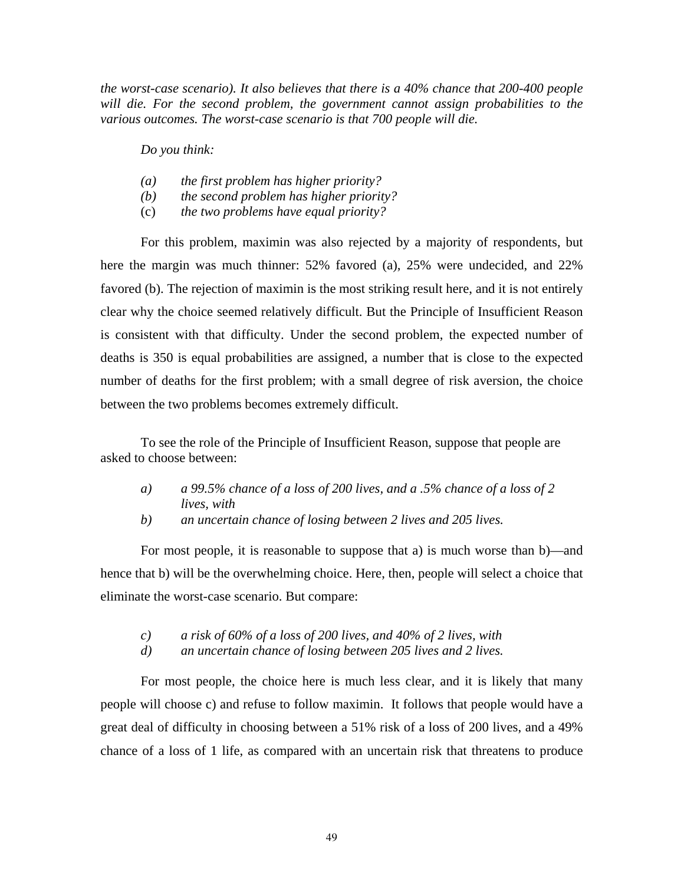*the worst-case scenario). It also believes that there is a 40% chance that 200-400 people*  will die. For the second problem, the government cannot assign probabilities to the *various outcomes. The worst-case scenario is that 700 people will die.* 

#### *Do you think:*

- *(a) the first problem has higher priority?*
- *(b) the second problem has higher priority?*
- (c) *the two problems have equal priority?*

For this problem, maximin was also rejected by a majority of respondents, but here the margin was much thinner: 52% favored (a), 25% were undecided, and 22% favored (b). The rejection of maximin is the most striking result here, and it is not entirely clear why the choice seemed relatively difficult. But the Principle of Insufficient Reason is consistent with that difficulty. Under the second problem, the expected number of deaths is 350 is equal probabilities are assigned, a number that is close to the expected number of deaths for the first problem; with a small degree of risk aversion, the choice between the two problems becomes extremely difficult.

To see the role of the Principle of Insufficient Reason, suppose that people are asked to choose between:

- *a) a 99.5% chance of a loss of 200 lives, and a .5% chance of a loss of 2 lives, with*
- *b) an uncertain chance of losing between 2 lives and 205 lives.*

For most people, it is reasonable to suppose that a) is much worse than b)—and hence that b) will be the overwhelming choice. Here, then, people will select a choice that eliminate the worst-case scenario. But compare:

*c) a risk of 60% of a loss of 200 lives, and 40% of 2 lives, with d) an uncertain chance of losing between 205 lives and 2 lives.* 

For most people, the choice here is much less clear, and it is likely that many people will choose c) and refuse to follow maximin. It follows that people would have a great deal of difficulty in choosing between a 51% risk of a loss of 200 lives, and a 49% chance of a loss of 1 life, as compared with an uncertain risk that threatens to produce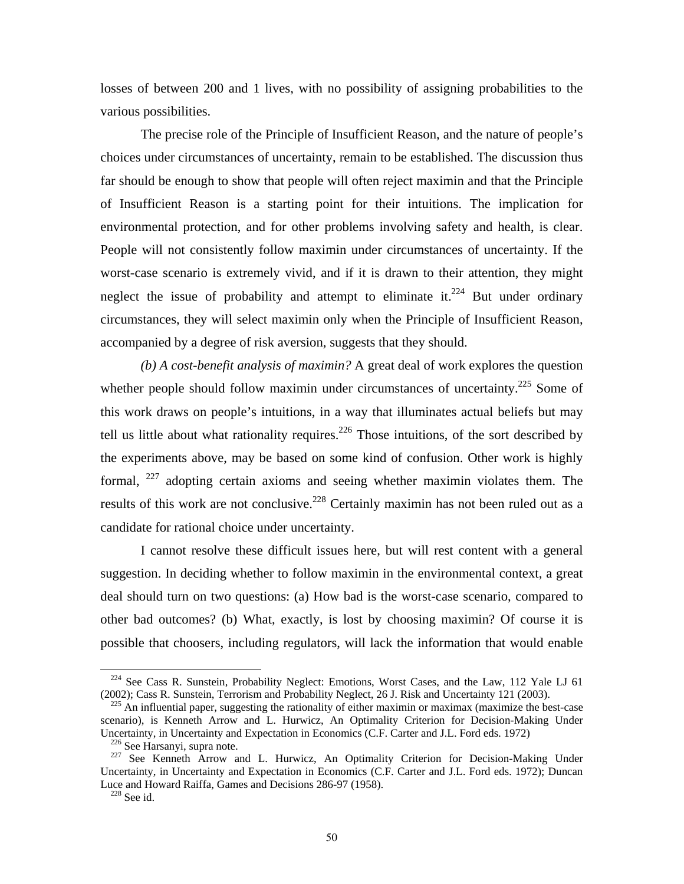losses of between 200 and 1 lives, with no possibility of assigning probabilities to the various possibilities.

The precise role of the Principle of Insufficient Reason, and the nature of people's choices under circumstances of uncertainty, remain to be established. The discussion thus far should be enough to show that people will often reject maximin and that the Principle of Insufficient Reason is a starting point for their intuitions. The implication for environmental protection, and for other problems involving safety and health, is clear. People will not consistently follow maximin under circumstances of uncertainty. If the worst-case scenario is extremely vivid, and if it is drawn to their attention, they might neglect the issue of probability and attempt to eliminate it.<sup>224</sup> But under ordinary circumstances, they will select maximin only when the Principle of Insufficient Reason, accompanied by a degree of risk aversion, suggests that they should.

*(b) A cost-benefit analysis of maximin?* A great deal of work explores the question whether people should follow maximin under circumstances of uncertainty.<sup>225</sup> Some of this work draws on people's intuitions, in a way that illuminates actual beliefs but may tell us little about what rationality requires.<sup>226</sup> Those intuitions, of the sort described by the experiments above, may be based on some kind of confusion. Other work is highly formal,  $227$  adopting certain axioms and seeing whether maximin violates them. The results of this work are not conclusive.<sup>228</sup> Certainly maximin has not been ruled out as a candidate for rational choice under uncertainty.

I cannot resolve these difficult issues here, but will rest content with a general suggestion. In deciding whether to follow maximin in the environmental context, a great deal should turn on two questions: (a) How bad is the worst-case scenario, compared to other bad outcomes? (b) What, exactly, is lost by choosing maximin? Of course it is possible that choosers, including regulators, will lack the information that would enable

<sup>&</sup>lt;sup>224</sup> See Cass R. Sunstein, Probability Neglect: Emotions, Worst Cases, and the Law, 112 Yale LJ 61 (2002); Cass R. Sunstein, Terrorism and Probability Neglect, 26 J. Risk and Uncertainty 121 (2003).

<sup>&</sup>lt;sup>225</sup> An influential paper, suggesting the rationality of either maximin or maximax (maximize the best-case) scenario), is Kenneth Arrow and L. Hurwicz, An Optimality Criterion for Decision-Making Under Uncertainty, in Uncertainty and Expectation in Economics (C.F. Carter and J.L. Ford eds. 1972)

<sup>&</sup>lt;sup>226</sup> See Harsanyi, supra note.<br><sup>227</sup> See Kenneth Arrow and L. Hurwicz, An Optimality Criterion for Decision-Making Under Uncertainty, in Uncertainty and Expectation in Economics (C.F. Carter and J.L. Ford eds. 1972); Duncan Luce and Howard Raiffa, Games and Decisions 286-97 (1958).<br><sup>228</sup> See id.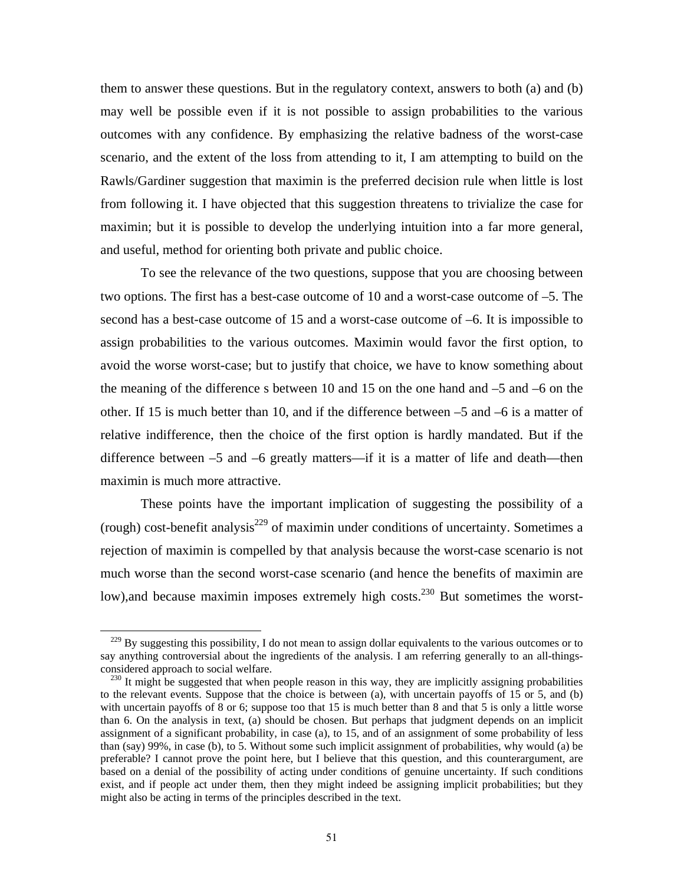them to answer these questions. But in the regulatory context, answers to both (a) and (b) may well be possible even if it is not possible to assign probabilities to the various outcomes with any confidence. By emphasizing the relative badness of the worst-case scenario, and the extent of the loss from attending to it, I am attempting to build on the Rawls/Gardiner suggestion that maximin is the preferred decision rule when little is lost from following it. I have objected that this suggestion threatens to trivialize the case for maximin; but it is possible to develop the underlying intuition into a far more general, and useful, method for orienting both private and public choice.

To see the relevance of the two questions, suppose that you are choosing between two options. The first has a best-case outcome of 10 and a worst-case outcome of –5. The second has a best-case outcome of 15 and a worst-case outcome of –6. It is impossible to assign probabilities to the various outcomes. Maximin would favor the first option, to avoid the worse worst-case; but to justify that choice, we have to know something about the meaning of the difference s between 10 and 15 on the one hand and –5 and –6 on the other. If 15 is much better than 10, and if the difference between –5 and –6 is a matter of relative indifference, then the choice of the first option is hardly mandated. But if the difference between –5 and –6 greatly matters—if it is a matter of life and death—then maximin is much more attractive.

These points have the important implication of suggesting the possibility of a (rough) cost-benefit analysis<sup>229</sup> of maximin under conditions of uncertainty. Sometimes a rejection of maximin is compelled by that analysis because the worst-case scenario is not much worse than the second worst-case scenario (and hence the benefits of maximin are low), and because maximin imposes extremely high costs.<sup>230</sup> But sometimes the worst-

 $^{229}$  By suggesting this possibility, I do not mean to assign dollar equivalents to the various outcomes or to say anything controversial about the ingredients of the analysis. I am referring generally to an all-thingsconsidered approach to social welfare.<br><sup>230</sup> It might be suggested that when people reason in this way, they are implicitly assigning probabilities

to the relevant events. Suppose that the choice is between (a), with uncertain payoffs of 15 or 5, and (b) with uncertain payoffs of 8 or 6; suppose too that 15 is much better than 8 and that 5 is only a little worse than 6. On the analysis in text, (a) should be chosen. But perhaps that judgment depends on an implicit assignment of a significant probability, in case (a), to 15, and of an assignment of some probability of less than (say) 99%, in case (b), to 5. Without some such implicit assignment of probabilities, why would (a) be preferable? I cannot prove the point here, but I believe that this question, and this counterargument, are based on a denial of the possibility of acting under conditions of genuine uncertainty. If such conditions exist, and if people act under them, then they might indeed be assigning implicit probabilities; but they might also be acting in terms of the principles described in the text.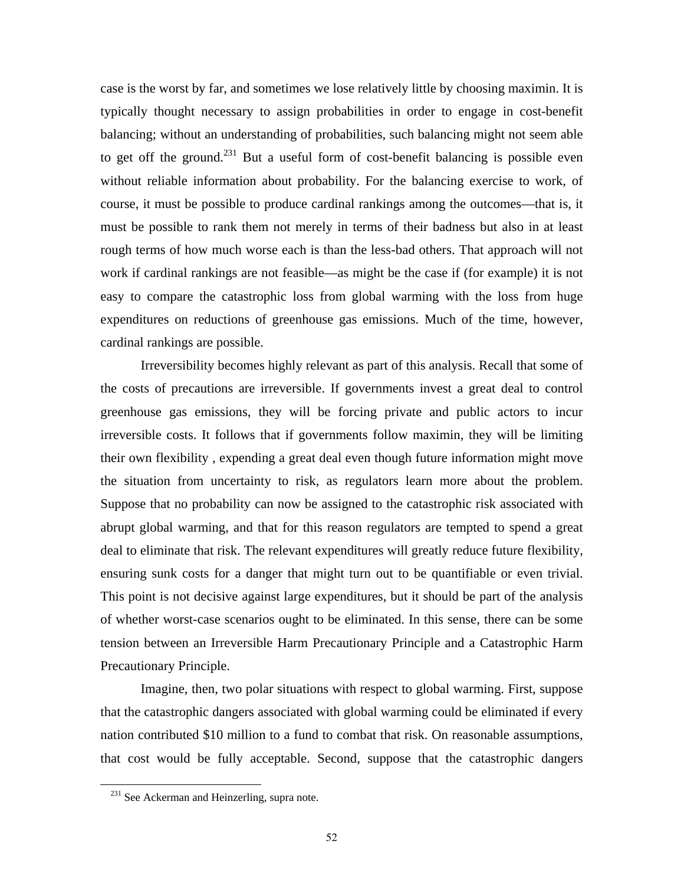case is the worst by far, and sometimes we lose relatively little by choosing maximin. It is typically thought necessary to assign probabilities in order to engage in cost-benefit balancing; without an understanding of probabilities, such balancing might not seem able to get off the ground.<sup>231</sup> But a useful form of cost-benefit balancing is possible even without reliable information about probability. For the balancing exercise to work, of course, it must be possible to produce cardinal rankings among the outcomes—that is, it must be possible to rank them not merely in terms of their badness but also in at least rough terms of how much worse each is than the less-bad others. That approach will not work if cardinal rankings are not feasible—as might be the case if (for example) it is not easy to compare the catastrophic loss from global warming with the loss from huge expenditures on reductions of greenhouse gas emissions. Much of the time, however, cardinal rankings are possible.

Irreversibility becomes highly relevant as part of this analysis. Recall that some of the costs of precautions are irreversible. If governments invest a great deal to control greenhouse gas emissions, they will be forcing private and public actors to incur irreversible costs. It follows that if governments follow maximin, they will be limiting their own flexibility , expending a great deal even though future information might move the situation from uncertainty to risk, as regulators learn more about the problem. Suppose that no probability can now be assigned to the catastrophic risk associated with abrupt global warming, and that for this reason regulators are tempted to spend a great deal to eliminate that risk. The relevant expenditures will greatly reduce future flexibility, ensuring sunk costs for a danger that might turn out to be quantifiable or even trivial. This point is not decisive against large expenditures, but it should be part of the analysis of whether worst-case scenarios ought to be eliminated. In this sense, there can be some tension between an Irreversible Harm Precautionary Principle and a Catastrophic Harm Precautionary Principle.

Imagine, then, two polar situations with respect to global warming. First, suppose that the catastrophic dangers associated with global warming could be eliminated if every nation contributed \$10 million to a fund to combat that risk. On reasonable assumptions, that cost would be fully acceptable. Second, suppose that the catastrophic dangers

<sup>&</sup>lt;sup>231</sup> See Ackerman and Heinzerling, supra note.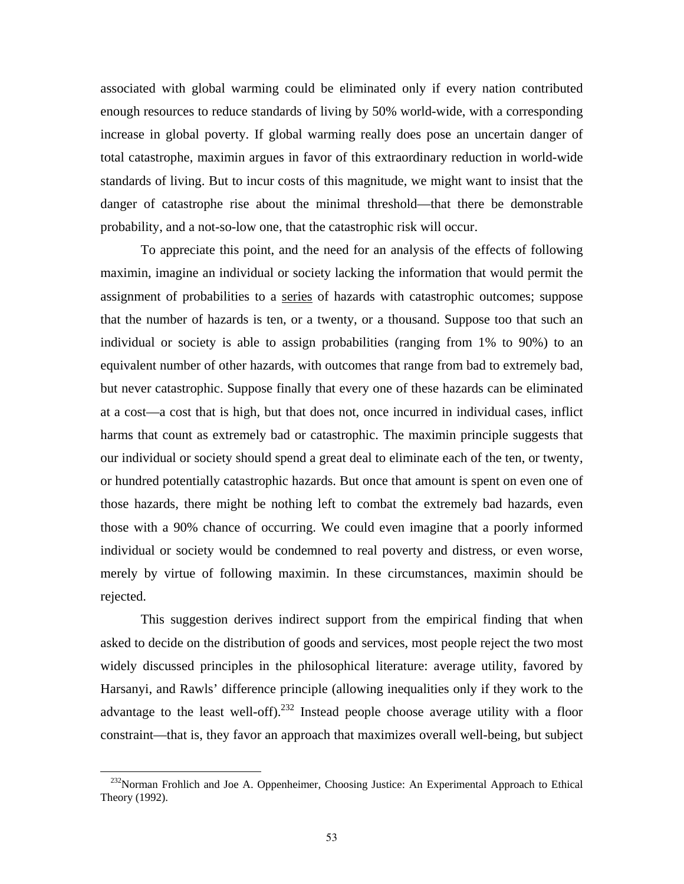associated with global warming could be eliminated only if every nation contributed enough resources to reduce standards of living by 50% world-wide, with a corresponding increase in global poverty. If global warming really does pose an uncertain danger of total catastrophe, maximin argues in favor of this extraordinary reduction in world-wide standards of living. But to incur costs of this magnitude, we might want to insist that the danger of catastrophe rise about the minimal threshold—that there be demonstrable probability, and a not-so-low one, that the catastrophic risk will occur.

To appreciate this point, and the need for an analysis of the effects of following maximin, imagine an individual or society lacking the information that would permit the assignment of probabilities to a series of hazards with catastrophic outcomes; suppose that the number of hazards is ten, or a twenty, or a thousand. Suppose too that such an individual or society is able to assign probabilities (ranging from 1% to 90%) to an equivalent number of other hazards, with outcomes that range from bad to extremely bad, but never catastrophic. Suppose finally that every one of these hazards can be eliminated at a cost—a cost that is high, but that does not, once incurred in individual cases, inflict harms that count as extremely bad or catastrophic. The maximin principle suggests that our individual or society should spend a great deal to eliminate each of the ten, or twenty, or hundred potentially catastrophic hazards. But once that amount is spent on even one of those hazards, there might be nothing left to combat the extremely bad hazards, even those with a 90% chance of occurring. We could even imagine that a poorly informed individual or society would be condemned to real poverty and distress, or even worse, merely by virtue of following maximin. In these circumstances, maximin should be rejected.

This suggestion derives indirect support from the empirical finding that when asked to decide on the distribution of goods and services, most people reject the two most widely discussed principles in the philosophical literature: average utility, favored by Harsanyi, and Rawls' difference principle (allowing inequalities only if they work to the advantage to the least well-off).<sup>232</sup> Instead people choose average utility with a floor constraint—that is, they favor an approach that maximizes overall well-being, but subject

<sup>&</sup>lt;sup>232</sup>Norman Frohlich and Joe A. Oppenheimer, Choosing Justice: An Experimental Approach to Ethical Theory (1992).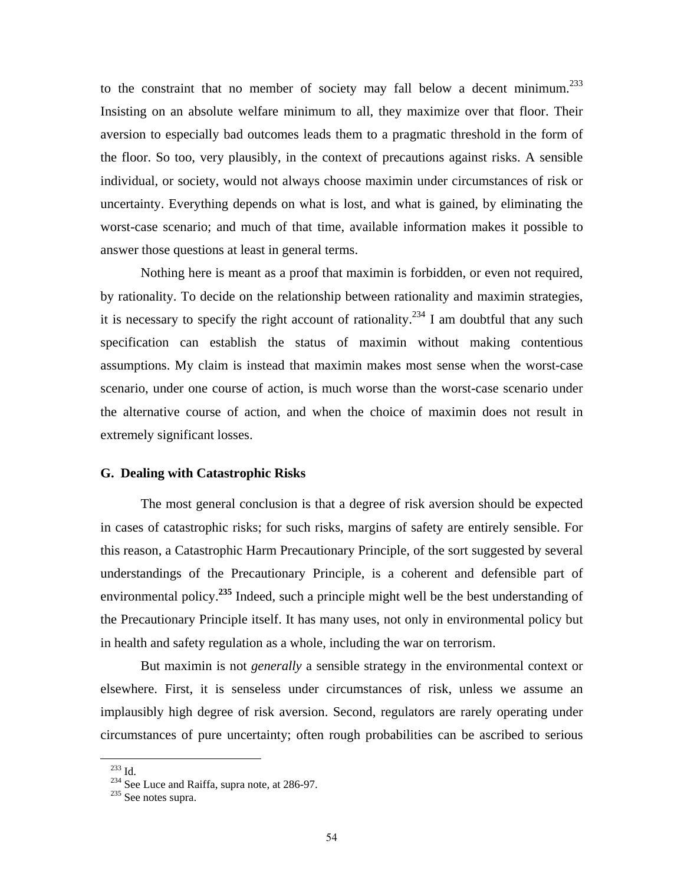to the constraint that no member of society may fall below a decent minimum.<sup>233</sup> Insisting on an absolute welfare minimum to all, they maximize over that floor. Their aversion to especially bad outcomes leads them to a pragmatic threshold in the form of the floor. So too, very plausibly, in the context of precautions against risks. A sensible individual, or society, would not always choose maximin under circumstances of risk or uncertainty. Everything depends on what is lost, and what is gained, by eliminating the worst-case scenario; and much of that time, available information makes it possible to answer those questions at least in general terms.

Nothing here is meant as a proof that maximin is forbidden, or even not required, by rationality. To decide on the relationship between rationality and maximin strategies, it is necessary to specify the right account of rationality.<sup>234</sup> I am doubtful that any such specification can establish the status of maximin without making contentious assumptions. My claim is instead that maximin makes most sense when the worst-case scenario, under one course of action, is much worse than the worst-case scenario under the alternative course of action, and when the choice of maximin does not result in extremely significant losses.

#### **G. Dealing with Catastrophic Risks**

The most general conclusion is that a degree of risk aversion should be expected in cases of catastrophic risks; for such risks, margins of safety are entirely sensible. For this reason, a Catastrophic Harm Precautionary Principle, of the sort suggested by several understandings of the Precautionary Principle, is a coherent and defensible part of environmental policy.**<sup>235</sup>** Indeed, such a principle might well be the best understanding of the Precautionary Principle itself. It has many uses, not only in environmental policy but in health and safety regulation as a whole, including the war on terrorism.

But maximin is not *generally* a sensible strategy in the environmental context or elsewhere. First, it is senseless under circumstances of risk, unless we assume an implausibly high degree of risk aversion. Second, regulators are rarely operating under circumstances of pure uncertainty; often rough probabilities can be ascribed to serious

<sup>&</sup>lt;sup>233</sup> Id. <sup>234</sup> See Luce and Raiffa, supra note, at 286-97.<br><sup>235</sup> See notes supra.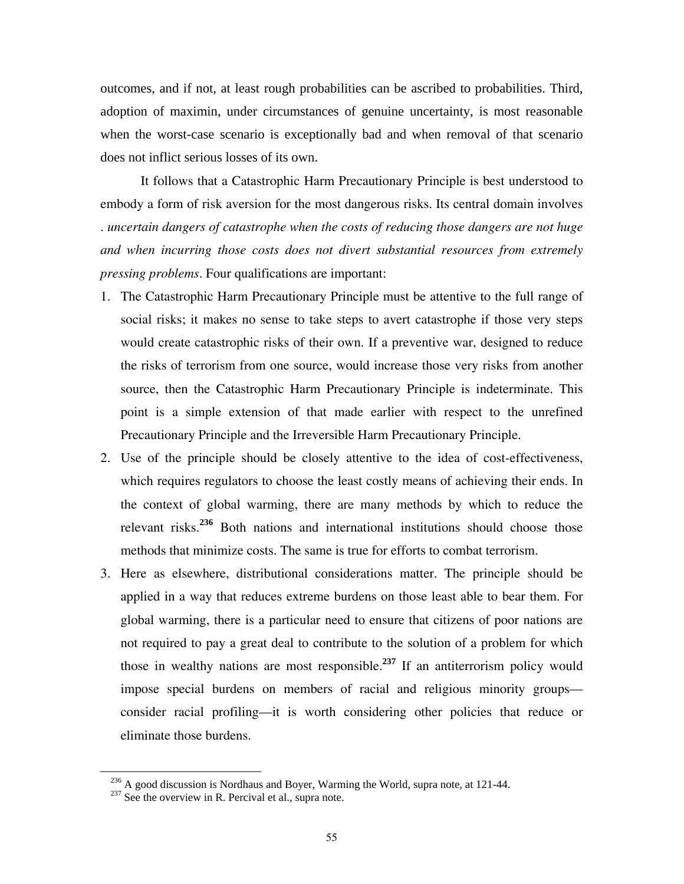outcomes, and if not, at least rough probabilities can be ascribed to probabilities. Third, adoption of maximin, under circumstances of genuine uncertainty, is most reasonable when the worst-case scenario is exceptionally bad and when removal of that scenario does not inflict serious losses of its own.

It follows that a Catastrophic Harm Precautionary Principle is best understood to embody a form of risk aversion for the most dangerous risks. Its central domain involves . *uncertain dangers of catastrophe when the costs of reducing those dangers are not huge and when incurring those costs does not divert substantial resources from extremely pressing problems*. Four qualifications are important:

- 1. The Catastrophic Harm Precautionary Principle must be attentive to the full range of social risks; it makes no sense to take steps to avert catastrophe if those very steps would create catastrophic risks of their own. If a preventive war, designed to reduce the risks of terrorism from one source, would increase those very risks from another source, then the Catastrophic Harm Precautionary Principle is indeterminate. This point is a simple extension of that made earlier with respect to the unrefined Precautionary Principle and the Irreversible Harm Precautionary Principle.
- 2. Use of the principle should be closely attentive to the idea of cost-effectiveness, which requires regulators to choose the least costly means of achieving their ends. In the context of global warming, there are many methods by which to reduce the relevant risks.**<sup>236</sup>** Both nations and international institutions should choose those methods that minimize costs. The same is true for efforts to combat terrorism.
- 3. Here as elsewhere, distributional considerations matter. The principle should be applied in a way that reduces extreme burdens on those least able to bear them. For global warming, there is a particular need to ensure that citizens of poor nations are not required to pay a great deal to contribute to the solution of a problem for which those in wealthy nations are most responsible.**<sup>237</sup>** If an antiterrorism policy would impose special burdens on members of racial and religious minority groups consider racial profiling—it is worth considering other policies that reduce or eliminate those burdens.

<sup>&</sup>lt;sup>236</sup> A good discussion is Nordhaus and Boyer, Warming the World, supra note, at 121-44. <sup>237</sup> See the overview in R. Percival et al., supra note.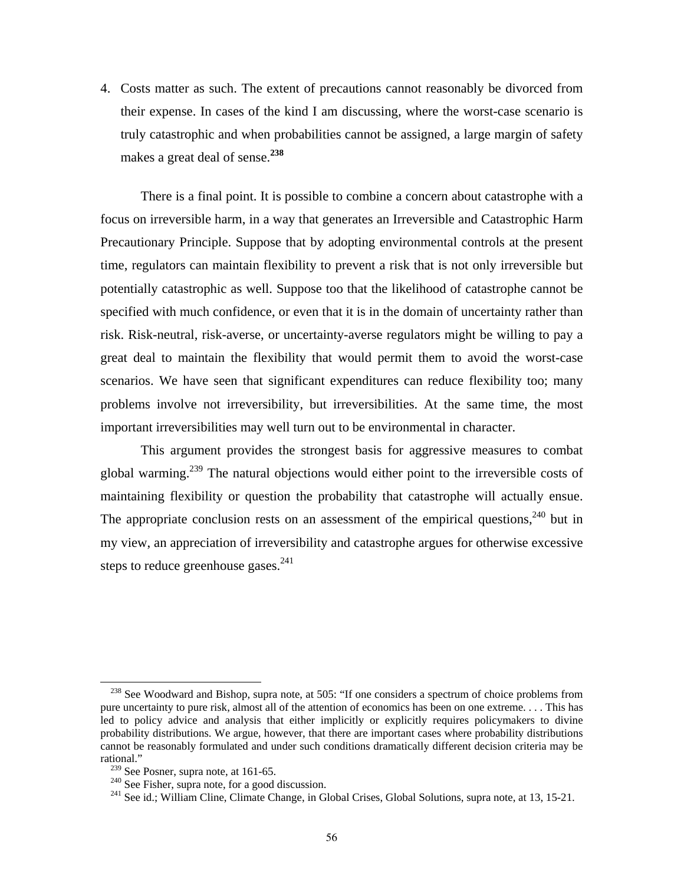4. Costs matter as such. The extent of precautions cannot reasonably be divorced from their expense. In cases of the kind I am discussing, where the worst-case scenario is truly catastrophic and when probabilities cannot be assigned, a large margin of safety makes a great deal of sense.**<sup>238</sup>**

There is a final point. It is possible to combine a concern about catastrophe with a focus on irreversible harm, in a way that generates an Irreversible and Catastrophic Harm Precautionary Principle. Suppose that by adopting environmental controls at the present time, regulators can maintain flexibility to prevent a risk that is not only irreversible but potentially catastrophic as well. Suppose too that the likelihood of catastrophe cannot be specified with much confidence, or even that it is in the domain of uncertainty rather than risk. Risk-neutral, risk-averse, or uncertainty-averse regulators might be willing to pay a great deal to maintain the flexibility that would permit them to avoid the worst-case scenarios. We have seen that significant expenditures can reduce flexibility too; many problems involve not irreversibility, but irreversibilities. At the same time, the most important irreversibilities may well turn out to be environmental in character.

This argument provides the strongest basis for aggressive measures to combat global warming.<sup>239</sup> The natural objections would either point to the irreversible costs of maintaining flexibility or question the probability that catastrophe will actually ensue. The appropriate conclusion rests on an assessment of the empirical questions, $240$  but in my view, an appreciation of irreversibility and catastrophe argues for otherwise excessive steps to reduce greenhouse gases. $^{241}$ 

<sup>&</sup>lt;sup>238</sup> See Woodward and Bishop, supra note, at 505: "If one considers a spectrum of choice problems from pure uncertainty to pure risk, almost all of the attention of economics has been on one extreme. . . . This has led to policy advice and analysis that either implicitly or explicitly requires policymakers to divine probability distributions. We argue, however, that there are important cases where probability distributions cannot be reasonably formulated and under such conditions dramatically different decision criteria may be rational."<br><sup>239</sup> See Posner, supra note, at 161-65.

<sup>&</sup>lt;sup>240</sup> See Fisher, supra note, for a good discussion.<br><sup>241</sup> See id.; William Cline, Climate Change, in Global Crises, Global Solutions, supra note, at 13, 15-21.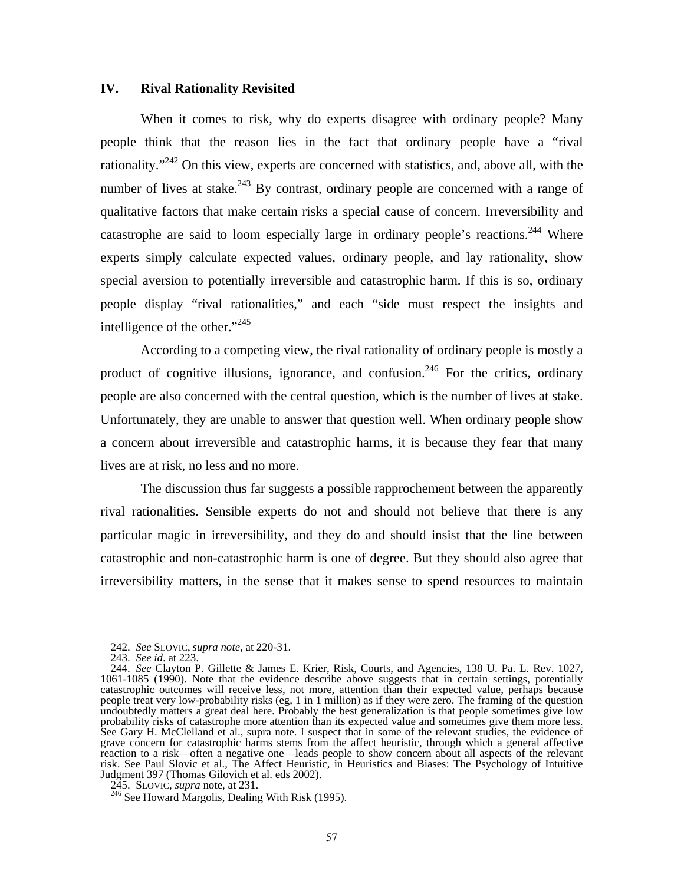#### **IV. Rival Rationality Revisited**

When it comes to risk, why do experts disagree with ordinary people? Many people think that the reason lies in the fact that ordinary people have a "rival rationality."<sup>242</sup> On this view, experts are concerned with statistics, and, above all, with the number of lives at stake.<sup>243</sup> By contrast, ordinary people are concerned with a range of qualitative factors that make certain risks a special cause of concern. Irreversibility and catastrophe are said to loom especially large in ordinary people's reactions.<sup>244</sup> Where experts simply calculate expected values, ordinary people, and lay rationality, show special aversion to potentially irreversible and catastrophic harm. If this is so, ordinary people display "rival rationalities," and each "side must respect the insights and intelligence of the other." $^{245}$ 

According to a competing view, the rival rationality of ordinary people is mostly a product of cognitive illusions, ignorance, and confusion.<sup>246</sup> For the critics, ordinary people are also concerned with the central question, which is the number of lives at stake. Unfortunately, they are unable to answer that question well. When ordinary people show a concern about irreversible and catastrophic harms, it is because they fear that many lives are at risk, no less and no more.

The discussion thus far suggests a possible rapprochement between the apparently rival rationalities. Sensible experts do not and should not believe that there is any particular magic in irreversibility, and they do and should insist that the line between catastrophic and non-catastrophic harm is one of degree. But they should also agree that irreversibility matters, in the sense that it makes sense to spend resources to maintain

 $\overline{a}$ 

<sup>242.</sup> *See* SLOVIC, *supra note,* at 220-31.

<sup>243.</sup> *See id*. at 223.

<sup>244.</sup> *See* Clayton P. Gillette & James E. Krier, Risk, Courts, and Agencies, 138 U. Pa. L. Rev. 1027, 1061-1085 (1990). Note that the evidence describe above suggests that in certain settings, potentially catastrophic outcomes will receive less, not more, attention than their expected value, perhaps because people treat very low-probability risks (eg, 1 in 1 million) as if they were zero. The framing of the question undoubtedly matters a great deal here. Probably the best generalization is that people sometimes give low probability risks of catastrophe more attention than its expected value and sometimes give them more less. See Gary H. McClelland et al., supra note. I suspect that in some of the relevant studies, the evidence of grave concern for catastrophic harms stems from the affect heuristic, through which a general affective reaction to a risk—often a negative one—leads people to show concern about all aspects of the relevant risk. See Paul Slovic et al., The Affect Heuristic, in Heuristics and Biases: The Psychology of Intuitive Judgment 397 (Thomas Gilovich et al. eds 2002).

<sup>245.</sup> SLOVIC, *supra* note, at 231.<br><sup>246</sup> See Howard Margolis, Dealing With Risk (1995).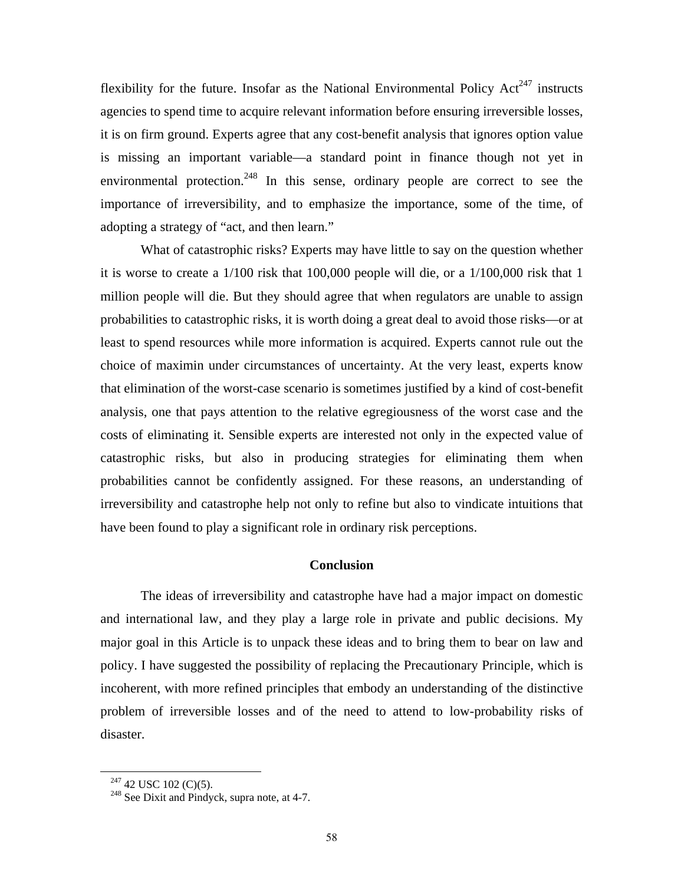flexibility for the future. Insofar as the National Environmental Policy  $Act^{247}$  instructs agencies to spend time to acquire relevant information before ensuring irreversible losses, it is on firm ground. Experts agree that any cost-benefit analysis that ignores option value is missing an important variable—a standard point in finance though not yet in environmental protection.<sup>248</sup> In this sense, ordinary people are correct to see the importance of irreversibility, and to emphasize the importance, some of the time, of adopting a strategy of "act, and then learn."

What of catastrophic risks? Experts may have little to say on the question whether it is worse to create a 1/100 risk that 100,000 people will die, or a 1/100,000 risk that 1 million people will die. But they should agree that when regulators are unable to assign probabilities to catastrophic risks, it is worth doing a great deal to avoid those risks—or at least to spend resources while more information is acquired. Experts cannot rule out the choice of maximin under circumstances of uncertainty. At the very least, experts know that elimination of the worst-case scenario is sometimes justified by a kind of cost-benefit analysis, one that pays attention to the relative egregiousness of the worst case and the costs of eliminating it. Sensible experts are interested not only in the expected value of catastrophic risks, but also in producing strategies for eliminating them when probabilities cannot be confidently assigned. For these reasons, an understanding of irreversibility and catastrophe help not only to refine but also to vindicate intuitions that have been found to play a significant role in ordinary risk perceptions.

#### **Conclusion**

The ideas of irreversibility and catastrophe have had a major impact on domestic and international law, and they play a large role in private and public decisions. My major goal in this Article is to unpack these ideas and to bring them to bear on law and policy. I have suggested the possibility of replacing the Precautionary Principle, which is incoherent, with more refined principles that embody an understanding of the distinctive problem of irreversible losses and of the need to attend to low-probability risks of disaster.

<sup>&</sup>lt;sup>247</sup> 42 USC 102 (C)(5). <sup>248</sup> See Dixit and Pindyck, supra note, at 4-7.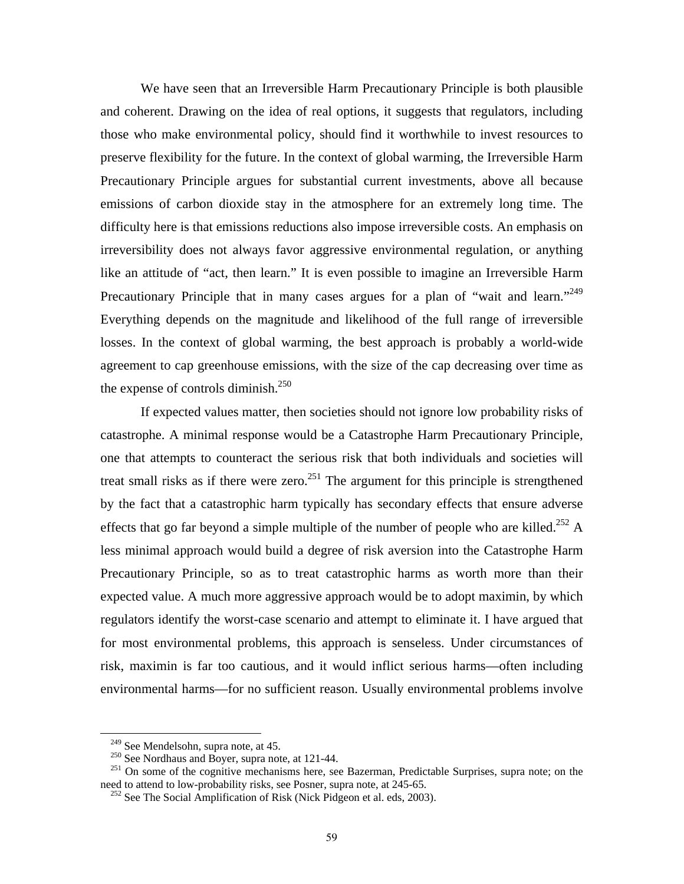We have seen that an Irreversible Harm Precautionary Principle is both plausible and coherent. Drawing on the idea of real options, it suggests that regulators, including those who make environmental policy, should find it worthwhile to invest resources to preserve flexibility for the future. In the context of global warming, the Irreversible Harm Precautionary Principle argues for substantial current investments, above all because emissions of carbon dioxide stay in the atmosphere for an extremely long time. The difficulty here is that emissions reductions also impose irreversible costs. An emphasis on irreversibility does not always favor aggressive environmental regulation, or anything like an attitude of "act, then learn." It is even possible to imagine an Irreversible Harm Precautionary Principle that in many cases argues for a plan of "wait and learn."<sup>249</sup> Everything depends on the magnitude and likelihood of the full range of irreversible losses. In the context of global warming, the best approach is probably a world-wide agreement to cap greenhouse emissions, with the size of the cap decreasing over time as the expense of controls diminish.<sup>250</sup>

If expected values matter, then societies should not ignore low probability risks of catastrophe. A minimal response would be a Catastrophe Harm Precautionary Principle, one that attempts to counteract the serious risk that both individuals and societies will treat small risks as if there were zero.<sup>251</sup> The argument for this principle is strengthened by the fact that a catastrophic harm typically has secondary effects that ensure adverse effects that go far beyond a simple multiple of the number of people who are killed.<sup>252</sup> A less minimal approach would build a degree of risk aversion into the Catastrophe Harm Precautionary Principle, so as to treat catastrophic harms as worth more than their expected value. A much more aggressive approach would be to adopt maximin, by which regulators identify the worst-case scenario and attempt to eliminate it. I have argued that for most environmental problems, this approach is senseless. Under circumstances of risk, maximin is far too cautious, and it would inflict serious harms—often including environmental harms—for no sufficient reason. Usually environmental problems involve

<sup>&</sup>lt;sup>249</sup> See Mendelsohn, supra note, at 45.<br><sup>250</sup> See Nordhaus and Boyer, supra note, at 121-44.<br><sup>251</sup> On some of the cognitive mechanisms here, see Bazerman, Predictable Surprises, supra note; on the need to attend to low-probability risks, see Posner, supra note, at 245-65.<br><sup>252</sup> See The Social Amplification of Risk (Nick Pidgeon et al. eds, 2003).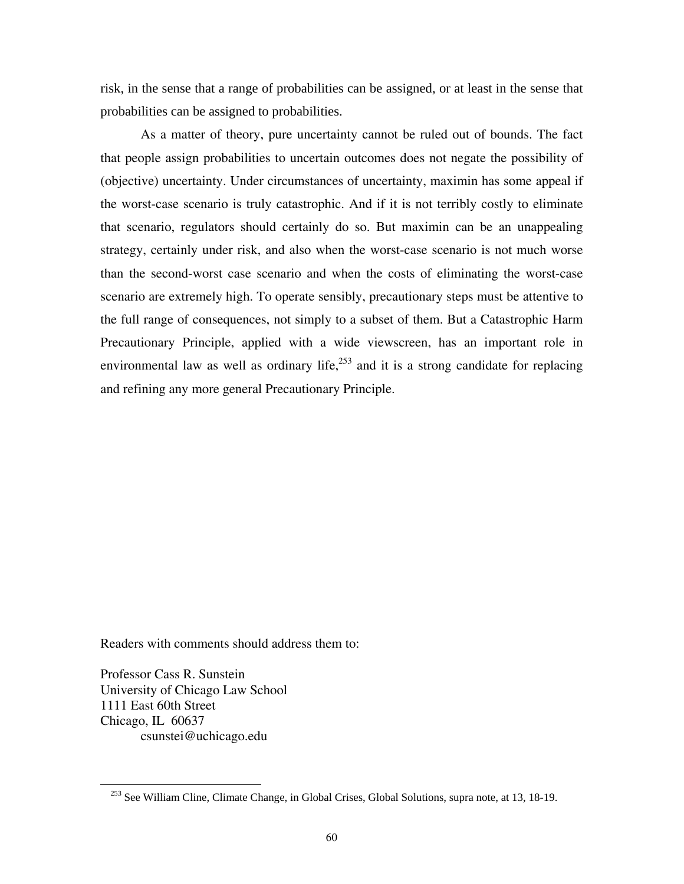risk, in the sense that a range of probabilities can be assigned, or at least in the sense that probabilities can be assigned to probabilities.

As a matter of theory, pure uncertainty cannot be ruled out of bounds. The fact that people assign probabilities to uncertain outcomes does not negate the possibility of (objective) uncertainty. Under circumstances of uncertainty, maximin has some appeal if the worst-case scenario is truly catastrophic. And if it is not terribly costly to eliminate that scenario, regulators should certainly do so. But maximin can be an unappealing strategy, certainly under risk, and also when the worst-case scenario is not much worse than the second-worst case scenario and when the costs of eliminating the worst-case scenario are extremely high. To operate sensibly, precautionary steps must be attentive to the full range of consequences, not simply to a subset of them. But a Catastrophic Harm Precautionary Principle, applied with a wide viewscreen, has an important role in environmental law as well as ordinary life, $^{253}$  and it is a strong candidate for replacing and refining any more general Precautionary Principle.

Readers with comments should address them to:

Professor Cass R. Sunstein University of Chicago Law School 1111 East 60th Street Chicago, IL 60637 csunstei@uchicago.edu

<sup>&</sup>lt;sup>253</sup> See William Cline, Climate Change, in Global Crises, Global Solutions, supra note, at 13, 18-19.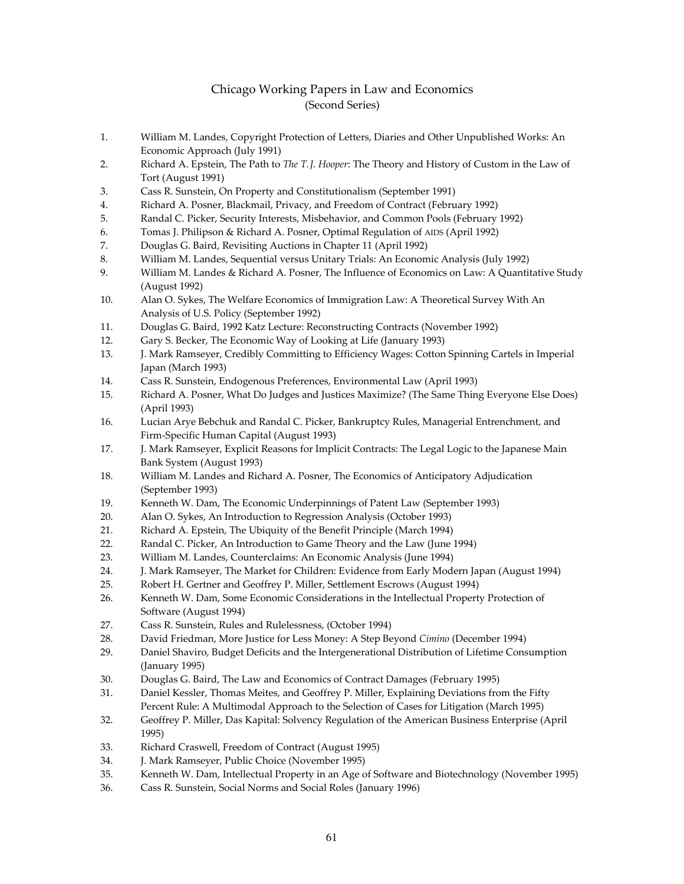#### Chicago Working Papers in Law and Economics (Second Series)

- 1. William M. Landes, Copyright Protection of Letters, Diaries and Other Unpublished Works: An Economic Approach (July 1991)
- 2. Richard A. Epstein, The Path to *The T.J. Hooper*: The Theory and History of Custom in the Law of Tort (August 1991)
- 3. Cass R. Sunstein, On Property and Constitutionalism (September 1991)
- 4. Richard A. Posner, Blackmail, Privacy, and Freedom of Contract (February 1992)
- 5. Randal C. Picker, Security Interests, Misbehavior, and Common Pools (February 1992)
- 6. Tomas J. Philipson & Richard A. Posner, Optimal Regulation of AIDS (April 1992)
- 7. Douglas G. Baird, Revisiting Auctions in Chapter 11 (April 1992)
- 8. William M. Landes, Sequential versus Unitary Trials: An Economic Analysis (July 1992)
- 9. William M. Landes & Richard A. Posner, The Influence of Economics on Law: A Quantitative Study (August 1992)
- 10. Alan O. Sykes, The Welfare Economics of Immigration Law: A Theoretical Survey With An Analysis of U.S. Policy (September 1992)
- 11. Douglas G. Baird, 1992 Katz Lecture: Reconstructing Contracts (November 1992)
- 12. Gary S. Becker, The Economic Way of Looking at Life (January 1993)
- 13. J. Mark Ramseyer, Credibly Committing to Efficiency Wages: Cotton Spinning Cartels in Imperial Japan (March 1993)
- 14. Cass R. Sunstein, Endogenous Preferences, Environmental Law (April 1993)
- 15. Richard A. Posner, What Do Judges and Justices Maximize? (The Same Thing Everyone Else Does) (April 1993)
- 16. Lucian Arye Bebchuk and Randal C. Picker, Bankruptcy Rules, Managerial Entrenchment, and Firm‐Specific Human Capital (August 1993)
- 17. J. Mark Ramseyer, Explicit Reasons for Implicit Contracts: The Legal Logic to the Japanese Main Bank System (August 1993)
- 18. William M. Landes and Richard A. Posner, The Economics of Anticipatory Adjudication (September 1993)
- 19. Kenneth W. Dam, The Economic Underpinnings of Patent Law (September 1993)
- 20. Alan O. Sykes, An Introduction to Regression Analysis (October 1993)
- 21. Richard A. Epstein, The Ubiquity of the Benefit Principle (March 1994)
- 22. Randal C. Picker, An Introduction to Game Theory and the Law (June 1994)
- 23. William M. Landes, Counterclaims: An Economic Analysis (June 1994)
- 24. J. Mark Ramseyer, The Market for Children: Evidence from Early Modern Japan (August 1994)
- 25. Robert H. Gertner and Geoffrey P. Miller, Settlement Escrows (August 1994)
- 26. Kenneth W. Dam, Some Economic Considerations in the Intellectual Property Protection of Software (August 1994)
- 27. Cass R. Sunstein, Rules and Rulelessness, (October 1994)
- 28. David Friedman, More Justice for Less Money: A Step Beyond *Cimino* (December 1994)
- 29. Daniel Shaviro, Budget Deficits and the Intergenerational Distribution of Lifetime Consumption (January 1995)
- 30. Douglas G. Baird, The Law and Economics of Contract Damages (February 1995)
- 31. Daniel Kessler, Thomas Meites, and Geoffrey P. Miller, Explaining Deviations from the Fifty Percent Rule: A Multimodal Approach to the Selection of Cases for Litigation (March 1995)
- 32. Geoffrey P. Miller, Das Kapital: Solvency Regulation of the American Business Enterprise (April 1995)
- 33. Richard Craswell, Freedom of Contract (August 1995)
- 34. J. Mark Ramseyer, Public Choice (November 1995)
- 35. Kenneth W. Dam, Intellectual Property in an Age of Software and Biotechnology (November 1995)
- 36. Cass R. Sunstein, Social Norms and Social Roles (January 1996)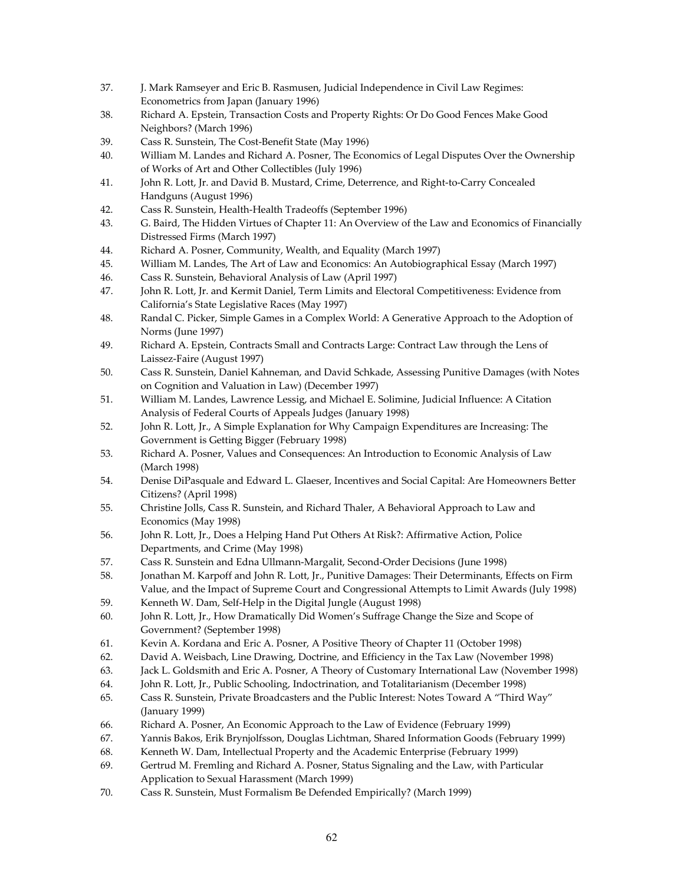- 37. J. Mark Ramseyer and Eric B. Rasmusen, Judicial Independence in Civil Law Regimes: Econometrics from Japan (January 1996)
- 38. Richard A. Epstein, Transaction Costs and Property Rights: Or Do Good Fences Make Good Neighbors? (March 1996)
- 39. Cass R. Sunstein, The Cost‐Benefit State (May 1996)
- 40. William M. Landes and Richard A. Posner, The Economics of Legal Disputes Over the Ownership of Works of Art and Other Collectibles (July 1996)
- 41. John R. Lott, Jr. and David B. Mustard, Crime, Deterrence, and Right-to-Carry Concealed Handguns (August 1996)
- 42. Cass R. Sunstein, Health‐Health Tradeoffs (September 1996)
- 43. G. Baird, The Hidden Virtues of Chapter 11: An Overview of the Law and Economics of Financially Distressed Firms (March 1997)
- 44. Richard A. Posner, Community, Wealth, and Equality (March 1997)
- 45. William M. Landes, The Art of Law and Economics: An Autobiographical Essay (March 1997)
- 46. Cass R. Sunstein, Behavioral Analysis of Law (April 1997)
- 47. John R. Lott, Jr. and Kermit Daniel, Term Limits and Electoral Competitiveness: Evidence from California's State Legislative Races (May 1997)
- 48. Randal C. Picker, Simple Games in a Complex World: A Generative Approach to the Adoption of Norms (June 1997)
- 49. Richard A. Epstein, Contracts Small and Contracts Large: Contract Law through the Lens of Laissez‐Faire (August 1997)
- 50. Cass R. Sunstein, Daniel Kahneman, and David Schkade, Assessing Punitive Damages (with Notes on Cognition and Valuation in Law) (December 1997)
- 51. William M. Landes, Lawrence Lessig, and Michael E. Solimine, Judicial Influence: A Citation Analysis of Federal Courts of Appeals Judges (January 1998)
- 52. John R. Lott, Jr., A Simple Explanation for Why Campaign Expenditures are Increasing: The Government is Getting Bigger (February 1998)
- 53. Richard A. Posner, Values and Consequences: An Introduction to Economic Analysis of Law (March 1998)
- 54. Denise DiPasquale and Edward L. Glaeser, Incentives and Social Capital: Are Homeowners Better Citizens? (April 1998)
- 55. Christine Jolls, Cass R. Sunstein, and Richard Thaler, A Behavioral Approach to Law and Economics (May 1998)
- 56. John R. Lott, Jr., Does a Helping Hand Put Others At Risk?: Affirmative Action, Police Departments, and Crime (May 1998)
- 57. Cass R. Sunstein and Edna Ullmann‐Margalit, Second‐Order Decisions (June 1998)
- 58. Jonathan M. Karpoff and John R. Lott, Jr., Punitive Damages: Their Determinants, Effects on Firm Value, and the Impact of Supreme Court and Congressional Attempts to Limit Awards (July 1998)
- 59. Kenneth W. Dam, Self-Help in the Digital Jungle (August 1998)
- 60. John R. Lott, Jr., How Dramatically Did Women's Suffrage Change the Size and Scope of Government? (September 1998)
- 61. Kevin A. Kordana and Eric A. Posner, A Positive Theory of Chapter 11 (October 1998)
- 62. David A. Weisbach, Line Drawing, Doctrine, and Efficiency in the Tax Law (November 1998)
- 63. Jack L. Goldsmith and Eric A. Posner, A Theory of Customary International Law (November 1998)
- 64. John R. Lott, Jr., Public Schooling, Indoctrination, and Totalitarianism (December 1998)
- 65. Cass R. Sunstein, Private Broadcasters and the Public Interest: Notes Toward A "Third Way" (January 1999)
- 66. Richard A. Posner, An Economic Approach to the Law of Evidence (February 1999)
- 67. Yannis Bakos, Erik Brynjolfsson, Douglas Lichtman, Shared Information Goods (February 1999)
- 68. Kenneth W. Dam, Intellectual Property and the Academic Enterprise (February 1999)
- 69. Gertrud M. Fremling and Richard A. Posner, Status Signaling and the Law, with Particular Application to Sexual Harassment (March 1999)
- 70. Cass R. Sunstein, Must Formalism Be Defended Empirically? (March 1999)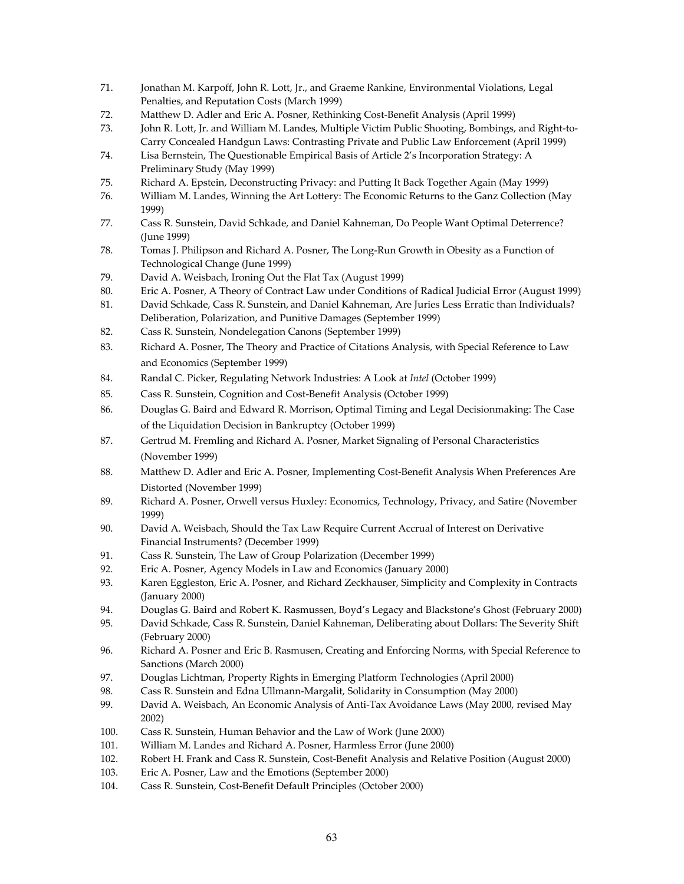- 71. Jonathan M. Karpoff, John R. Lott, Jr., and Graeme Rankine, Environmental Violations, Legal Penalties, and Reputation Costs (March 1999)
- 72. Matthew D. Adler and Eric A. Posner, Rethinking Cost‐Benefit Analysis (April 1999)
- 73. John R. Lott, Jr. and William M. Landes, Multiple Victim Public Shooting, Bombings, and Right-to-Carry Concealed Handgun Laws: Contrasting Private and Public Law Enforcement (April 1999)
- 74. Lisa Bernstein, The Questionable Empirical Basis of Article 2's Incorporation Strategy: A Preliminary Study (May 1999)
- 75. Richard A. Epstein, Deconstructing Privacy: and Putting It Back Together Again (May 1999)
- 76. William M. Landes, Winning the Art Lottery: The Economic Returns to the Ganz Collection (May 1999)
- 77. Cass R. Sunstein, David Schkade, and Daniel Kahneman, Do People Want Optimal Deterrence? (June 1999)
- 78. Tomas J. Philipson and Richard A. Posner, The Long‐Run Growth in Obesity as a Function of Technological Change (June 1999)
- 79. David A. Weisbach, Ironing Out the Flat Tax (August 1999)
- 80. Eric A. Posner, A Theory of Contract Law under Conditions of Radical Judicial Error (August 1999)
- 81. David Schkade, Cass R. Sunstein, and Daniel Kahneman, Are Juries Less Erratic than Individuals? Deliberation, Polarization, and Punitive Damages (September 1999)
- 82. Cass R. Sunstein, Nondelegation Canons (September 1999)
- 83. Richard A. Posner, The Theory and Practice of Citations Analysis, with Special Reference to Law and Economics (September 1999)
- 84. Randal C. Picker, Regulating Network Industries: A Look at *Intel* (October 1999)
- 85. Cass R. Sunstein, Cognition and Cost-Benefit Analysis (October 1999)
- 86. Douglas G. Baird and Edward R. Morrison, Optimal Timing and Legal Decisionmaking: The Case of the Liquidation Decision in Bankruptcy (October 1999)
- 87. Gertrud M. Fremling and Richard A. Posner, Market Signaling of Personal Characteristics (November 1999)
- 88. Matthew D. Adler and Eric A. Posner, Implementing Cost-Benefit Analysis When Preferences Are Distorted (November 1999)
- 89. Richard A. Posner, Orwell versus Huxley: Economics, Technology, Privacy, and Satire (November 1999)
- 90. David A. Weisbach, Should the Tax Law Require Current Accrual of Interest on Derivative Financial Instruments? (December 1999)
- 91. Cass R. Sunstein, The Law of Group Polarization (December 1999)
- 92. Eric A. Posner, Agency Models in Law and Economics (January 2000)
- 93. Karen Eggleston, Eric A. Posner, and Richard Zeckhauser, Simplicity and Complexity in Contracts (January 2000)
- 94. Douglas G. Baird and Robert K. Rasmussen, Boyd's Legacy and Blackstone's Ghost (February 2000)
- 95. David Schkade, Cass R. Sunstein, Daniel Kahneman, Deliberating about Dollars: The Severity Shift (February 2000)
- 96. Richard A. Posner and Eric B. Rasmusen, Creating and Enforcing Norms, with Special Reference to Sanctions (March 2000)
- 97. Douglas Lichtman, Property Rights in Emerging Platform Technologies (April 2000)
- 98. Cass R. Sunstein and Edna Ullmann-Margalit, Solidarity in Consumption (May 2000)
- 99. David A. Weisbach, An Economic Analysis of Anti-Tax Avoidance Laws (May 2000, revised May 2002)
- 100. Cass R. Sunstein, Human Behavior and the Law of Work (June 2000)
- 101. William M. Landes and Richard A. Posner, Harmless Error (June 2000)
- 102. Robert H. Frank and Cass R. Sunstein, Cost-Benefit Analysis and Relative Position (August 2000)
- 103. Eric A. Posner, Law and the Emotions (September 2000)
- 104. Cass R. Sunstein, Cost-Benefit Default Principles (October 2000)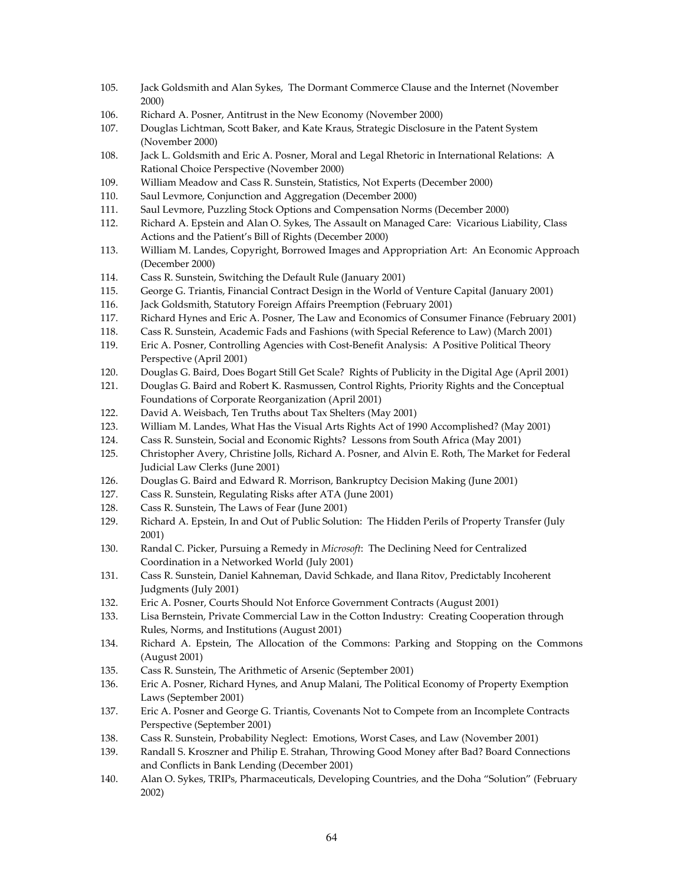- 105. Jack Goldsmith and Alan Sykes, The Dormant Commerce Clause and the Internet (November 2000)
- 106. Richard A. Posner, Antitrust in the New Economy (November 2000)
- 107. Douglas Lichtman, Scott Baker, and Kate Kraus, Strategic Disclosure in the Patent System (November 2000)
- 108. Jack L. Goldsmith and Eric A. Posner, Moral and Legal Rhetoric in International Relations: A Rational Choice Perspective (November 2000)
- 109. William Meadow and Cass R. Sunstein, Statistics, Not Experts (December 2000)
- 110. Saul Levmore, Conjunction and Aggregation (December 2000)
- 111. Saul Levmore, Puzzling Stock Options and Compensation Norms (December 2000)
- 112. Richard A. Epstein and Alan O. Sykes, The Assault on Managed Care: Vicarious Liability, Class Actions and the Patient's Bill of Rights (December 2000)
- 113. William M. Landes, Copyright, Borrowed Images and Appropriation Art: An Economic Approach (December 2000)
- 114. Cass R. Sunstein, Switching the Default Rule (January 2001)
- 115. George G. Triantis, Financial Contract Design in the World of Venture Capital (January 2001)
- 116. Jack Goldsmith, Statutory Foreign Affairs Preemption (February 2001)
- 117. Richard Hynes and Eric A. Posner, The Law and Economics of Consumer Finance (February 2001)
- 118. Cass R. Sunstein, Academic Fads and Fashions (with Special Reference to Law) (March 2001)
- 119. Eric A. Posner, Controlling Agencies with Cost-Benefit Analysis: A Positive Political Theory Perspective (April 2001)
- 120. Douglas G. Baird, Does Bogart Still Get Scale? Rights of Publicity in the Digital Age (April 2001)
- 121. Douglas G. Baird and Robert K. Rasmussen, Control Rights, Priority Rights and the Conceptual Foundations of Corporate Reorganization (April 2001)
- 122. David A. Weisbach, Ten Truths about Tax Shelters (May 2001)
- 123. William M. Landes, What Has the Visual Arts Rights Act of 1990 Accomplished? (May 2001)
- 124. Cass R. Sunstein, Social and Economic Rights? Lessons from South Africa (May 2001)
- 125. Christopher Avery, Christine Jolls, Richard A. Posner, and Alvin E. Roth, The Market for Federal Judicial Law Clerks (June 2001)
- 126. Douglas G. Baird and Edward R. Morrison, Bankruptcy Decision Making (June 2001)
- 127. Cass R. Sunstein, Regulating Risks after ATA (June 2001)
- 128. Cass R. Sunstein, The Laws of Fear (June 2001)
- 129. Richard A. Epstein, In and Out of Public Solution: The Hidden Perils of Property Transfer (July 2001)
- 130. Randal C. Picker, Pursuing a Remedy in *Microsoft*: The Declining Need for Centralized Coordination in a Networked World (July 2001)
- 131. Cass R. Sunstein, Daniel Kahneman, David Schkade, and Ilana Ritov, Predictably Incoherent Judgments (July 2001)
- 132. Eric A. Posner, Courts Should Not Enforce Government Contracts (August 2001)
- 133. Lisa Bernstein, Private Commercial Law in the Cotton Industry: Creating Cooperation through Rules, Norms, and Institutions (August 2001)
- 134. Richard A. Epstein, The Allocation of the Commons: Parking and Stopping on the Commons (August 2001)
- 135. Cass R. Sunstein, The Arithmetic of Arsenic (September 2001)
- 136. Eric A. Posner, Richard Hynes, and Anup Malani, The Political Economy of Property Exemption Laws (September 2001)
- 137. Eric A. Posner and George G. Triantis, Covenants Not to Compete from an Incomplete Contracts Perspective (September 2001)
- 138. Cass R. Sunstein, Probability Neglect: Emotions, Worst Cases, and Law (November 2001)
- 139. Randall S. Kroszner and Philip E. Strahan, Throwing Good Money after Bad? Board Connections and Conflicts in Bank Lending (December 2001)
- 140. Alan O. Sykes, TRIPs, Pharmaceuticals, Developing Countries, and the Doha "Solution" (February 2002)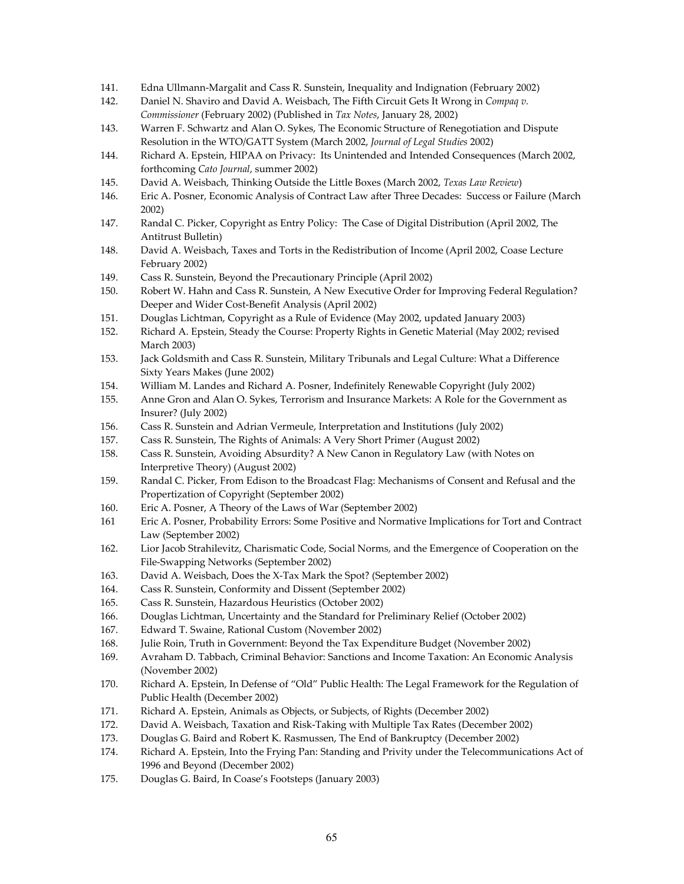- 141. Edna Ullmann‐Margalit and Cass R. Sunstein, Inequality and Indignation (February 2002)
- 142. Daniel N. Shaviro and David A. Weisbach, The Fifth Circuit Gets It Wrong in *Compaq v. Commissioner* (February 2002) (Published in *Tax Notes*, January 28, 2002)
- 143. Warren F. Schwartz and Alan O. Sykes, The Economic Structure of Renegotiation and Dispute Resolution in the WTO/GATT System (March 2002, *Journal of Legal Studies* 2002)
- 144. Richard A. Epstein, HIPAA on Privacy: Its Unintended and Intended Consequences (March 2002, forthcoming *Cato Journal*, summer 2002)
- 145. David A. Weisbach, Thinking Outside the Little Boxes (March 2002, *Texas Law Review*)
- 146. Eric A. Posner, Economic Analysis of Contract Law after Three Decades: Success or Failure (March 2002)
- 147. Randal C. Picker, Copyright as Entry Policy: The Case of Digital Distribution (April 2002, The Antitrust Bulletin)
- 148. David A. Weisbach, Taxes and Torts in the Redistribution of Income (April 2002, Coase Lecture February 2002)
- 149. Cass R. Sunstein, Beyond the Precautionary Principle (April 2002)
- 150. Robert W. Hahn and Cass R. Sunstein, A New Executive Order for Improving Federal Regulation? Deeper and Wider Cost‐Benefit Analysis (April 2002)
- 151. Douglas Lichtman, Copyright as a Rule of Evidence (May 2002, updated January 2003)
- 152. Richard A. Epstein, Steady the Course: Property Rights in Genetic Material (May 2002; revised March 2003)
- 153. Jack Goldsmith and Cass R. Sunstein, Military Tribunals and Legal Culture: What a Difference Sixty Years Makes (June 2002)
- 154. William M. Landes and Richard A. Posner, Indefinitely Renewable Copyright (July 2002)
- 155. Anne Gron and Alan O. Sykes, Terrorism and Insurance Markets: A Role for the Government as Insurer? (July 2002)
- 156. Cass R. Sunstein and Adrian Vermeule, Interpretation and Institutions (July 2002)
- 157. Cass R. Sunstein, The Rights of Animals: A Very Short Primer (August 2002)
- 158. Cass R. Sunstein, Avoiding Absurdity? A New Canon in Regulatory Law (with Notes on Interpretive Theory) (August 2002)
- 159. Randal C. Picker, From Edison to the Broadcast Flag: Mechanisms of Consent and Refusal and the Propertization of Copyright (September 2002)
- 160. Eric A. Posner, A Theory of the Laws of War (September 2002)
- 161 Eric A. Posner, Probability Errors: Some Positive and Normative Implications for Tort and Contract Law (September 2002)
- 162. Lior Jacob Strahilevitz, Charismatic Code, Social Norms, and the Emergence of Cooperation on the File‐Swapping Networks (September 2002)
- 163. David A. Weisbach, Does the X‐Tax Mark the Spot? (September 2002)
- 164. Cass R. Sunstein, Conformity and Dissent (September 2002)
- 165. Cass R. Sunstein, Hazardous Heuristics (October 2002)
- 166. Douglas Lichtman, Uncertainty and the Standard for Preliminary Relief (October 2002)
- 167. Edward T. Swaine, Rational Custom (November 2002)
- 168. Julie Roin, Truth in Government: Beyond the Tax Expenditure Budget (November 2002)
- 169. Avraham D. Tabbach, Criminal Behavior: Sanctions and Income Taxation: An Economic Analysis (November 2002)
- 170. Richard A. Epstein, In Defense of "Old" Public Health: The Legal Framework for the Regulation of Public Health (December 2002)
- 171. Richard A. Epstein, Animals as Objects, or Subjects, of Rights (December 2002)
- 172. David A. Weisbach, Taxation and Risk‐Taking with Multiple Tax Rates (December 2002)
- 173. Douglas G. Baird and Robert K. Rasmussen, The End of Bankruptcy (December 2002)
- 174. Richard A. Epstein, Into the Frying Pan: Standing and Privity under the Telecommunications Act of 1996 and Beyond (December 2002)
- 175. Douglas G. Baird, In Coase's Footsteps (January 2003)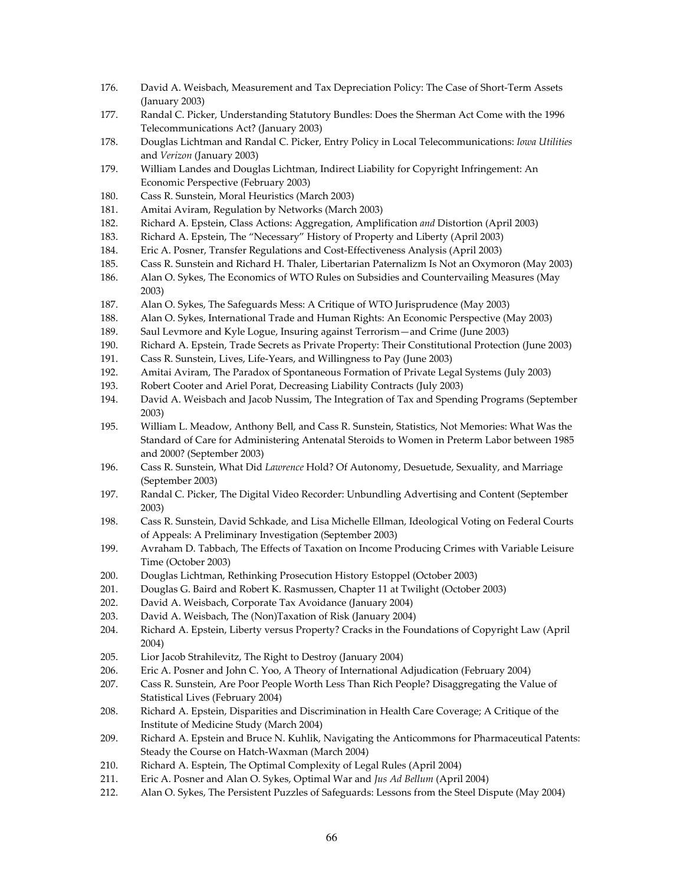- 176. David A. Weisbach, Measurement and Tax Depreciation Policy: The Case of Short‐Term Assets (January 2003)
- 177. Randal C. Picker, Understanding Statutory Bundles: Does the Sherman Act Come with the 1996 Telecommunications Act? (January 2003)
- 178. Douglas Lichtman and Randal C. Picker, Entry Policy in Local Telecommunications: *Iowa Utilities* and *Verizon* (January 2003)
- 179. William Landes and Douglas Lichtman, Indirect Liability for Copyright Infringement: An Economic Perspective (February 2003)
- 180. Cass R. Sunstein, Moral Heuristics (March 2003)
- 181. Amitai Aviram, Regulation by Networks (March 2003)
- 182. Richard A. Epstein, Class Actions: Aggregation, Amplification *and* Distortion (April 2003)
- 183. Richard A. Epstein, The "Necessary" History of Property and Liberty (April 2003)
- 184. Eric A. Posner, Transfer Regulations and Cost‐Effectiveness Analysis (April 2003)
- 185. Cass R. Sunstein and Richard H. Thaler, Libertarian Paternalizm Is Not an Oxymoron (May 2003)
- 186. Alan O. Sykes, The Economics of WTO Rules on Subsidies and Countervailing Measures (May 2003)
- 187. Alan O. Sykes, The Safeguards Mess: A Critique of WTO Jurisprudence (May 2003)
- 188. Alan O. Sykes, International Trade and Human Rights: An Economic Perspective (May 2003)
- 189. Saul Levmore and Kyle Logue, Insuring against Terrorism—and Crime (June 2003)
- 190. Richard A. Epstein, Trade Secrets as Private Property: Their Constitutional Protection (June 2003)
- 191. Cass R. Sunstein, Lives, Life-Years, and Willingness to Pay (June 2003)
- 192. Amitai Aviram, The Paradox of Spontaneous Formation of Private Legal Systems (July 2003)
- 193. Robert Cooter and Ariel Porat, Decreasing Liability Contracts (July 2003)
- 194. David A. Weisbach and Jacob Nussim, The Integration of Tax and Spending Programs (September 2003)
- 195. William L. Meadow, Anthony Bell, and Cass R. Sunstein, Statistics, Not Memories: What Was the Standard of Care for Administering Antenatal Steroids to Women in Preterm Labor between 1985 and 2000? (September 2003)
- 196. Cass R. Sunstein, What Did *Lawrence* Hold? Of Autonomy, Desuetude, Sexuality, and Marriage (September 2003)
- 197. Randal C. Picker, The Digital Video Recorder: Unbundling Advertising and Content (September 2003)
- 198. Cass R. Sunstein, David Schkade, and Lisa Michelle Ellman, Ideological Voting on Federal Courts of Appeals: A Preliminary Investigation (September 2003)
- 199. Avraham D. Tabbach, The Effects of Taxation on Income Producing Crimes with Variable Leisure Time (October 2003)
- 200. Douglas Lichtman, Rethinking Prosecution History Estoppel (October 2003)
- 201. Douglas G. Baird and Robert K. Rasmussen, Chapter 11 at Twilight (October 2003)
- 202. David A. Weisbach, Corporate Tax Avoidance (January 2004)
- 203. David A. Weisbach, The (Non)Taxation of Risk (January 2004)
- 204. Richard A. Epstein, Liberty versus Property? Cracks in the Foundations of Copyright Law (April 2004)
- 205. Lior Jacob Strahilevitz, The Right to Destroy (January 2004)
- 206. Eric A. Posner and John C. Yoo, A Theory of International Adjudication (February 2004)
- 207. Cass R. Sunstein, Are Poor People Worth Less Than Rich People? Disaggregating the Value of Statistical Lives (February 2004)
- 208. Richard A. Epstein, Disparities and Discrimination in Health Care Coverage; A Critique of the Institute of Medicine Study (March 2004)
- 209. Richard A. Epstein and Bruce N. Kuhlik, Navigating the Anticommons for Pharmaceutical Patents: Steady the Course on Hatch‐Waxman (March 2004)
- 210. Richard A. Esptein, The Optimal Complexity of Legal Rules (April 2004)
- 211. Eric A. Posner and Alan O. Sykes, Optimal War and *Jus Ad Bellum* (April 2004)
- 212. Alan O. Sykes, The Persistent Puzzles of Safeguards: Lessons from the Steel Dispute (May 2004)